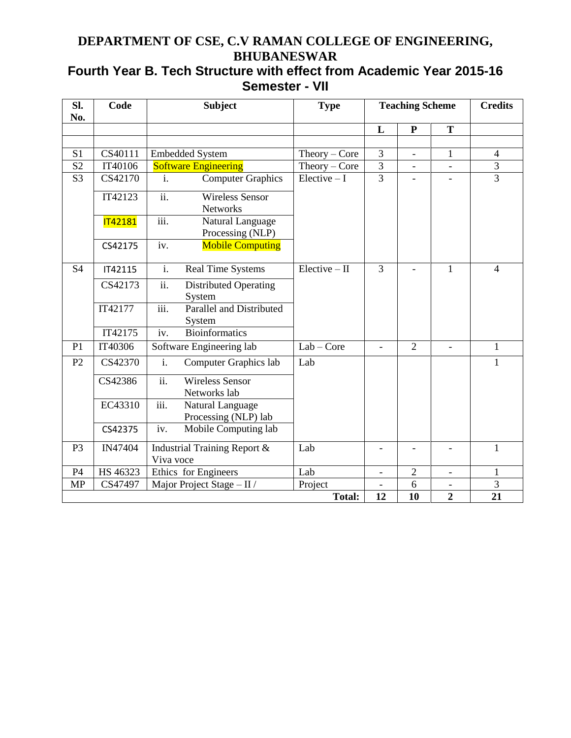# **DEPARTMENT OF CSE, C.V RAMAN COLLEGE OF ENGINEERING, BHUBANESWAR**

# **Fourth Year B. Tech Structure with effect from Academic Year 2015-16 Semester - VII**

| SI.<br>No.     | Code           | <b>Subject</b>                                                 | <b>Type</b>     | <b>Teaching Scheme</b> |                          | <b>Credits</b>           |                |
|----------------|----------------|----------------------------------------------------------------|-----------------|------------------------|--------------------------|--------------------------|----------------|
|                |                |                                                                |                 | L                      | ${\bf P}$                | T                        |                |
|                |                |                                                                |                 |                        |                          |                          |                |
| S <sub>1</sub> | CS40111        | <b>Embedded System</b>                                         | $Theory - Core$ | 3                      | $\overline{\phantom{0}}$ | $\mathbf{1}$             | $\overline{4}$ |
| S <sub>2</sub> | IT40106        | <b>Software Engineering</b>                                    | $Theory - Core$ | $\overline{3}$         | $\overline{\phantom{0}}$ |                          | $\overline{3}$ |
| S <sub>3</sub> | CS42170        | <b>Computer Graphics</b><br>i.                                 | Elective $-I$   | $\overline{3}$         | $\overline{a}$           |                          | $\overline{3}$ |
|                | IT42123        | $\overline{ii}$ .<br><b>Wireless Sensor</b><br><b>Networks</b> |                 |                        |                          |                          |                |
|                | <b>IT42181</b> | iii.<br>Natural Language<br>Processing (NLP)                   |                 |                        |                          |                          |                |
|                | CS42175        | iv.<br><b>Mobile Computing</b>                                 |                 |                        |                          |                          |                |
| S <sub>4</sub> | IT42115        | i.<br><b>Real Time Systems</b>                                 | $Elective - II$ | $\overline{3}$         |                          | 1                        | $\overline{4}$ |
|                | CS42173        | ii.<br><b>Distributed Operating</b><br>System                  |                 |                        |                          |                          |                |
|                | IT42177        | iii.<br>Parallel and Distributed<br>System                     |                 |                        |                          |                          |                |
|                | IT42175        | iv.<br><b>Bioinformatics</b>                                   |                 |                        |                          |                          |                |
| P <sub>1</sub> | IT40306        | Software Engineering lab                                       | $Lab - Core$    | $\overline{a}$         | $\overline{2}$           | $\overline{a}$           | $\mathbf{1}$   |
| P <sub>2</sub> | CS42370        | i.<br><b>Computer Graphics lab</b>                             | Lab             |                        |                          |                          | 1              |
|                | CS42386        | $\overline{ii}$ .<br><b>Wireless Sensor</b><br>Networks lab    |                 |                        |                          |                          |                |
|                | EC43310        | iii.<br>Natural Language<br>Processing (NLP) lab               |                 |                        |                          |                          |                |
|                | CS42375        | Mobile Computing lab<br>iv.                                    |                 |                        |                          |                          |                |
| P <sub>3</sub> | IN47404        | Industrial Training Report &<br>Viva voce                      | Lab             |                        |                          |                          | $\mathbf{1}$   |
| P4             | HS 46323       | Ethics for Engineers                                           | Lab             |                        | $\mathbf{2}$             | $\overline{\phantom{0}}$ | $\mathbf{1}$   |
| <b>MP</b>      | CS47497        | Major Project Stage - II /                                     | Project         |                        | 6                        | $\overline{\phantom{a}}$ | $\overline{3}$ |
|                |                |                                                                | <b>Total:</b>   | 12                     | 10                       | $\overline{2}$           | 21             |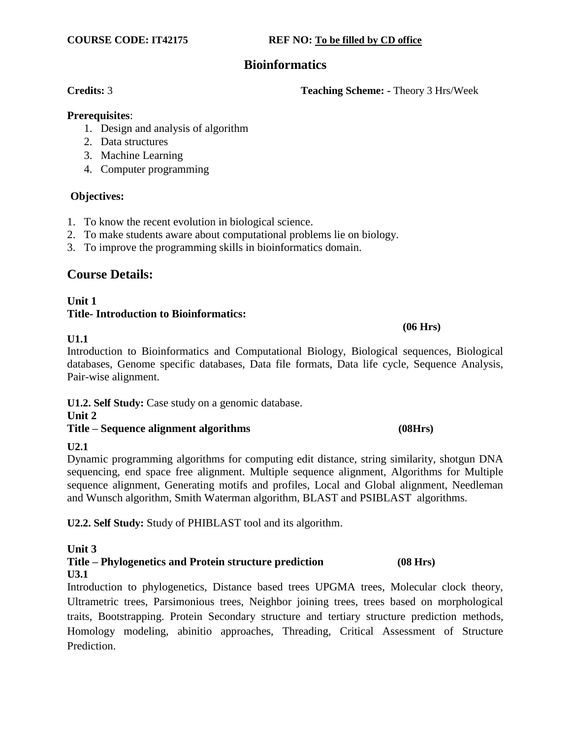### **Bioinformatics**

**Credits:** 3 **Teaching Scheme: -** Theory 3 Hrs/Week

### **Prerequisites**:

- 1. Design and analysis of algorithm
- 2. Data structures
- 3. Machine Learning
- 4. Computer programming

### **Objectives:**

- 1. To know the recent evolution in biological science.
- 2. To make students aware about computational problems lie on biology.
- 3. To improve the programming skills in bioinformatics domain.

## **Course Details:**

### **Unit 1 Title- Introduction to Bioinformatics:**

### **(06 Hrs)**

### **U1.1**

Introduction to Bioinformatics and Computational Biology, Biological sequences, Biological databases, Genome specific databases, Data file formats, Data life cycle, Sequence Analysis, Pair-wise alignment.

**U1.2. Self Study:** Case study on a genomic database.

### **Unit 2**

### **Title – Sequence alignment algorithms (08Hrs)**

### **U2.1**

Dynamic programming algorithms for computing edit distance, string similarity, shotgun DNA sequencing, end space free alignment. Multiple sequence alignment, Algorithms for Multiple sequence alignment, Generating motifs and profiles, Local and Global alignment, Needleman and Wunsch algorithm, Smith Waterman algorithm, BLAST and PSIBLAST algorithms.

**U2.2. Self Study:** Study of PHIBLAST tool and its algorithm.

### **Unit 3**

**Title – Phylogenetics and Protein structure prediction (08 Hrs) U3.1**

Introduction to phylogenetics, Distance based trees UPGMA trees, Molecular clock theory, Ultrametric trees, Parsimonious trees, Neighbor joining trees, trees based on morphological traits, Bootstrapping. Protein Secondary structure and tertiary structure prediction methods, Homology modeling, abinitio approaches, Threading, Critical Assessment of Structure Prediction.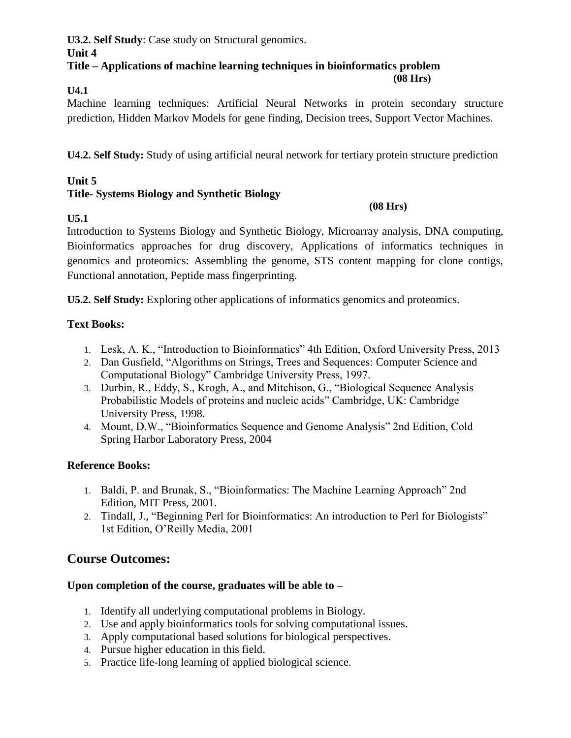# **U3.2. Self Study**: Case study on Structural genomics.

### **Unit 4**

### **Title – Applications of machine learning techniques in bioinformatics problem (08 Hrs)**

# **U4.1**

Machine learning techniques: Artificial Neural Networks in protein secondary structure prediction, Hidden Markov Models for gene finding, Decision trees, Support Vector Machines.

**U4.2. Self Study:** Study of using artificial neural network for tertiary protein structure prediction

# **Unit 5 Title- Systems Biology and Synthetic Biology**

## **(08 Hrs)**

# **U5.1**

Introduction to Systems Biology and Synthetic Biology, Microarray analysis, DNA computing, Bioinformatics approaches for drug discovery, Applications of informatics techniques in genomics and proteomics: Assembling the genome, STS content mapping for clone contigs, Functional annotation, Peptide mass fingerprinting.

**U5.2. Self Study:** Exploring other applications of informatics genomics and proteomics.

# **Text Books:**

- 1. Lesk, A. K., "Introduction to Bioinformatics" 4th Edition, Oxford University Press, 2013
- 2. Dan Gusfield, "Algorithms on Strings, Trees and Sequences: Computer Science and Computational Biology" Cambridge University Press, 1997.
- 3. Durbin, R., Eddy, S., Krogh, A., and Mitchison, G., "Biological Sequence Analysis Probabilistic Models of proteins and nucleic acids" Cambridge, UK: Cambridge University Press, 1998.
- 4. Mount, D.W., "Bioinformatics Sequence and Genome Analysis" 2nd Edition, Cold Spring Harbor Laboratory Press, 2004

# **Reference Books:**

- 1. Baldi, P. and Brunak, S., "Bioinformatics: The Machine Learning Approach" 2nd Edition, MIT Press, 2001.
- 2. Tindall, J., "Beginning Perl for Bioinformatics: An introduction to Perl for Biologists" 1st Edition, O"Reilly Media, 2001

# **Course Outcomes:**

# **Upon completion of the course, graduates will be able to –**

- 1. Identify all underlying computational problems in Biology.
- 2. Use and apply bioinformatics tools for solving computational issues.
- 3. Apply computational based solutions for biological perspectives.
- 4. Pursue higher education in this field.
- 5. Practice life-long learning of applied biological science.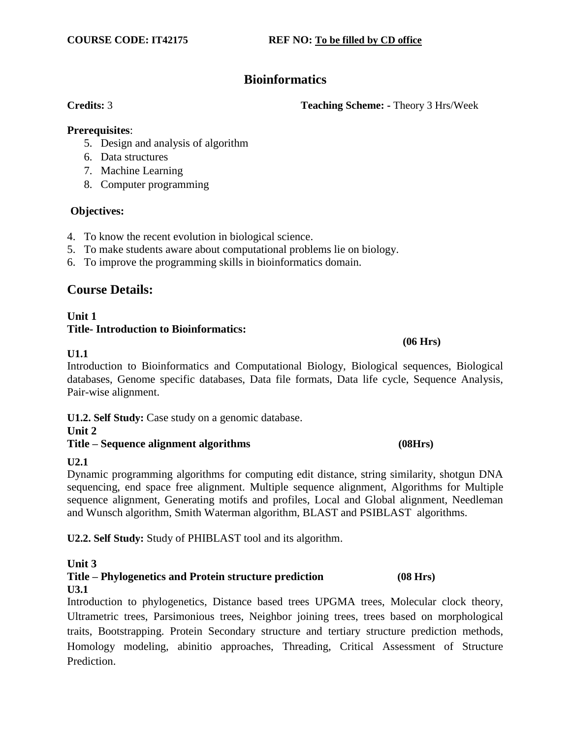# **Bioinformatics**

**Credits:** 3 **Teaching Scheme: -** Theory 3 Hrs/Week

### **Prerequisites**:

- 5. Design and analysis of algorithm
- 6. Data structures
- 7. Machine Learning
- 8. Computer programming

### **Objectives:**

- 4. To know the recent evolution in biological science.
- 5. To make students aware about computational problems lie on biology.
- 6. To improve the programming skills in bioinformatics domain.

# **Course Details:**

## **Unit 1 Title- Introduction to Bioinformatics:**

### **U1.1**

Introduction to Bioinformatics and Computational Biology, Biological sequences, Biological databases, Genome specific databases, Data file formats, Data life cycle, Sequence Analysis, Pair-wise alignment.

**U1.2. Self Study:** Case study on a genomic database.

### **Unit 2**

### **Title – Sequence alignment algorithms (08Hrs)**

### **U2.1**

Dynamic programming algorithms for computing edit distance, string similarity, shotgun DNA sequencing, end space free alignment. Multiple sequence alignment, Algorithms for Multiple sequence alignment, Generating motifs and profiles, Local and Global alignment, Needleman and Wunsch algorithm, Smith Waterman algorithm, BLAST and PSIBLAST algorithms.

**U2.2. Self Study:** Study of PHIBLAST tool and its algorithm.

### **Unit 3**

**Title – Phylogenetics and Protein structure prediction (08 Hrs) U3.1**

Introduction to phylogenetics, Distance based trees UPGMA trees, Molecular clock theory, Ultrametric trees, Parsimonious trees, Neighbor joining trees, trees based on morphological traits, Bootstrapping. Protein Secondary structure and tertiary structure prediction methods, Homology modeling, abinitio approaches, Threading, Critical Assessment of Structure Prediction.

### **(06 Hrs)**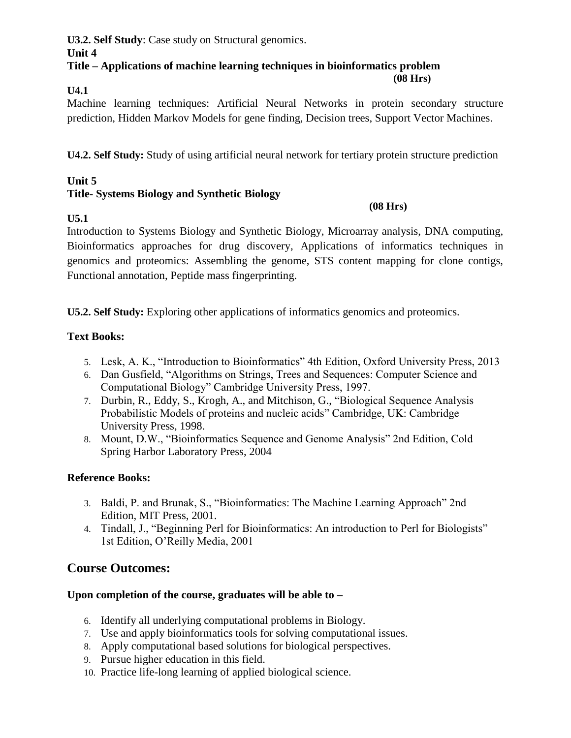# **U3.2. Self Study**: Case study on Structural genomics.

### **Unit 4**

### **Title – Applications of machine learning techniques in bioinformatics problem (08 Hrs)**

# **U4.1**

Machine learning techniques: Artificial Neural Networks in protein secondary structure prediction, Hidden Markov Models for gene finding, Decision trees, Support Vector Machines.

**U4.2. Self Study:** Study of using artificial neural network for tertiary protein structure prediction

# **Unit 5 Title- Systems Biology and Synthetic Biology**

### **(08 Hrs)**

**U5.1**

Introduction to Systems Biology and Synthetic Biology, Microarray analysis, DNA computing, Bioinformatics approaches for drug discovery, Applications of informatics techniques in genomics and proteomics: Assembling the genome, STS content mapping for clone contigs, Functional annotation, Peptide mass fingerprinting.

**U5.2. Self Study:** Exploring other applications of informatics genomics and proteomics.

# **Text Books:**

- 5. Lesk, A. K., "Introduction to Bioinformatics" 4th Edition, Oxford University Press, 2013
- 6. Dan Gusfield, "Algorithms on Strings, Trees and Sequences: Computer Science and Computational Biology" Cambridge University Press, 1997.
- 7. Durbin, R., Eddy, S., Krogh, A., and Mitchison, G., "Biological Sequence Analysis Probabilistic Models of proteins and nucleic acids" Cambridge, UK: Cambridge University Press, 1998.
- 8. Mount, D.W., "Bioinformatics Sequence and Genome Analysis" 2nd Edition, Cold Spring Harbor Laboratory Press, 2004

# **Reference Books:**

- 3. Baldi, P. and Brunak, S., "Bioinformatics: The Machine Learning Approach" 2nd Edition, MIT Press, 2001.
- 4. Tindall, J., "Beginning Perl for Bioinformatics: An introduction to Perl for Biologists" 1st Edition, O"Reilly Media, 2001

# **Course Outcomes:**

# **Upon completion of the course, graduates will be able to –**

- 6. Identify all underlying computational problems in Biology.
- 7. Use and apply bioinformatics tools for solving computational issues.
- 8. Apply computational based solutions for biological perspectives.
- 9. Pursue higher education in this field.
- 10. Practice life-long learning of applied biological science.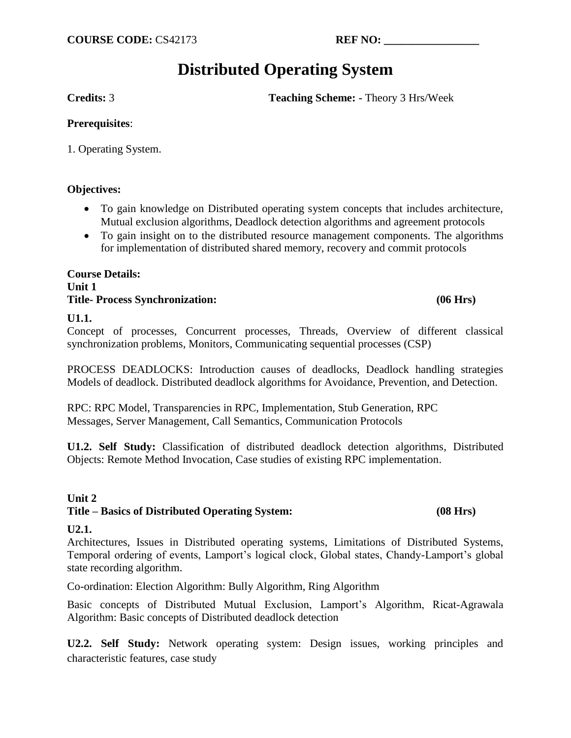# **Distributed Operating System**

**Credits:** 3 **Teaching Scheme: -** Theory 3 Hrs/Week

### **Prerequisites**:

1. Operating System.

### **Objectives:**

- To gain knowledge on Distributed operating system concepts that includes architecture, Mutual exclusion algorithms, Deadlock detection algorithms and agreement protocols
- To gain insight on to the distributed resource management components. The algorithms for implementation of distributed shared memory, recovery and commit protocols

### **Course Details: Unit 1 Title- Process Synchronization: (06 Hrs)**

### **U1.1.**

Concept of processes, Concurrent processes, Threads, Overview of different classical synchronization problems, Monitors, Communicating sequential processes (CSP)

PROCESS DEADLOCKS: Introduction causes of deadlocks, Deadlock handling strategies Models of deadlock. Distributed deadlock algorithms for Avoidance, Prevention, and Detection.

RPC: RPC Model, Transparencies in RPC, Implementation, Stub Generation, RPC Messages, Server Management, Call Semantics, Communication Protocols

**U1.2. Self Study:** Classification of distributed deadlock detection algorithms, Distributed Objects: Remote Method Invocation, Case studies of existing RPC implementation.

### **Unit 2**

### **Title – Basics of Distributed Operating System: (08 Hrs)**

### **U2.1.**

Architectures, Issues in Distributed operating systems, Limitations of Distributed Systems, Temporal ordering of events, Lamport's logical clock, Global states, Chandy-Lamport's global state recording algorithm.

Co-ordination: Election Algorithm: Bully Algorithm, Ring Algorithm

Basic concepts of Distributed Mutual Exclusion, Lamport's Algorithm, Ricat-Agrawala Algorithm: Basic concepts of Distributed deadlock detection

**U2.2. Self Study:** Network operating system: Design issues, working principles and characteristic features, case study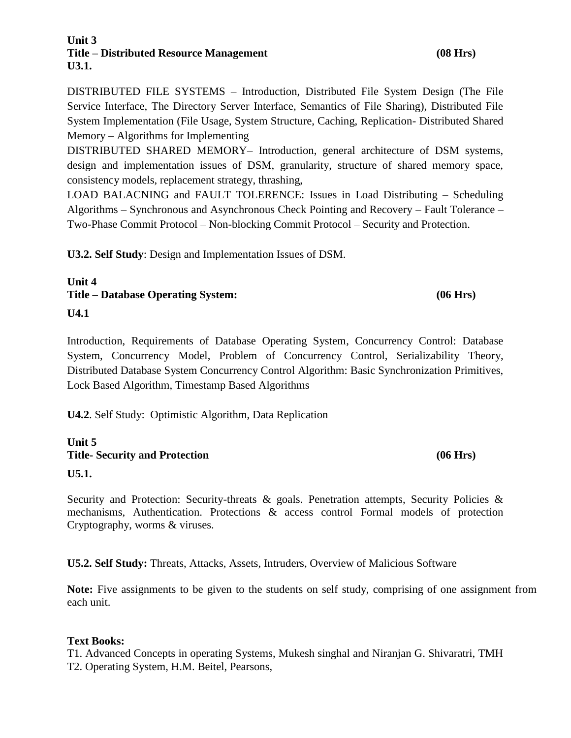# **Unit 3 Title – Distributed Resource Management (08 Hrs)**

DISTRIBUTED FILE SYSTEMS – Introduction, Distributed File System Design (The File Service Interface, The Directory Server Interface, Semantics of File Sharing), Distributed File System Implementation (File Usage, System Structure, Caching, Replication- Distributed Shared Memory – Algorithms for Implementing

DISTRIBUTED SHARED MEMORY– Introduction, general architecture of DSM systems, design and implementation issues of DSM, granularity, structure of shared memory space, consistency models, replacement strategy, thrashing,

LOAD BALACNING and FAULT TOLERENCE: Issues in Load Distributing – Scheduling Algorithms – Synchronous and Asynchronous Check Pointing and Recovery – Fault Tolerance – Two-Phase Commit Protocol – Non-blocking Commit Protocol – Security and Protection.

**U3.2. Self Study**: Design and Implementation Issues of DSM.

# **Unit 4 Title – Database Operating System: (06 Hrs) U4.1**

Introduction, Requirements of Database Operating System, Concurrency Control: Database System, Concurrency Model, Problem of Concurrency Control, Serializability Theory, Distributed Database System Concurrency Control Algorithm: Basic Synchronization Primitives, Lock Based Algorithm, Timestamp Based Algorithms

**U4.2**. Self Study: Optimistic Algorithm, Data Replication

### **Unit 5 Title- Security and Protection (06 Hrs)**

### **U5.1.**

Security and Protection: Security-threats & goals. Penetration attempts, Security Policies & mechanisms, Authentication. Protections & access control Formal models of protection Cryptography, worms & viruses.

**U5.2. Self Study:** Threats, Attacks, Assets, Intruders, Overview of Malicious Software

**Note:** Five assignments to be given to the students on self study, comprising of one assignment from each unit.

### **Text Books:**

T1. Advanced Concepts in operating Systems, Mukesh singhal and Niranjan G. Shivaratri, TMH T2. Operating System, H.M. Beitel, Pearsons,

**U3.1.**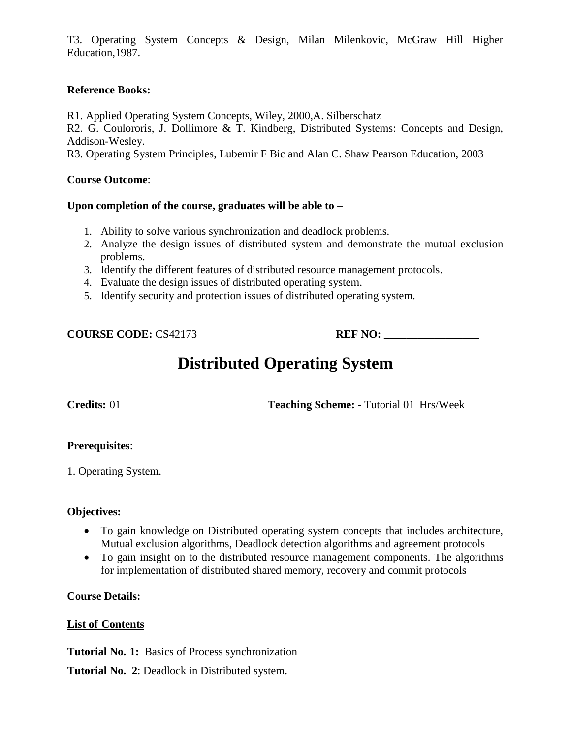T3. Operating System Concepts & Design, Milan Milenkovic, McGraw Hill Higher Education,1987.

## **Reference Books:**

R1. Applied Operating System Concepts, Wiley, 2000,A. Silberschatz

R2. G. Coulororis, J. Dollimore & T. Kindberg, Distributed Systems: Concepts and Design, Addison-Wesley.

R3. Operating System Principles, Lubemir F Bic and Alan C. Shaw Pearson Education, 2003

## **Course Outcome**:

## **Upon completion of the course, graduates will be able to –**

- 1. Ability to solve various synchronization and deadlock problems.
- 2. Analyze the design issues of distributed system and demonstrate the mutual exclusion problems.
- 3. Identify the different features of distributed resource management protocols.
- 4. Evaluate the design issues of distributed operating system.
- 5. Identify security and protection issues of distributed operating system.

# **COURSE CODE:** CS42173 **REF NO:**

# **Distributed Operating System**

**Credits:** 01 **Teaching Scheme: -** Tutorial 01 Hrs/Week

# **Prerequisites**:

1. Operating System.

### **Objectives:**

- To gain knowledge on Distributed operating system concepts that includes architecture, Mutual exclusion algorithms, Deadlock detection algorithms and agreement protocols
- To gain insight on to the distributed resource management components. The algorithms for implementation of distributed shared memory, recovery and commit protocols

# **Course Details:**

# **List of Contents**

**Tutorial No. 1:** Basics of Process synchronization

**Tutorial No. 2**: Deadlock in Distributed system.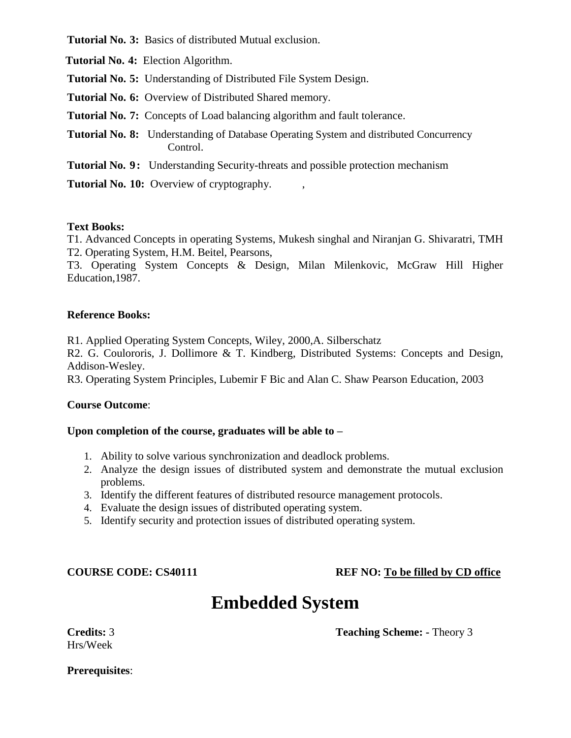**Tutorial No. 3:** Basics of distributed Mutual exclusion.

**Tutorial No. 4:** Election Algorithm.

**Tutorial No. 5:** Understanding of Distributed File System Design.

**Tutorial No. 6:** Overview of Distributed Shared memory.

**Tutorial No. 7:** Concepts of Load balancing algorithm and fault tolerance.

**Tutorial No. 8:** Understanding of Database Operating System and distributed Concurrency Control.

**Tutorial No. 9:** Understanding Security-threats and possible protection mechanism

**Tutorial No. 10:** Overview of cryptography.

### **Text Books:**

T1. Advanced Concepts in operating Systems, Mukesh singhal and Niranjan G. Shivaratri, TMH T2. Operating System, H.M. Beitel, Pearsons,

T3. Operating System Concepts & Design, Milan Milenkovic, McGraw Hill Higher Education,1987.

### **Reference Books:**

R1. Applied Operating System Concepts, Wiley, 2000,A. Silberschatz

R2. G. Coulororis, J. Dollimore & T. Kindberg, Distributed Systems: Concepts and Design, Addison-Wesley.

R3. Operating System Principles, Lubemir F Bic and Alan C. Shaw Pearson Education, 2003

### **Course Outcome**:

### **Upon completion of the course, graduates will be able to –**

- 1. Ability to solve various synchronization and deadlock problems.
- 2. Analyze the design issues of distributed system and demonstrate the mutual exclusion problems.
- 3. Identify the different features of distributed resource management protocols.
- 4. Evaluate the design issues of distributed operating system.
- 5. Identify security and protection issues of distributed operating system.

### **COURSE CODE: CS40111 REF NO: To be filled by CD office**

# **Embedded System**

Hrs/Week

**Credits: 3 Teaching Scheme: -** Theory 3

**Prerequisites**: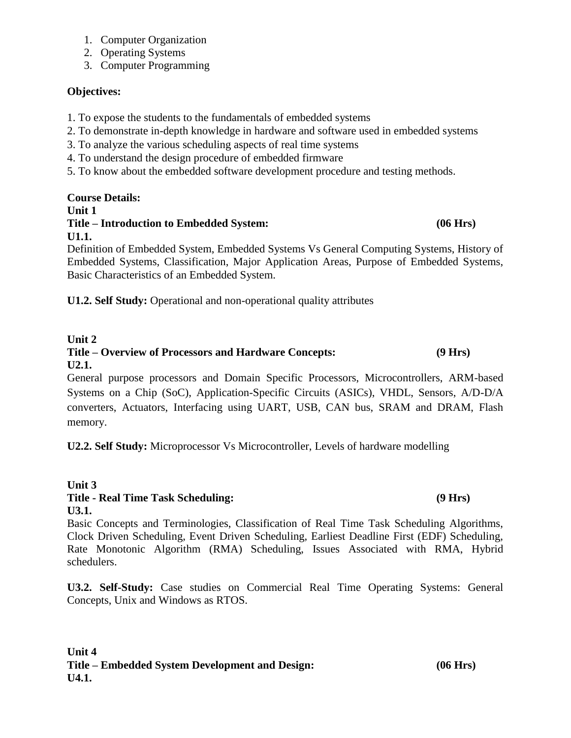- 1. Computer Organization
- 2. Operating Systems
- 3. Computer Programming

# **Objectives:**

- 1. To expose the students to the fundamentals of embedded systems
- 2. To demonstrate in-depth knowledge in hardware and software used in embedded systems
- 3. To analyze the various scheduling aspects of real time systems
- 4. To understand the design procedure of embedded firmware
- 5. To know about the embedded software development procedure and testing methods.

| <b>Course Details:</b>                                                              |                    |
|-------------------------------------------------------------------------------------|--------------------|
| Unit 1                                                                              |                    |
| Title – Introduction to Embedded System:                                            | $(06 \text{ Hrs})$ |
| U1.1.                                                                               |                    |
| Definition of Embedded System, Embedded Systems Vs General Computing Systems, Histo |                    |

Definition of Embedded System, Embedded Systems Vs General Computing Systems, History of Embedded Systems, Classification, Major Application Areas, Purpose of Embedded Systems, Basic Characteristics of an Embedded System.

**U1.2. Self Study:** Operational and non-operational quality attributes

# **Unit 2**

### **Title – Overview of Processors and Hardware Concepts: (9 Hrs) U2.1.**

General purpose processors and Domain Specific Processors, Microcontrollers, ARM-based Systems on a Chip (SoC), Application-Specific Circuits (ASICs), VHDL, Sensors, A/D-D/A converters, Actuators, Interfacing using UART, USB, CAN bus, SRAM and DRAM, Flash memory.

**U2.2. Self Study:** Microprocessor Vs Microcontroller, Levels of hardware modelling

# **Unit 3**

### **Title - Real Time Task Scheduling: (9 Hrs) U3.1.**

Basic Concepts and Terminologies, Classification of Real Time Task Scheduling Algorithms, Clock Driven Scheduling, Event Driven Scheduling, Earliest Deadline First (EDF) Scheduling, Rate Monotonic Algorithm (RMA) Scheduling, Issues Associated with RMA, Hybrid schedulers.

**U3.2. Self-Study:** Case studies on Commercial Real Time Operating Systems: General Concepts, Unix and Windows as RTOS.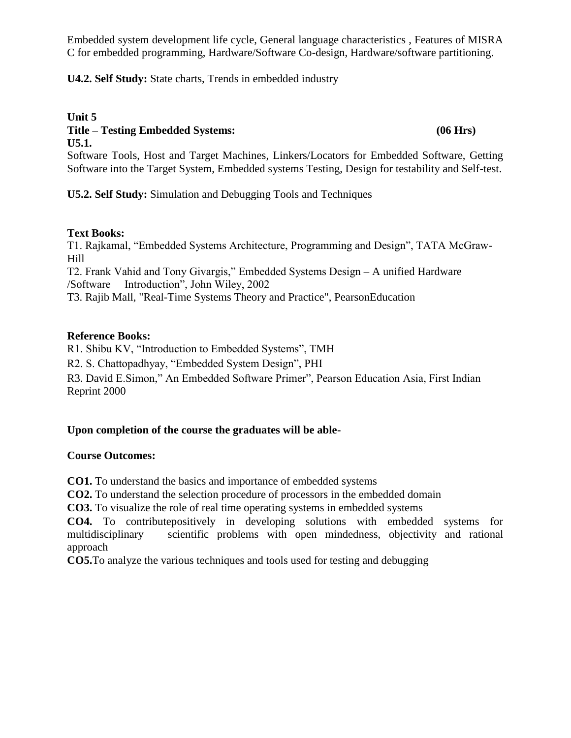Embedded system development life cycle, General language characteristics , Features of MISRA C for embedded programming, Hardware/Software Co-design, Hardware/software partitioning.

**U4.2. Self Study:** State charts, Trends in embedded industry

# **Unit 5 Title – Testing Embedded Systems: (06 Hrs) U5.1.**

Software Tools, Host and Target Machines, Linkers/Locators for Embedded Software, Getting Software into the Target System, Embedded systems Testing, Design for testability and Self-test.

**U5.2. Self Study:** Simulation and Debugging Tools and Techniques

### **Text Books:**

T1. Rajkamal, "Embedded Systems Architecture, Programming and Design", TATA McGraw-Hill

T2. Frank Vahid and Tony Givargis," Embedded Systems Design – A unified Hardware /Software Introduction", John Wiley, 2002

T3. Rajib Mall, "Real-Time Systems Theory and Practice", PearsonEducation

### **Reference Books:**

R1. Shibu KV, "Introduction to Embedded Systems", TMH

R2. S. Chattopadhyay, "Embedded System Design", PHI

R3. David E.Simon," An Embedded Software Primer", Pearson Education Asia, First Indian Reprint 2000

### **Upon completion of the course the graduates will be able-**

### **Course Outcomes:**

**CO1.** To understand the basics and importance of embedded systems

**CO2.** To understand the selection procedure of processors in the embedded domain

**CO3.** To visualize the role of real time operating systems in embedded systems

**CO4.** To contributepositively in developing solutions with embedded systems for multidisciplinary scientific problems with open mindedness, objectivity and rational approach

**CO5.**To analyze the various techniques and tools used for testing and debugging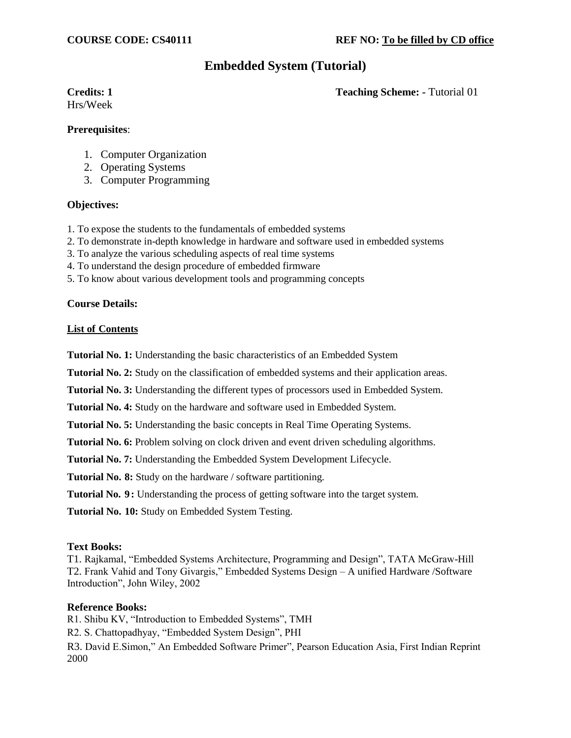# **Embedded System (Tutorial)**

Hrs/Week

**Credits: 1 Teaching Scheme: -** Tutorial 01

### **Prerequisites**:

- 1. Computer Organization
- 2. Operating Systems
- 3. Computer Programming

### **Objectives:**

- 1. To expose the students to the fundamentals of embedded systems
- 2. To demonstrate in-depth knowledge in hardware and software used in embedded systems
- 3. To analyze the various scheduling aspects of real time systems
- 4. To understand the design procedure of embedded firmware
- 5. To know about various development tools and programming concepts

### **Course Details:**

### **List of Contents**

**Tutorial No. 1:** Understanding the basic characteristics of an Embedded System

**Tutorial No. 2:** Study on the classification of embedded systems and their application areas.

**Tutorial No. 3:** Understanding the different types of processors used in Embedded System.

**Tutorial No. 4:** Study on the hardware and software used in Embedded System.

**Tutorial No. 5:** Understanding the basic concepts in Real Time Operating Systems.

**Tutorial No. 6:** Problem solving on clock driven and event driven scheduling algorithms.

**Tutorial No. 7:** Understanding the Embedded System Development Lifecycle.

**Tutorial No. 8:** Study on the hardware / software partitioning.

**Tutorial No. 9:** Understanding the process of getting software into the target system.

**Tutorial No. 10:** Study on Embedded System Testing.

### **Text Books:**

T1. Rajkamal, "Embedded Systems Architecture, Programming and Design", TATA McGraw-Hill T2. Frank Vahid and Tony Givargis," Embedded Systems Design – A unified Hardware /Software Introduction", John Wiley, 2002

### **Reference Books:**

R1. Shibu KV, "Introduction to Embedded Systems", TMH

R2. S. Chattopadhyay, "Embedded System Design", PHI

R3. David E.Simon," An Embedded Software Primer", Pearson Education Asia, First Indian Reprint 2000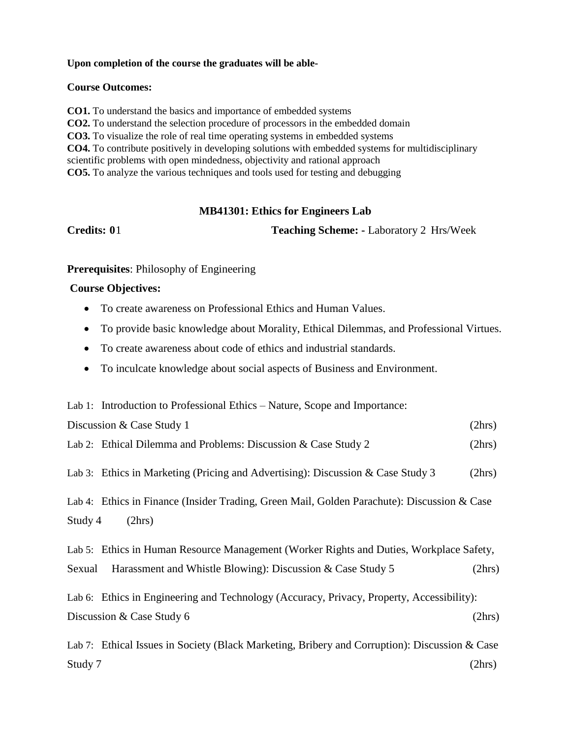### **Upon completion of the course the graduates will be able-**

### **Course Outcomes:**

**CO1.** To understand the basics and importance of embedded systems **CO2.** To understand the selection procedure of processors in the embedded domain **CO3.** To visualize the role of real time operating systems in embedded systems **CO4.** To contribute positively in developing solutions with embedded systems for multidisciplinary scientific problems with open mindedness, objectivity and rational approach **CO5.** To analyze the various techniques and tools used for testing and debugging

### **MB41301: Ethics for Engineers Lab**

**Credits: 0**1 **Teaching Scheme: -** Laboratory 2 Hrs/Week

### **Prerequisites**: Philosophy of Engineering

### **Course Objectives:**

- To create awareness on Professional Ethics and Human Values.
- To provide basic knowledge about Morality, Ethical Dilemmas, and Professional Virtues.
- To create awareness about code of ethics and industrial standards.
- To inculcate knowledge about social aspects of Business and Environment.

Lab 1: Introduction to Professional Ethics – Nature, Scope and Importance:  $Discussion & Case Study 1$  (2hrs) Lab 2: Ethical Dilemma and Problems: Discussion & Case Study 2 (2hrs) Lab 3: Ethics in Marketing (Pricing and Advertising): Discussion & Case Study 3 (2hrs)

Lab 4: Ethics in Finance (Insider Trading, Green Mail, Golden Parachute): Discussion & Case Study 4 (2hrs)

Lab 5: Ethics in Human Resource Management (Worker Rights and Duties, Workplace Safety, Sexual Harassment and Whistle Blowing): Discussion & Case Study 5 (2hrs)

Lab 6: Ethics in Engineering and Technology (Accuracy, Privacy, Property, Accessibility):  $Discussion & Case Study 6$  (2hrs)

Lab 7: Ethical Issues in Society (Black Marketing, Bribery and Corruption): Discussion & Case Study 7 (2hrs)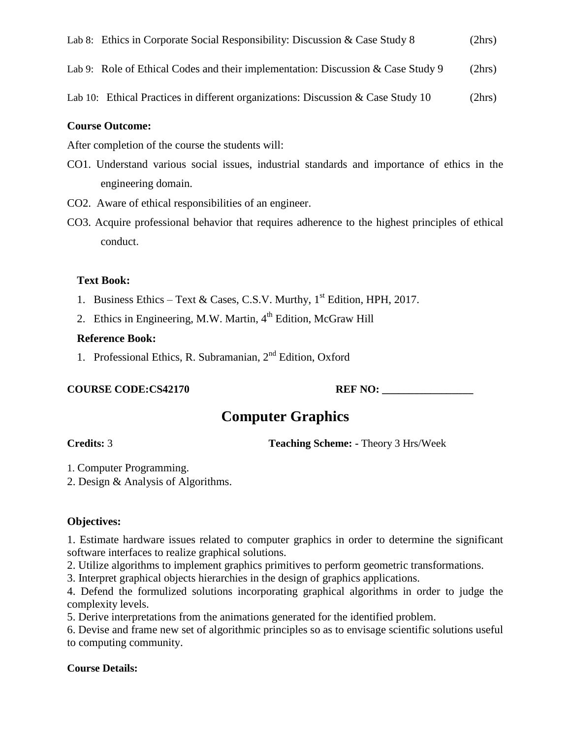|  | Lab 8: Ethics in Corporate Social Responsibility: Discussion & Case Study 8 |  |  | (2hrs) |
|--|-----------------------------------------------------------------------------|--|--|--------|
|--|-----------------------------------------------------------------------------|--|--|--------|

Lab 9: Role of Ethical Codes and their implementation: Discussion & Case Study 9 (2hrs)

Lab 10: Ethical Practices in different organizations: Discussion & Case Study 10 (2hrs)

### **Course Outcome:**

After completion of the course the students will:

- CO1. Understand various social issues, industrial standards and importance of ethics in the engineering domain.
- CO2. Aware of ethical responsibilities of an engineer.
- CO3. Acquire professional behavior that requires adherence to the highest principles of ethical conduct.

### **Text Book:**

- 1. Business Ethics Text & Cases, C.S.V. Murthy,  $1<sup>st</sup>$  Edition, HPH, 2017.
- 2. Ethics in Engineering, M.W. Martin,  $4<sup>th</sup>$  Edition, McGraw Hill

### **Reference Book:**

1. Professional Ethics, R. Subramanian, 2<sup>nd</sup> Edition, Oxford

**COURSE CODE:CS42170 REF NO:** 

# **Computer Graphics**

**Credits:** 3 **Teaching Scheme: -** Theory 3 Hrs/Week

- 1. Computer Programming.
- 2. Design & Analysis of Algorithms.

### **Objectives:**

1. Estimate hardware issues related to computer graphics in order to determine the significant software interfaces to realize graphical solutions.

2. Utilize algorithms to implement graphics primitives to perform geometric transformations.

3. Interpret graphical objects hierarchies in the design of graphics applications.

4. Defend the formulized solutions incorporating graphical algorithms in order to judge the complexity levels.

5. Derive interpretations from the animations generated for the identified problem.

6. Devise and frame new set of algorithmic principles so as to envisage scientific solutions useful to computing community.

### **Course Details:**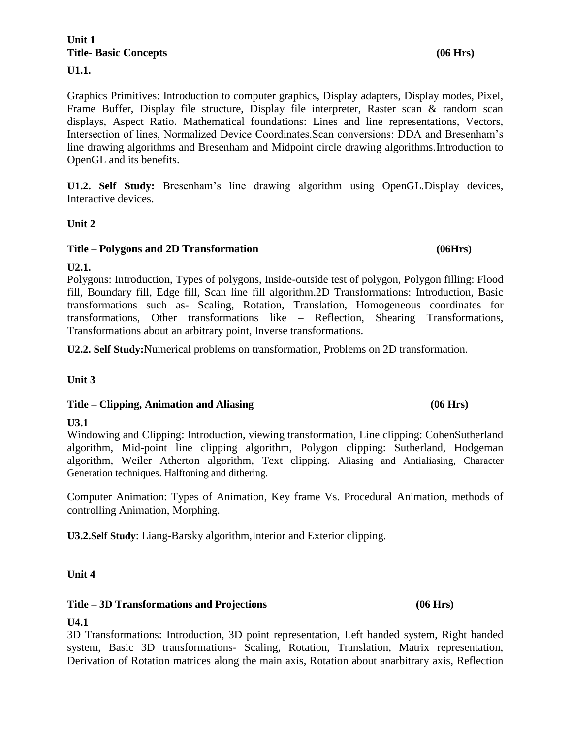# **Unit 1 Title- Basic Concepts (06 Hrs)**

**U1.1.** 

Graphics Primitives: Introduction to computer graphics, Display adapters, Display modes, Pixel, Frame Buffer, Display file structure, Display file interpreter, Raster scan & random scan displays, Aspect Ratio. Mathematical foundations: Lines and line representations, Vectors, Intersection of lines, Normalized Device Coordinates.Scan conversions: DDA and Bresenham"s line drawing algorithms and Bresenham and Midpoint circle drawing algorithms.Introduction to OpenGL and its benefits.

**U1.2. Self Study:** Bresenham"s line drawing algorithm using OpenGL.Display devices, Interactive devices.

**Unit 2** 

### **Title – Polygons and 2D Transformation (06Hrs)**

**U2.1.** 

Polygons: Introduction, Types of polygons, Inside-outside test of polygon, Polygon filling: Flood fill, Boundary fill, Edge fill, Scan line fill algorithm.2D Transformations: Introduction, Basic transformations such as- Scaling, Rotation, Translation, Homogeneous coordinates for transformations, Other transformations like – Reflection, Shearing Transformations, Transformations about an arbitrary point, Inverse transformations.

**U2.2. Self Study:**Numerical problems on transformation, Problems on 2D transformation.

**Unit 3**

### **Title – Clipping, Animation and Aliasing (06 Hrs)**

**U3.1**

Windowing and Clipping: Introduction, viewing transformation, Line clipping: CohenSutherland algorithm, Mid-point line clipping algorithm, Polygon clipping: Sutherland, Hodgeman algorithm, Weiler Atherton algorithm, Text clipping. Aliasing and Antialiasing, Character Generation techniques. Halftoning and dithering.

Computer Animation: Types of Animation, Key frame Vs. Procedural Animation, methods of controlling Animation, Morphing.

**U3.2.Self Study**: Liang-Barsky algorithm,Interior and Exterior clipping.

**Unit 4** 

### **Title – 3D Transformations and Projections (06 Hrs)**

**U4.1**

3D Transformations: Introduction, 3D point representation, Left handed system, Right handed system, Basic 3D transformations- Scaling, Rotation, Translation, Matrix representation, Derivation of Rotation matrices along the main axis, Rotation about anarbitrary axis, Reflection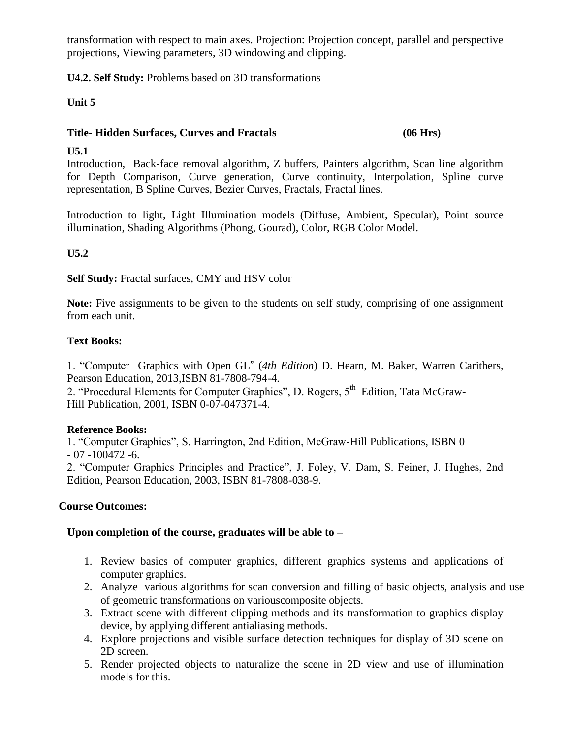transformation with respect to main axes. Projection: Projection concept, parallel and perspective projections, Viewing parameters, 3D windowing and clipping.

**U4.2. Self Study:** Problems based on 3D transformations

**Unit 5** 

### **Title- Hidden Surfaces, Curves and Fractals (06 Hrs)**

**U5.1**

Introduction, Back-face removal algorithm, Z buffers, Painters algorithm, Scan line algorithm for Depth Comparison, Curve generation, Curve continuity, Interpolation, Spline curve representation, B Spline Curves, Bezier Curves, Fractals, Fractal lines.

Introduction to light, Light Illumination models (Diffuse, Ambient, Specular), Point source illumination, Shading Algorithms (Phong, Gourad), Color, RGB Color Model.

### **U5.2**

**Self Study:** Fractal surfaces, CMY and HSV color

Note: Five assignments to be given to the students on self study, comprising of one assignment from each unit.

### **Text Books:**

1. "Computer Graphics with Open GL" (*4th Edition*) D. Hearn, M. Baker, Warren Carithers, Pearson Education, 2013,ISBN 81-7808-794-4.

2. "Procedural Elements for Computer Graphics", D. Rogers, 5<sup>th</sup> Edition, Tata McGraw-Hill Publication, 2001, ISBN 0-07-047371-4.

### **Reference Books:**

1. "Computer Graphics", S. Harrington, 2nd Edition, McGraw-Hill Publications, ISBN 0 - 07 -100472 -6.

2. "Computer Graphics Principles and Practice", J. Foley, V. Dam, S. Feiner, J. Hughes, 2nd Edition, Pearson Education, 2003, ISBN 81-7808-038-9.

### **Course Outcomes:**

### **Upon completion of the course, graduates will be able to –**

- 1. Review basics of computer graphics, different graphics systems and applications of computer graphics.
- 2. Analyze various algorithms for scan conversion and filling of basic objects, analysis and use of geometric transformations on variouscomposite objects.
- 3. Extract scene with different clipping methods and its transformation to graphics display device, by applying different antialiasing methods.
- 4. Explore projections and visible surface detection techniques for display of 3D scene on 2D screen.
- 5. Render projected objects to naturalize the scene in 2D view and use of illumination models for this.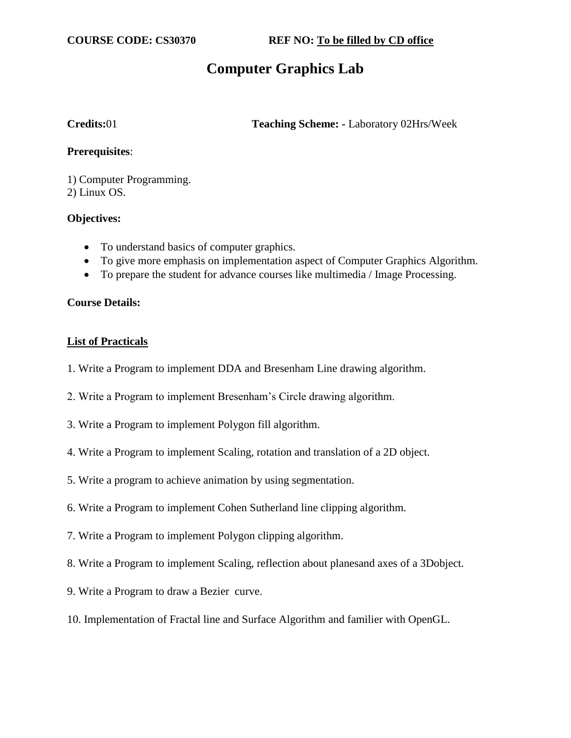# **Computer Graphics Lab**

**Credits:**01 **Teaching Scheme: -** Laboratory 02Hrs/Week

### **Prerequisites**:

1) Computer Programming. 2) Linux OS.

### **Objectives:**

- To understand basics of computer graphics.
- To give more emphasis on implementation aspect of Computer Graphics Algorithm.
- To prepare the student for advance courses like multimedia / Image Processing.

### **Course Details:**

### **List of Practicals**

- 1. Write a Program to implement DDA and Bresenham Line drawing algorithm.
- 2. Write a Program to implement Bresenham"s Circle drawing algorithm.
- 3. Write a Program to implement Polygon fill algorithm.
- 4. Write a Program to implement Scaling, rotation and translation of a 2D object.
- 5. Write a program to achieve animation by using segmentation.
- 6. Write a Program to implement Cohen Sutherland line clipping algorithm.
- 7. Write a Program to implement Polygon clipping algorithm.
- 8. Write a Program to implement Scaling, reflection about planesand axes of a 3Dobject.
- 9. Write a Program to draw a Bezier curve.
- 10. Implementation of Fractal line and Surface Algorithm and familier with OpenGL.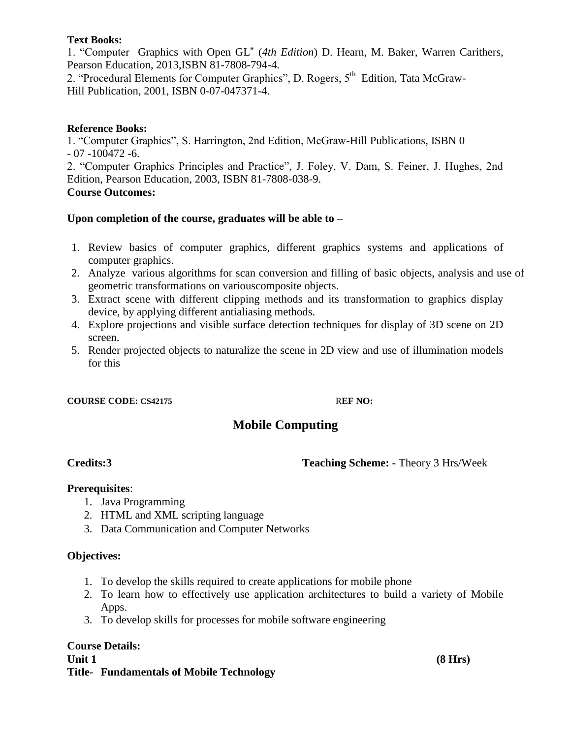### **Text Books:**

1. "Computer Graphics with Open GL" (*4th Edition*) D. Hearn, M. Baker, Warren Carithers, Pearson Education, 2013,ISBN 81-7808-794-4.

2. "Procedural Elements for Computer Graphics", D. Rogers,  $5<sup>th</sup>$  Edition, Tata McGraw-Hill Publication, 2001, ISBN 0-07-047371-4.

### **Reference Books:**

1. "Computer Graphics", S. Harrington, 2nd Edition, McGraw-Hill Publications, ISBN 0 - 07 -100472 -6.

2. "Computer Graphics Principles and Practice", J. Foley, V. Dam, S. Feiner, J. Hughes, 2nd Edition, Pearson Education, 2003, ISBN 81-7808-038-9.

## **Course Outcomes:**

### **Upon completion of the course, graduates will be able to –**

- 1. Review basics of computer graphics, different graphics systems and applications of computer graphics.
- 2. Analyze various algorithms for scan conversion and filling of basic objects, analysis and use of geometric transformations on variouscomposite objects.
- 3. Extract scene with different clipping methods and its transformation to graphics display device, by applying different antialiasing methods.
- 4. Explore projections and visible surface detection techniques for display of 3D scene on 2D screen.
- 5. Render projected objects to naturalize the scene in 2D view and use of illumination models for this

### **COURSE CODE: CS42175** R**EF NO:**

# **Mobile Computing**

**Credits:3 Teaching Scheme: -** Theory 3 Hrs/Week

### **Prerequisites**:

- 1. Java Programming
- 2. HTML and XML scripting language
- 3. Data Communication and Computer Networks

### **Objectives:**

- 1. To develop the skills required to create applications for mobile phone
- 2. To learn how to effectively use application architectures to build a variety of Mobile Apps.
- 3. To develop skills for processes for mobile software engineering

### **Course Details: Unit 1 (8 Hrs) Title- Fundamentals of Mobile Technology**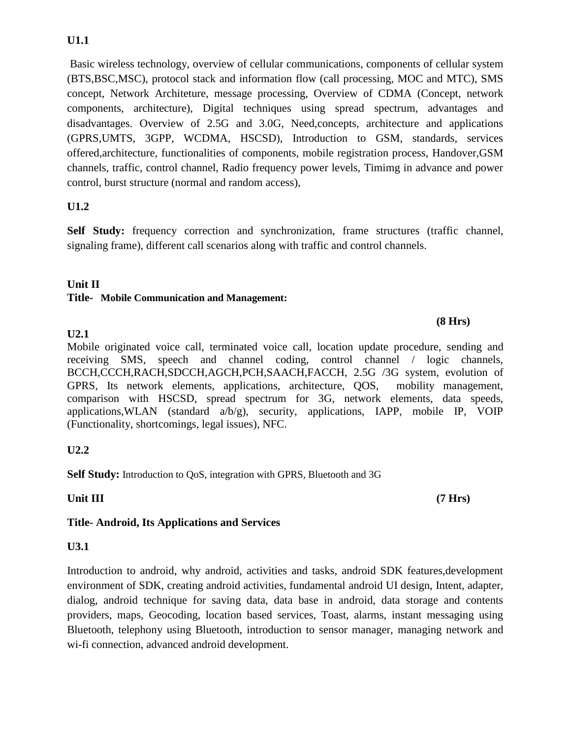# **U1.1**

Basic wireless technology, overview of cellular communications, components of cellular system (BTS,BSC,MSC), protocol stack and information flow (call processing, MOC and MTC), SMS concept, Network Architeture, message processing, Overview of CDMA (Concept, network components, architecture), Digital techniques using spread spectrum, advantages and disadvantages. Overview of 2.5G and 3.0G, Need,concepts, architecture and applications (GPRS,UMTS, 3GPP, WCDMA, HSCSD), Introduction to GSM, standards, services offered,architecture, functionalities of components, mobile registration process, Handover,GSM channels, traffic, control channel, Radio frequency power levels, Timimg in advance and power control, burst structure (normal and random access),

# **U1.2**

**Self Study:** frequency correction and synchronization, frame structures (traffic channel, signaling frame), different call scenarios along with traffic and control channels.

### **Unit II**

### **Title- Mobile Communication and Management:**

### **U2.1**

Mobile originated voice call, terminated voice call, location update procedure, sending and receiving SMS, speech and channel coding, control channel / logic channels, BCCH,CCCH,RACH,SDCCH,AGCH,PCH,SAACH,FACCH, 2.5G /3G system, evolution of GPRS, Its network elements, applications, architecture, QOS, mobility management, comparison with HSCSD, spread spectrum for 3G, network elements, data speeds, applications,WLAN (standard a/b/g), security, applications, IAPP, mobile IP, VOIP (Functionality, shortcomings, legal issues), NFC.

### **U2.2**

**Self Study:** Introduction to QoS, integration with GPRS, Bluetooth and 3G

Unit III (7 Hrs)

# **Title- Android, Its Applications and Services**

### **U3.1**

Introduction to android, why android, activities and tasks, android SDK features,development environment of SDK, creating android activities, fundamental android UI design, Intent, adapter, dialog, android technique for saving data, data base in android, data storage and contents providers, maps, Geocoding, location based services, Toast, alarms, instant messaging using Bluetooth, telephony using Bluetooth, introduction to sensor manager, managing network and wi-fi connection, advanced android development.

### **(8 Hrs)**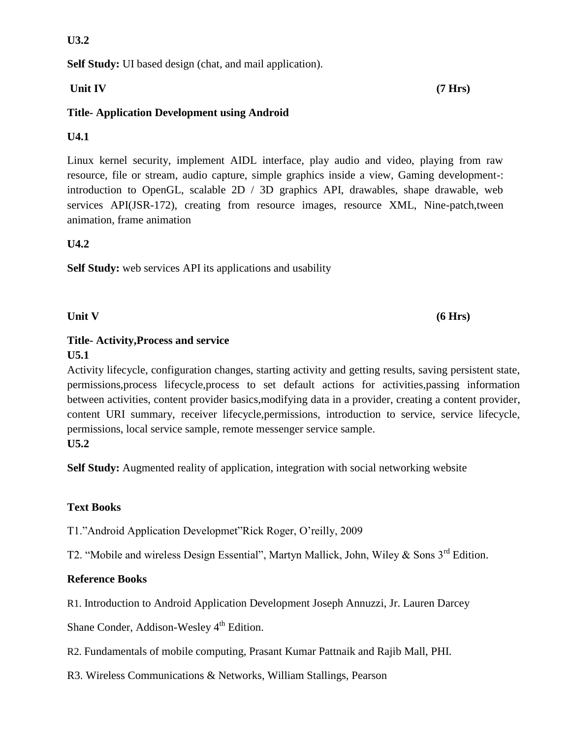### **U3.2**

**Self Study:** UI based design (chat, and mail application).

## Unit IV (7 Hrs)

# **Title- Application Development using Android**

# **U4.1**

Linux kernel security, implement AIDL interface, play audio and video, playing from raw resource, file or stream, audio capture, simple graphics inside a view, Gaming development-: introduction to OpenGL, scalable 2D / 3D graphics API, drawables, shape drawable, web services API(JSR-172), creating from resource images, resource XML, Nine-patch,tween animation, frame animation

## **U4.2**

**Self Study:** web services API its applications and usability

Unit V (6 Hrs)

# **Title- Activity,Process and service**

## **U5.1**

Activity lifecycle, configuration changes, starting activity and getting results, saving persistent state, permissions,process lifecycle,process to set default actions for activities,passing information between activities, content provider basics,modifying data in a provider, creating a content provider, content URI summary, receiver lifecycle,permissions, introduction to service, service lifecycle, permissions, local service sample, remote messenger service sample. **U5.2**

**Self Study:** Augmented reality of application, integration with social networking website

# **Text Books**

T1."Android Application Developmet"Rick Roger, O"reilly, 2009

T2. "Mobile and wireless Design Essential", Martyn Mallick, John, Wiley & Sons 3rd Edition.

### **Reference Books**

R1. Introduction to Android Application Development Joseph Annuzzi, Jr. Lauren Darcey

Shane Conder, Addison-Wesley  $4<sup>th</sup>$  Edition.

R2. Fundamentals of mobile computing, Prasant Kumar Pattnaik and Rajib Mall, PHI.

R3. Wireless Communications & Networks, William Stallings, Pearson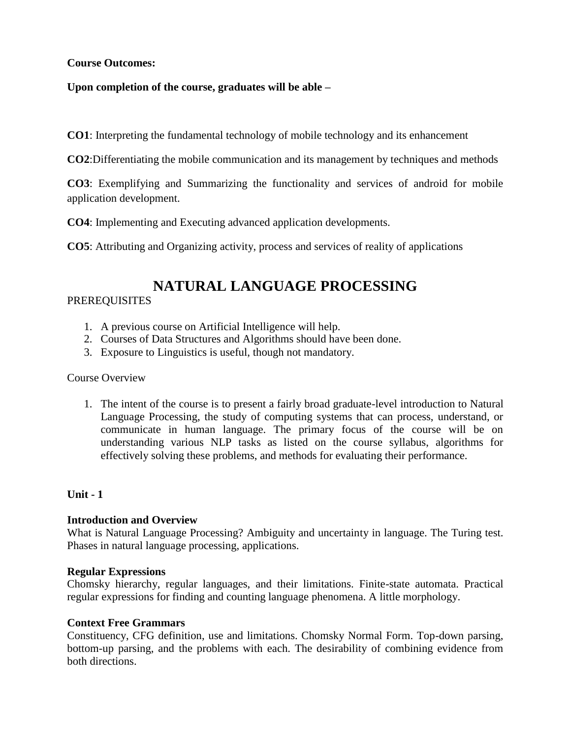### **Course Outcomes:**

### **Upon completion of the course, graduates will be able –**

**CO1**: Interpreting the fundamental technology of mobile technology and its enhancement

**CO2**:Differentiating the mobile communication and its management by techniques and methods

**CO3**: Exemplifying and Summarizing the functionality and services of android for mobile application development.

**CO4**: Implementing and Executing advanced application developments.

**CO5**: Attributing and Organizing activity, process and services of reality of applications

# **NATURAL LANGUAGE PROCESSING**

### PREREQUISITES

- 1. A previous course on Artificial Intelligence will help.
- 2. Courses of Data Structures and Algorithms should have been done.
- 3. Exposure to Linguistics is useful, though not mandatory.

### Course Overview

1. The intent of the course is to present a fairly broad graduate-level introduction to Natural Language Processing, the study of computing systems that can process, understand, or communicate in human language. The primary focus of the course will be on understanding various NLP tasks as listed on the course syllabus, algorithms for effectively solving these problems, and methods for evaluating their performance.

### **Unit - 1**

### **Introduction and Overview**

What is Natural Language Processing? Ambiguity and uncertainty in language. The Turing test. Phases in natural language processing, applications.

### **Regular Expressions**

Chomsky hierarchy, regular languages, and their limitations. Finite-state automata. Practical regular expressions for finding and counting language phenomena. A little morphology.

### **Context Free Grammars**

Constituency, CFG definition, use and limitations. Chomsky Normal Form. Top-down parsing, bottom-up parsing, and the problems with each. The desirability of combining evidence from both directions.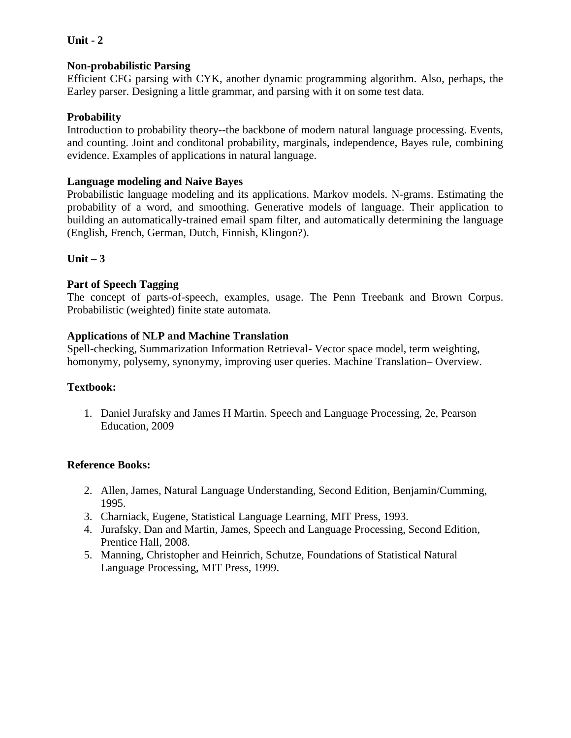### **Unit - 2**

### **Non-probabilistic Parsing**

Efficient CFG parsing with CYK, another dynamic programming algorithm. Also, perhaps, the Earley parser. Designing a little grammar, and parsing with it on some test data.

### **Probability**

Introduction to probability theory--the backbone of modern natural language processing. Events, and counting. Joint and conditonal probability, marginals, independence, Bayes rule, combining evidence. Examples of applications in natural language.

### **Language modeling and Naive Bayes**

Probabilistic language modeling and its applications. Markov models. N-grams. Estimating the probability of a word, and smoothing. Generative models of language. Their application to building an automatically-trained email spam filter, and automatically determining the language (English, French, German, Dutch, Finnish, Klingon?).

### **Unit – 3**

### **Part of Speech Tagging**

The concept of parts-of-speech, examples, usage. The Penn Treebank and Brown Corpus. Probabilistic (weighted) finite state automata.

### **Applications of NLP and Machine Translation**

Spell-checking, Summarization Information Retrieval- Vector space model, term weighting, homonymy, polysemy, synonymy, improving user queries. Machine Translation– Overview.

### **Textbook:**

1. Daniel Jurafsky and James H Martin. Speech and Language Processing, 2e, Pearson Education, 2009

### **Reference Books:**

- 2. Allen, James, Natural Language Understanding, Second Edition, Benjamin/Cumming, 1995.
- 3. Charniack, Eugene, Statistical Language Learning, MIT Press, 1993.
- 4. Jurafsky, Dan and Martin, James, Speech and Language Processing, Second Edition, Prentice Hall, 2008.
- 5. Manning, Christopher and Heinrich, Schutze, Foundations of Statistical Natural Language Processing, MIT Press, 1999.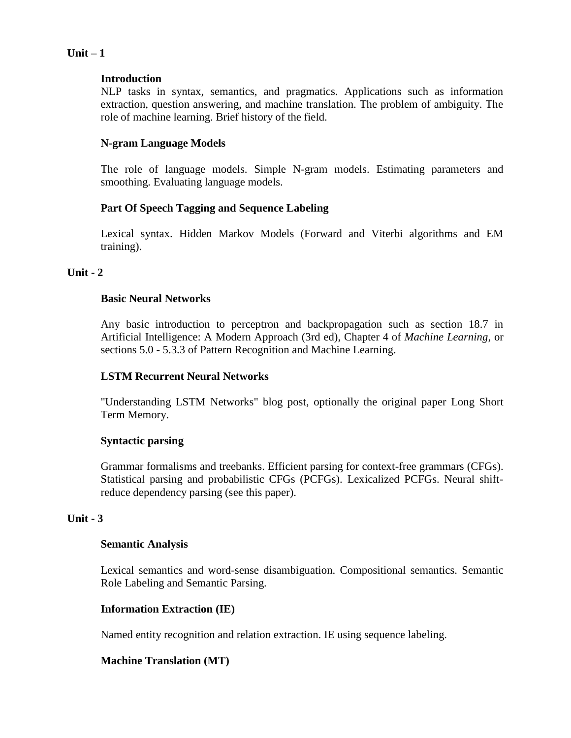### **Unit – 1**

### **Introduction**

NLP tasks in syntax, semantics, and pragmatics. Applications such as information extraction, question answering, and machine translation. The problem of ambiguity. The role of machine learning. Brief history of the field.

### **N-gram Language Models**

The role of language models. Simple N-gram models. Estimating parameters and smoothing. Evaluating language models.

### **Part Of Speech Tagging and Sequence Labeling**

Lexical syntax. Hidden Markov Models (Forward and Viterbi algorithms and EM training).

### **Unit - 2**

### **Basic Neural Networks**

Any basic introduction to perceptron and backpropagation such as section 18.7 in [Artificial Intelligence: A Modern Approach \(3rd ed\),](http://aima.cs.berkeley.edu/) Chapter 4 of *[Machine Learning](http://www.cs.cmu.edu/afs/cs.cmu.edu/user/mitchell/ftp/mlbook.html)*, or sections 5.0 - 5.3.3 of [Pattern Recognition and Machine Learning.](http://www.springer.com/us/book/9780387310732)

### **LSTM Recurrent Neural Networks**

["Understanding LSTM Networks" blog post,](http://colah.github.io/posts/2015-08-Understanding-LSTMs/) optionally the original paper [Long Short](http://dl.acm.org/citation.cfm?id=1246450)  [Term Memory.](http://dl.acm.org/citation.cfm?id=1246450)

### **Syntactic parsing**

Grammar formalisms and treebanks. Efficient parsing for context-free grammars (CFGs). Statistical parsing and probabilistic CFGs (PCFGs). Lexicalized PCFGs. Neural shiftreduce dependency parsing (see [this paper\)](http://cs.stanford.edu/~danqi/papers/emnlp2014.pdf).

### **Unit - 3**

### **Semantic Analysis**

Lexical semantics and word-sense disambiguation. Compositional semantics. Semantic Role Labeling and Semantic Parsing.

### **Information Extraction (IE)**

Named entity recognition and relation extraction. IE using sequence labeling.

### **Machine Translation (MT)**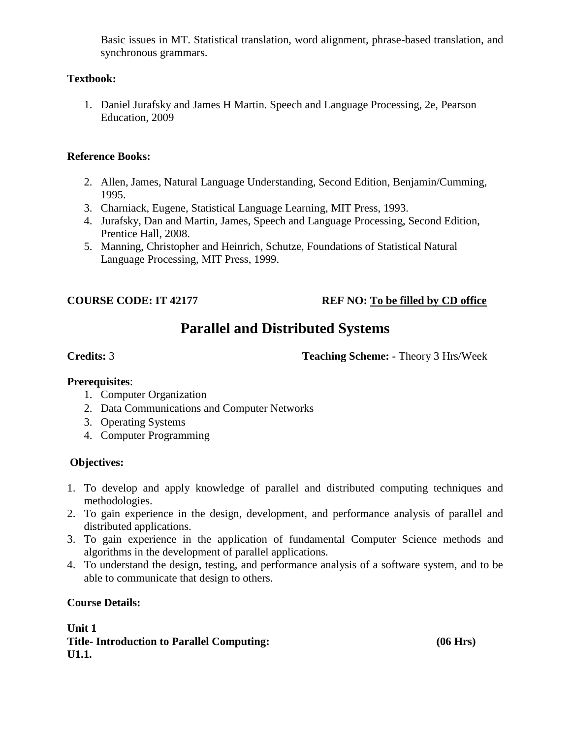Basic issues in MT. Statistical translation, word alignment, phrase-based translation, and synchronous grammars.

## **Textbook:**

1. Daniel Jurafsky and James H Martin. Speech and Language Processing, 2e, Pearson Education, 2009

# **Reference Books:**

- 2. Allen, James, Natural Language Understanding, Second Edition, Benjamin/Cumming, 1995.
- 3. Charniack, Eugene, Statistical Language Learning, MIT Press, 1993.
- 4. Jurafsky, Dan and Martin, James, Speech and Language Processing, Second Edition, Prentice Hall, 2008.
- 5. Manning, Christopher and Heinrich, Schutze, Foundations of Statistical Natural Language Processing, MIT Press, 1999.

# **COURSE CODE: IT 42177 REF NO: To be filled by CD office**

# **Parallel and Distributed Systems**

**Credits:** 3 **Teaching Scheme: -** Theory 3 Hrs/Week

### **Prerequisites**:

- 1. Computer Organization
- 2. Data Communications and Computer Networks
- 3. Operating Systems
- 4. Computer Programming

### **Objectives:**

- 1. To develop and apply knowledge of parallel and distributed computing techniques and methodologies.
- 2. To gain experience in the design, development, and performance analysis of parallel and distributed applications.
- 3. To gain experience in the application of fundamental Computer Science methods and algorithms in the development of parallel applications.
- 4. To understand the design, testing, and performance analysis of a software system, and to be able to communicate that design to others.

### **Course Details:**

**Unit 1 Title- Introduction to Parallel Computing: (06 Hrs) U1.1.**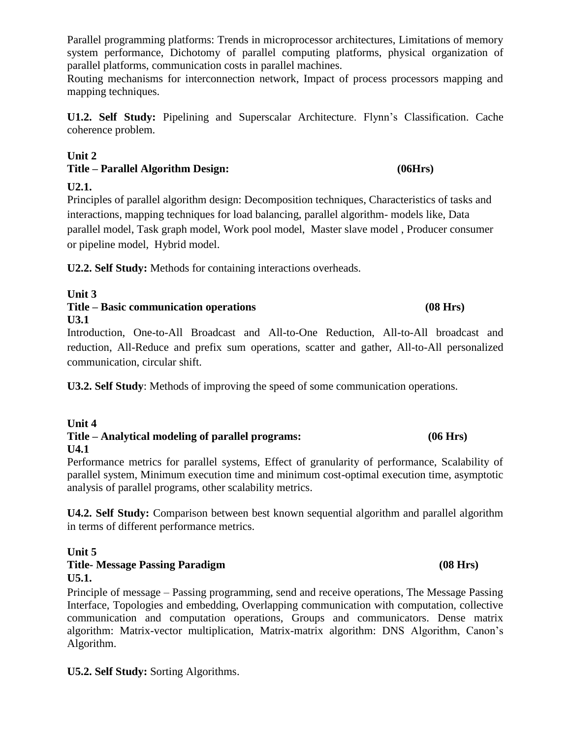Parallel programming platforms: Trends in microprocessor architectures, Limitations of memory system performance, Dichotomy of parallel computing platforms, physical organization of parallel platforms, communication costs in parallel machines.

Routing mechanisms for interconnection network, Impact of process processors mapping and mapping techniques.

**U1.2. Self Study:** Pipelining and Superscalar Architecture. Flynn"s Classification. Cache coherence problem.

# **Unit 2 Title – Parallel Algorithm Design: (06Hrs)**

# **U2.1.**

Principles of parallel algorithm design: Decomposition techniques, Characteristics of tasks and interactions, mapping techniques for load balancing, parallel algorithm- models like, Data parallel model, Task graph model, Work pool model, Master slave model , Producer consumer or pipeline model, Hybrid model.

**U2.2. Self Study:** Methods for containing interactions overheads.

# **Unit 3**

### **Title – Basic communication operations (08 Hrs) U3.1**

Introduction, One-to-All Broadcast and All-to-One Reduction, All-to-All broadcast and reduction, All-Reduce and prefix sum operations, scatter and gather, All-to-All personalized communication, circular shift.

**U3.2. Self Study**: Methods of improving the speed of some communication operations.

### **Unit 4 Title – Analytical modeling of parallel programs: (06 Hrs) U4.1**

Performance metrics for parallel systems, Effect of granularity of performance, Scalability of parallel system, Minimum execution time and minimum cost-optimal execution time, asymptotic analysis of parallel programs, other scalability metrics.

**U4.2. Self Study:** Comparison between best known sequential algorithm and parallel algorithm in terms of different performance metrics.

### **Unit 5 Title- Message Passing Paradigm (08 Hrs) U5.1.**

Principle of message – Passing programming, send and receive operations, The Message Passing Interface, Topologies and embedding, Overlapping communication with computation, collective communication and computation operations, Groups and communicators. Dense matrix algorithm: Matrix-vector multiplication, Matrix-matrix algorithm: DNS Algorithm, Canon"s Algorithm.

**U5.2. Self Study:** Sorting Algorithms.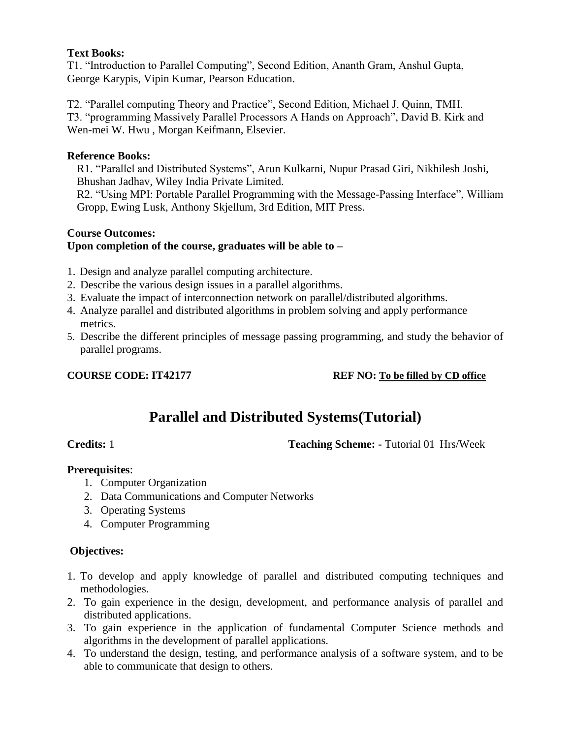### **Text Books:**

T1. "Introduction to Parallel Computing", Second Edition, Ananth Gram, Anshul Gupta, George Karypis, Vipin Kumar, Pearson Education.

T2. "Parallel computing Theory and Practice", Second Edition, Michael J. Quinn, TMH. T3. "programming Massively Parallel Processors A Hands on Approach", David B. Kirk and Wen-mei W. Hwu , Morgan Keifmann, Elsevier.

### **Reference Books:**

R1. "Parallel and Distributed Systems", [Arun Kulkarni,](http://www.amazon.in/s/ref=dp_byline_sr_book_1?ie=UTF8&field-author=Arun+Kulkarni&search-alias=stripbooks) [Nupur Prasad Giri,](http://www.amazon.in/s/ref=dp_byline_sr_book_2?ie=UTF8&field-author=Nupur+Prasad+Giri&search-alias=stripbooks) [Nikhilesh Joshi,](http://www.amazon.in/s/ref=dp_byline_sr_book_3?ie=UTF8&field-author=Nikhilesh+Joshi&search-alias=stripbooks) [Bhushan Jadhav,](http://www.amazon.in/s/ref=dp_byline_sr_book_4?ie=UTF8&field-author=Bhushan+Jadhav&search-alias=stripbooks) Wiley India Private Limited.

R2. "Using MPI: Portable Parallel Programming with the Message-Passing Interface", William Gropp, Ewing Lusk, Anthony Skjellum, 3rd Edition, MIT Press.

### **Course Outcomes:**

### **Upon completion of the course, graduates will be able to –**

- 1. Design and analyze parallel computing architecture.
- 2. Describe the various design issues in a parallel algorithms.
- 3. Evaluate the impact of interconnection network on parallel/distributed algorithms.
- 4. Analyze parallel and distributed algorithms in problem solving and apply performance metrics.
- 5. Describe the different principles of message passing programming, and study the behavior of parallel programs.

### **COURSE CODE: IT42177 REF NO: To be filled by CD office**

# **Parallel and Distributed Systems(Tutorial)**

**Credits:** 1 **Teaching Scheme: -** Tutorial 01 Hrs/Week

### **Prerequisites**:

- 1. Computer Organization
- 2. Data Communications and Computer Networks
- 3. Operating Systems
- 4. Computer Programming

### **Objectives:**

- 1. To develop and apply knowledge of parallel and distributed computing techniques and methodologies.
- 2. To gain experience in the design, development, and performance analysis of parallel and distributed applications.
- 3. To gain experience in the application of fundamental Computer Science methods and algorithms in the development of parallel applications.
- 4. To understand the design, testing, and performance analysis of a software system, and to be able to communicate that design to others.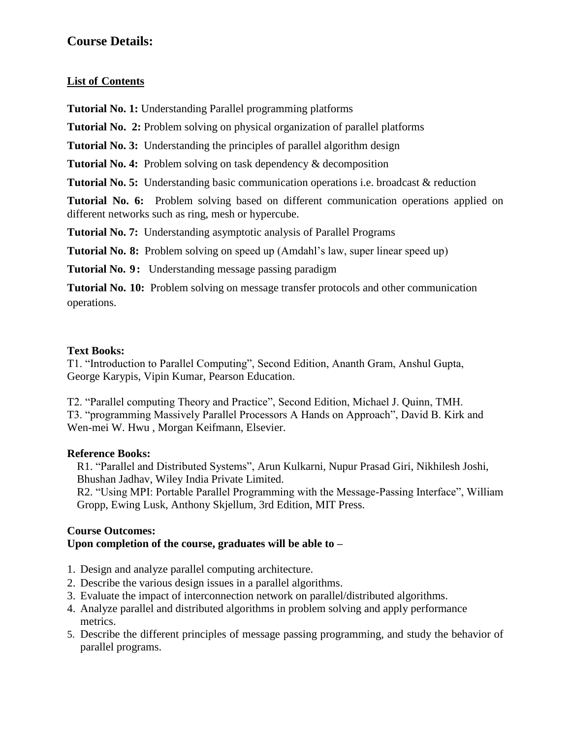# **Course Details:**

## **List of Contents**

**Tutorial No. 1:** Understanding Parallel programming platforms

**Tutorial No. 2:** Problem solving on physical organization of parallel platforms

**Tutorial No. 3:** Understanding the principles of parallel algorithm design

**Tutorial No. 4:** Problem solving on task dependency & decomposition

**Tutorial No. 5:** Understanding basic communication operations i.e. broadcast & reduction

**Tutorial No. 6:** Problem solving based on different communication operations applied on different networks such as ring, mesh or hypercube.

**Tutorial No. 7:** Understanding asymptotic analysis of Parallel Programs

**Tutorial No. 8:** Problem solving on speed up (Amdahl's law, super linear speed up)

**Tutorial No. 9:** Understanding message passing paradigm

**Tutorial No. 10:** Problem solving on message transfer protocols and other communication operations.

### **Text Books:**

T1. "Introduction to Parallel Computing", Second Edition, Ananth Gram, Anshul Gupta, George Karypis, Vipin Kumar, Pearson Education.

T2. "Parallel computing Theory and Practice", Second Edition, Michael J. Quinn, TMH. T3. "programming Massively Parallel Processors A Hands on Approach", David B. Kirk and Wen-mei W. Hwu , Morgan Keifmann, Elsevier.

# **Reference Books:**

R1. "Parallel and Distributed Systems", [Arun Kulkarni,](http://www.amazon.in/s/ref=dp_byline_sr_book_1?ie=UTF8&field-author=Arun+Kulkarni&search-alias=stripbooks) [Nupur Prasad Giri,](http://www.amazon.in/s/ref=dp_byline_sr_book_2?ie=UTF8&field-author=Nupur+Prasad+Giri&search-alias=stripbooks) [Nikhilesh Joshi,](http://www.amazon.in/s/ref=dp_byline_sr_book_3?ie=UTF8&field-author=Nikhilesh+Joshi&search-alias=stripbooks) [Bhushan Jadhav,](http://www.amazon.in/s/ref=dp_byline_sr_book_4?ie=UTF8&field-author=Bhushan+Jadhav&search-alias=stripbooks) Wiley India Private Limited.

R2. "Using MPI: Portable Parallel Programming with the Message-Passing Interface", William Gropp, Ewing Lusk, Anthony Skjellum, 3rd Edition, MIT Press.

### **Course Outcomes: Upon completion of the course, graduates will be able to –**

- 1. Design and analyze parallel computing architecture.
- 2. Describe the various design issues in a parallel algorithms.
- 3. Evaluate the impact of interconnection network on parallel/distributed algorithms.
- 4. Analyze parallel and distributed algorithms in problem solving and apply performance metrics.
- 5. Describe the different principles of message passing programming, and study the behavior of parallel programs.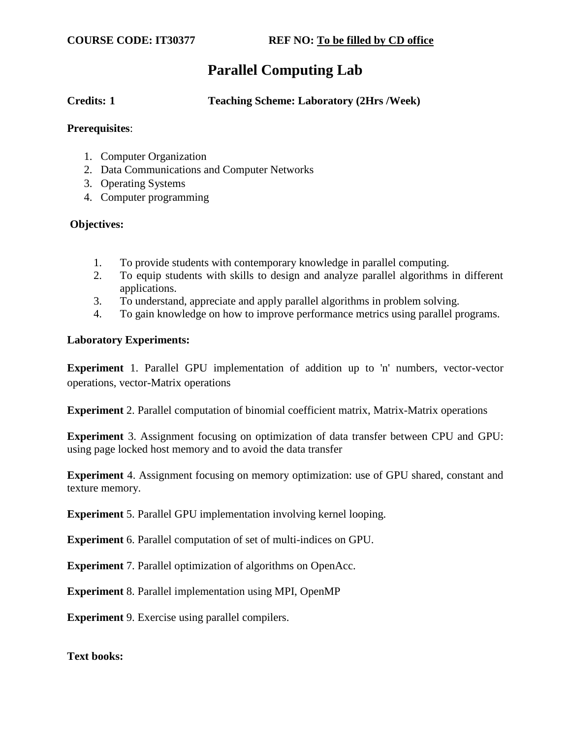# **Parallel Computing Lab**

**Credits: 1 Teaching Scheme: Laboratory (2Hrs /Week)**

### **Prerequisites**:

- 1. Computer Organization
- 2. Data Communications and Computer Networks
- 3. Operating Systems
- 4. Computer programming

### **Objectives:**

- 1. To provide students with contemporary knowledge in parallel computing.
- 2. To equip students with skills to design and analyze parallel algorithms in different applications.
- 3. To understand, appreciate and apply parallel algorithms in problem solving.
- 4. To gain knowledge on how to improve performance metrics using parallel programs.

### **Laboratory Experiments:**

**Experiment** 1. Parallel GPU implementation of addition up to 'n' numbers, vector-vector operations, vector-Matrix operations

**Experiment** 2. Parallel computation of binomial coefficient matrix, Matrix-Matrix operations

**Experiment** 3. Assignment focusing on optimization of data transfer between CPU and GPU: using page locked host memory and to avoid the data transfer

**Experiment** 4. Assignment focusing on memory optimization: use of GPU shared, constant and texture memory.

**Experiment** 5. Parallel GPU implementation involving kernel looping.

**Experiment** 6. Parallel computation of set of multi-indices on GPU.

**Experiment** 7. Parallel optimization of algorithms on OpenAcc.

**Experiment** 8. Parallel implementation using MPI, OpenMP

**Experiment** 9. Exercise using parallel compilers.

**Text books:**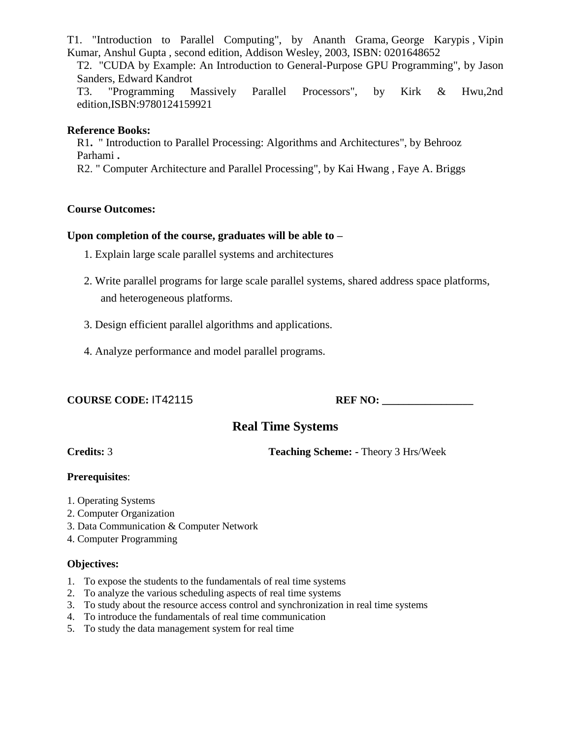T1. "Introduction to Parallel Computing", by [Ananth Grama,](http://www.amazon.in/s/ref=dp_byline_sr_book_1?ie=UTF8&field-author=Ananth+Grama&search-alias=stripbooks) [George Karypis](http://www.amazon.in/George-Karypis/e/B00P5J8OFE/ref=dp_byline_cont_book_2) , [Vipin](http://www.amazon.in/Vipin-Kumar/e/B00OPOLJQ6/ref=dp_byline_cont_book_3)  [Kumar,](http://www.amazon.in/Vipin-Kumar/e/B00OPOLJQ6/ref=dp_byline_cont_book_3) [Anshul Gupta](http://www.amazon.in/s/ref=dp_byline_sr_book_4?ie=UTF8&field-author=Anshul+Gupta&search-alias=stripbooks) , second edition, Addison Wesley, 2003, ISBN: 0201648652

T2. "CUDA by Example: An Introduction to General-Purpose GPU Programming", by Jason Sanders, Edward Kandrot

T3. "Programming Massively Parallel Processors", by Kirk & Hwu,2nd edition,ISBN:9780124159921

### **Reference Books:**

R1**.** " Introduction to Parallel Processing: Algorithms and Architectures", by [Behrooz](http://www.amazon.in/Behrooz-Parhami/e/B001HCXTGM/ref=dp_byline_cont_book_1)  [Parhami](http://www.amazon.in/Behrooz-Parhami/e/B001HCXTGM/ref=dp_byline_cont_book_1) **.**

R2. " Computer Architecture and Parallel Processing", by [Kai Hwang](http://www.amazon.in/s/ref=dp_byline_sr_book_1?ie=UTF8&field-author=Kai+Hwang&search-alias=stripbooks) , [Faye A. Briggs](http://www.amazon.in/s/ref=dp_byline_sr_book_2?ie=UTF8&field-author=Faye+A.+Briggs&search-alias=stripbooks)

### **Course Outcomes:**

### **Upon completion of the course, graduates will be able to –**

- 1. Explain large scale parallel systems and architectures
- 2. Write parallel programs for large scale parallel systems, shared address space platforms, and heterogeneous platforms.
- 3. Design efficient parallel algorithms and applications.
- 4. Analyze performance and model parallel programs.

**COURSE CODE:** IT42115 **REF NO: \_\_\_\_\_\_\_\_\_\_\_\_\_\_\_\_\_** 

# **Real Time Systems**

**Credits:** 3 **Teaching Scheme: -** Theory 3 Hrs/Week

### **Prerequisites**:

- 1. Operating Systems
- 2. Computer Organization
- 3. Data Communication & Computer Network
- 4. Computer Programming

### **Objectives:**

- 1. To expose the students to the fundamentals of real time systems
- 2. To analyze the various scheduling aspects of real time systems
- 3. To study about the resource access control and synchronization in real time systems
- 4. To introduce the fundamentals of real time communication
- 5. To study the data management system for real time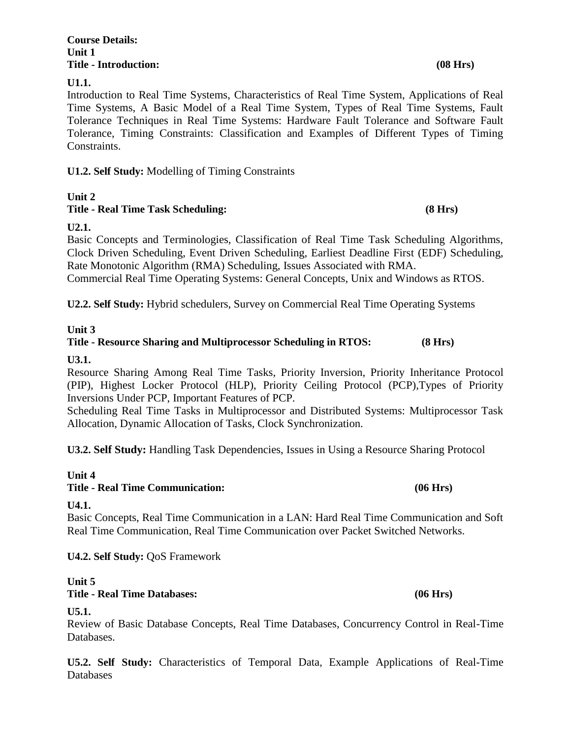### **Course Details: Unit 1 Title - Introduction: (08 Hrs)**

### **U1.1.**

Introduction to Real Time Systems, Characteristics of Real Time System, Applications of Real Time Systems, A Basic Model of a Real Time System, Types of Real Time Systems, Fault Tolerance Techniques in Real Time Systems: Hardware Fault Tolerance and Software Fault Tolerance, Timing Constraints: Classification and Examples of Different Types of Timing Constraints.

### **U1.2. Self Study:** Modelling of Timing Constraints

### **Unit 2**

### **Title - Real Time Task Scheduling: (8 Hrs)**

**U2.1.** 

Basic Concepts and Terminologies, Classification of Real Time Task Scheduling Algorithms, Clock Driven Scheduling, Event Driven Scheduling, Earliest Deadline First (EDF) Scheduling, Rate Monotonic Algorithm (RMA) Scheduling, Issues Associated with RMA. Commercial Real Time Operating Systems: General Concepts, Unix and Windows as RTOS.

**U2.2. Self Study:** Hybrid schedulers, Survey on Commercial Real Time Operating Systems

### **Unit 3**

# **Title - Resource Sharing and Multiprocessor Scheduling in RTOS: (8 Hrs)**

**U3.1.**

Resource Sharing Among Real Time Tasks, Priority Inversion, Priority Inheritance Protocol (PIP), Highest Locker Protocol (HLP), Priority Ceiling Protocol (PCP),Types of Priority Inversions Under PCP, Important Features of PCP.

Scheduling Real Time Tasks in Multiprocessor and Distributed Systems: Multiprocessor Task Allocation, Dynamic Allocation of Tasks, Clock Synchronization.

**U3.2. Self Study:** Handling Task Dependencies, Issues in Using a Resource Sharing Protocol

### **Unit 4**

### **Title - Real Time Communication: (06 Hrs)**

**U4.1.**

Basic Concepts, Real Time Communication in a LAN: Hard Real Time Communication and Soft Real Time Communication, Real Time Communication over Packet Switched Networks.

**U4.2. Self Study:** QoS Framework

### **Unit 5**

### **Title - Real Time Databases: (06 Hrs)**

**U5.1.**

Review of Basic Database Concepts, Real Time Databases, Concurrency Control in Real-Time Databases.

**U5.2. Self Study:** Characteristics of Temporal Data, Example Applications of Real-Time Databases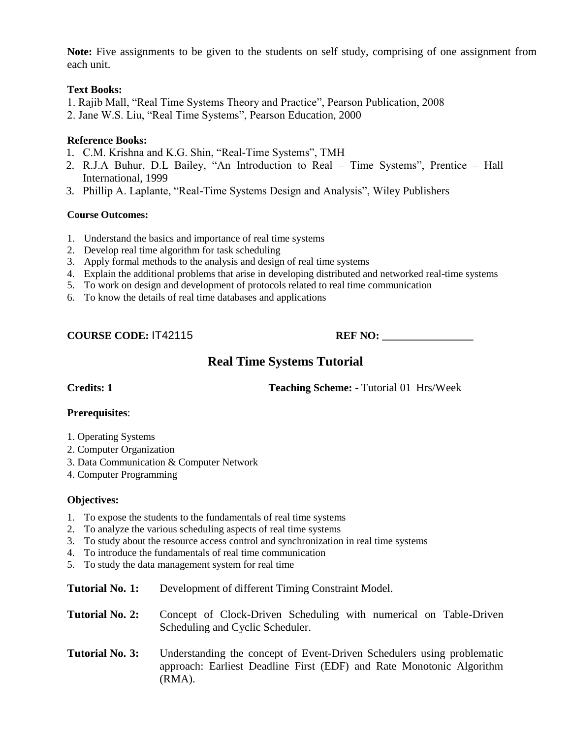**Note:** Five assignments to be given to the students on self study, comprising of one assignment from each unit.

### **Text Books:**

- 1. Rajib Mall, "Real Time Systems Theory and Practice", Pearson Publication, 2008
- 2. Jane W.S. Liu, "Real Time Systems", Pearson Education, 2000

### **Reference Books:**

- 1. C.M. Krishna and K.G. Shin, "Real-Time Systems", TMH
- 2. R.J.A Buhur, D.L Bailey, "An Introduction to Real Time Systems", Prentice Hall International, 1999
- 3. Phillip A. Laplante, "Real-Time Systems Design and Analysis", Wiley Publishers

### **Course Outcomes:**

- 1. Understand the basics and importance of real time systems
- 2. Develop real time algorithm for task scheduling
- 3. Apply formal methods to the analysis and design of real time systems
- 4. Explain the additional problems that arise in developing distributed and networked real-time systems
- 5. To work on design and development of protocols related to real time communication
- 6. To know the details of real time databases and applications

**COURSE CODE:** IT42115 **REF NO: REF NO: REF NO:** *REF* **NO:** *REF* **NO:** *REF* 

# **Real Time Systems Tutorial**

**Credits: 1 Teaching Scheme: -** Tutorial 01 Hrs/Week

### **Prerequisites**:

- 1. Operating Systems
- 2. Computer Organization
- 3. Data Communication & Computer Network
- 4. Computer Programming

### **Objectives:**

- 1. To expose the students to the fundamentals of real time systems
- 2. To analyze the various scheduling aspects of real time systems
- 3. To study about the resource access control and synchronization in real time systems
- 4. To introduce the fundamentals of real time communication
- 5. To study the data management system for real time

| <b>Tutorial No. 1:</b> | Development of different Timing Constraint Model. |  |  |
|------------------------|---------------------------------------------------|--|--|
|                        |                                                   |  |  |

- **Tutorial No. 2:** Concept of Clock-Driven Scheduling with numerical on Table-Driven Scheduling and Cyclic Scheduler.
- **Tutorial No. 3:** Understanding the concept of Event-Driven Schedulers using problematic approach: Earliest Deadline First (EDF) and Rate Monotonic Algorithm (RMA).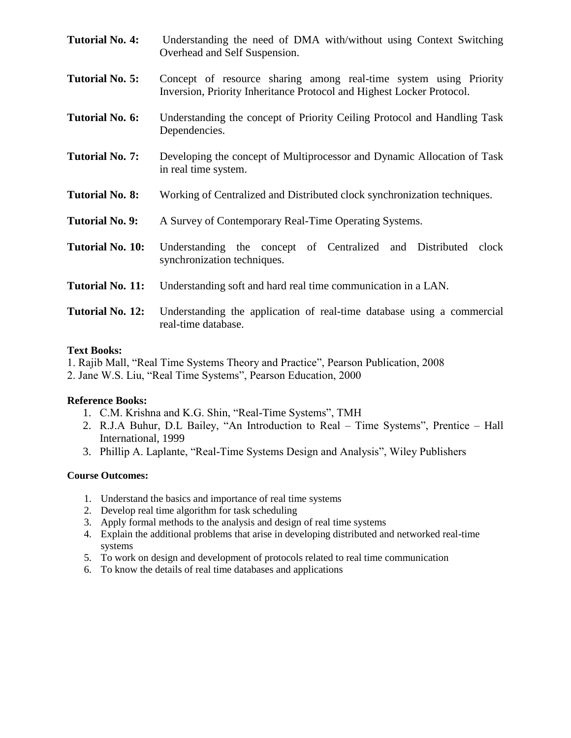- **Tutorial No. 4:** Understanding the need of DMA with/without using Context Switching Overhead and Self Suspension.
- **Tutorial No. 5:** Concept of resource sharing among real-time system using Priority Inversion, Priority Inheritance Protocol and Highest Locker Protocol.
- **Tutorial No. 6:** Understanding the concept of Priority Ceiling Protocol and Handling Task Dependencies.
- **Tutorial No. 7:** Developing the concept of Multiprocessor and Dynamic Allocation of Task in real time system.
- **Tutorial No. 8:** Working of Centralized and Distributed clock synchronization techniques.
- **Tutorial No. 9:** A Survey of Contemporary Real-Time Operating Systems.
- **Tutorial No. 10:** Understanding the concept of Centralized and Distributed clock synchronization techniques.
- **Tutorial No. 11:** Understanding soft and hard real time communication in a LAN.
- **Tutorial No. 12:** Understanding the application of real-time database using a commercial real-time database.

### **Text Books:**

1. Rajib Mall, "Real Time Systems Theory and Practice", Pearson Publication, 2008

2. Jane W.S. Liu, "Real Time Systems", Pearson Education, 2000

### **Reference Books:**

- 1. C.M. Krishna and K.G. Shin, "Real-Time Systems", TMH
- 2. R.J.A Buhur, D.L Bailey, "An Introduction to Real Time Systems", Prentice Hall International, 1999
- 3. Phillip A. Laplante, "Real-Time Systems Design and Analysis", Wiley Publishers

### **Course Outcomes:**

- 1. Understand the basics and importance of real time systems
- 2. Develop real time algorithm for task scheduling
- 3. Apply formal methods to the analysis and design of real time systems
- 4. Explain the additional problems that arise in developing distributed and networked real-time systems
- 5. To work on design and development of protocols related to real time communication
- 6. To know the details of real time databases and applications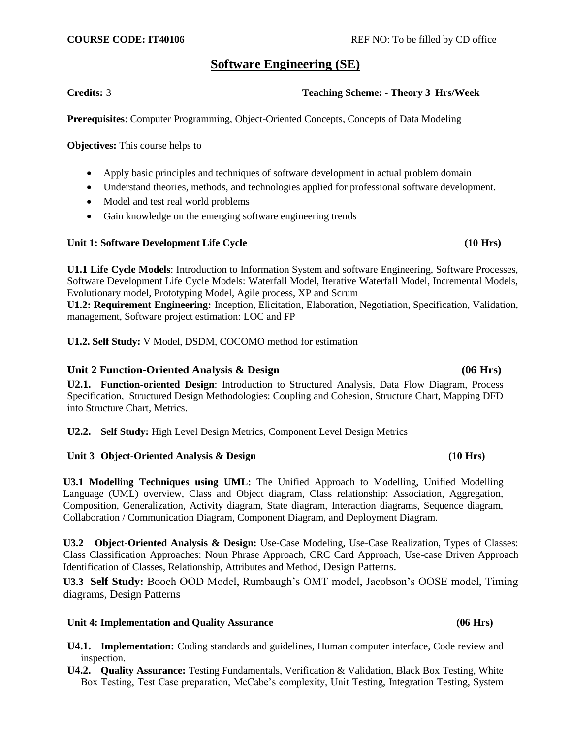# **Software Engineering (SE)**

**Credits:** 3 **Teaching Scheme: - Theory 3 Hrs/Week**

**Prerequisites**: Computer Programming, Object-Oriented Concepts, Concepts of Data Modeling

**Objectives:** This course helps to

- Apply basic principles and techniques of software development in actual problem domain
- Understand theories, methods, and technologies applied for professional software development.
- Model and test real world problems
- Gain knowledge on the emerging software engineering trends

### Unit 1: Software Development Life Cycle (10 **Hrs)** (10 **Hrs**)

**U1.1 Life Cycle Models**: Introduction to Information System and software Engineering, Software Processes, Software Development Life Cycle Models: Waterfall Model, Iterative Waterfall Model, Incremental Models, Evolutionary model, Prototyping Model, Agile process, XP and Scrum

**U1.2: Requirement Engineering:** Inception, Elicitation, Elaboration, Negotiation, Specification, Validation, management, Software project estimation: LOC and FP

**U1.2. Self Study:** V Model, DSDM, COCOMO method for estimation

### **Unit 2 Function-Oriented Analysis & Design (06 Hrs)**

**U2.1. Function-oriented Design**: Introduction to Structured Analysis, Data Flow Diagram, Process Specification, Structured Design Methodologies: Coupling and Cohesion, Structure Chart, Mapping DFD into Structure Chart, Metrics.

**U2.2. Self Study:** High Level Design Metrics, Component Level Design Metrics

### **Unit 3 Object-Oriented Analysis & Design (10 Hrs)**

**U3.1 Modelling Techniques using UML:** The Unified Approach to Modelling, Unified Modelling Language (UML) overview, Class and Object diagram, Class relationship: Association, Aggregation, Composition, Generalization, Activity diagram, State diagram, Interaction diagrams, Sequence diagram, Collaboration / Communication Diagram, Component Diagram, and Deployment Diagram.

**U3.2 Object-Oriented Analysis & Design:** Use-Case Modeling, Use-Case Realization, Types of Classes: Class Classification Approaches: Noun Phrase Approach, CRC Card Approach, Use-case Driven Approach Identification of Classes, Relationship, Attributes and Method, Design Patterns.

**U3.3 Self Study:** Booch OOD Model, Rumbaugh"s OMT model, Jacobson"s OOSE model, Timing diagrams, Design Patterns

### Unit 4: Implementation and Quality Assurance (06 **Hrs)**

- **U4.1. Implementation:** Coding standards and guidelines, Human computer interface, Code review and inspection.
- **U4.2. Quality Assurance:** Testing Fundamentals, Verification & Validation, Black Box Testing, White Box Testing, Test Case preparation, McCabe's complexity, Unit Testing, Integration Testing, System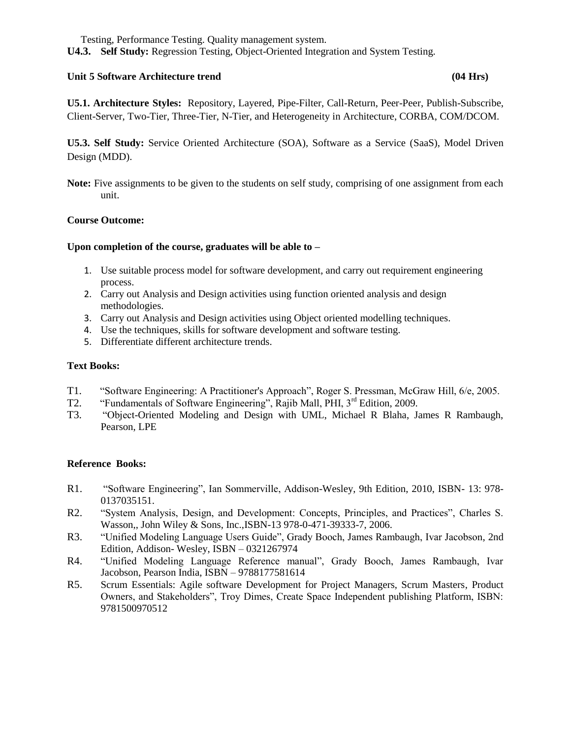Testing, Performance Testing. Quality management system.

**U4.3. Self Study:** Regression Testing, Object-Oriented Integration and System Testing.

### Unit **5** Software Architecture trend (04 **Hrs**)

**U5.1. Architecture Styles:** Repository, Layered, Pipe-Filter, Call-Return, Peer-Peer, Publish-Subscribe, Client-Server, Two-Tier, Three-Tier, N-Tier, and Heterogeneity in Architecture, CORBA, COM/DCOM.

**U5.3. Self Study:** Service Oriented Architecture (SOA), Software as a Service (SaaS), Model Driven Design (MDD).

**Note:** Five assignments to be given to the students on self study, comprising of one assignment from each unit.

### **Course Outcome:**

### **Upon completion of the course, graduates will be able to –**

- 1. Use suitable process model for software development, and carry out requirement engineering process.
- 2. Carry out Analysis and Design activities using function oriented analysis and design methodologies.
- 3. Carry out Analysis and Design activities using Object oriented modelling techniques.
- 4. Use the techniques, skills for software development and software testing.
- 5. Differentiate different architecture trends.

### **Text Books:**

- T1. "Software Engineering: A Practitioner's Approach", Roger S. Pressman, McGraw Hill, 6/e, 2005.
- T2. "Fundamentals of Software Engineering", Rajib Mall, PHI, 3<sup>rd</sup> Edition, 2009.
- T3. "Object-Oriented Modeling and Design with UML, Michael R Blaha, James R Rambaugh, Pearson, LPE

### **Reference Books:**

- R1. "Software Engineering", Ian Sommerville, Addison-Wesley, 9th Edition, 2010, ISBN- 13: 978- 0137035151.
- R2. "System Analysis, Design, and Development: Concepts, Principles, and Practices", Charles S. Wasson,, John Wiley & Sons, Inc.,ISBN-13 978-0-471-39333-7, 2006.
- R3. "Unified Modeling Language Users Guide", Grady Booch, James Rambaugh, Ivar Jacobson, 2nd Edition, Addison- Wesley, ISBN – 0321267974
- R4. "Unified Modeling Language Reference manual", Grady Booch, James Rambaugh, Ivar Jacobson, Pearson India, ISBN – 9788177581614
- R5. Scrum Essentials: Agile software Development for Project Managers, Scrum Masters, Product Owners, and Stakeholders", Troy Dimes, Create Space Independent publishing Platform, ISBN: 9781500970512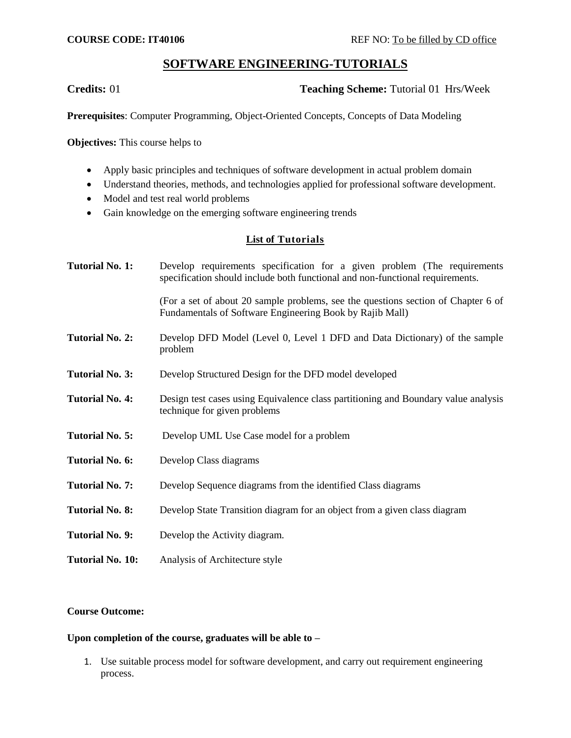### **SOFTWARE ENGINEERING-TUTORIALS**

### **Credits:** 01 **Teaching Scheme:** Tutorial 01 Hrs/Week

**Prerequisites**: Computer Programming, Object-Oriented Concepts, Concepts of Data Modeling

**Objectives:** This course helps to

- Apply basic principles and techniques of software development in actual problem domain
- Understand theories, methods, and technologies applied for professional software development.
- Model and test real world problems
- Gain knowledge on the emerging software engineering trends

### **List of Tutorials**

| <b>Tutorial No. 1:</b>  | Develop requirements specification for a given problem (The requirements<br>specification should include both functional and non-functional requirements. |  |  |  |
|-------------------------|-----------------------------------------------------------------------------------------------------------------------------------------------------------|--|--|--|
|                         | (For a set of about 20 sample problems, see the questions section of Chapter 6 of<br>Fundamentals of Software Engineering Book by Rajib Mall)             |  |  |  |
| <b>Tutorial No. 2:</b>  | Develop DFD Model (Level 0, Level 1 DFD and Data Dictionary) of the sample<br>problem                                                                     |  |  |  |
| <b>Tutorial No. 3:</b>  | Develop Structured Design for the DFD model developed                                                                                                     |  |  |  |
| <b>Tutorial No. 4:</b>  | Design test cases using Equivalence class partitioning and Boundary value analysis<br>technique for given problems                                        |  |  |  |
| <b>Tutorial No. 5:</b>  | Develop UML Use Case model for a problem                                                                                                                  |  |  |  |
| <b>Tutorial No. 6:</b>  | Develop Class diagrams                                                                                                                                    |  |  |  |
| <b>Tutorial No. 7:</b>  | Develop Sequence diagrams from the identified Class diagrams                                                                                              |  |  |  |
| <b>Tutorial No. 8:</b>  | Develop State Transition diagram for an object from a given class diagram                                                                                 |  |  |  |
| <b>Tutorial No. 9:</b>  | Develop the Activity diagram.                                                                                                                             |  |  |  |
| <b>Tutorial No. 10:</b> | Analysis of Architecture style                                                                                                                            |  |  |  |

### **Course Outcome:**

### **Upon completion of the course, graduates will be able to –**

1. Use suitable process model for software development, and carry out requirement engineering process.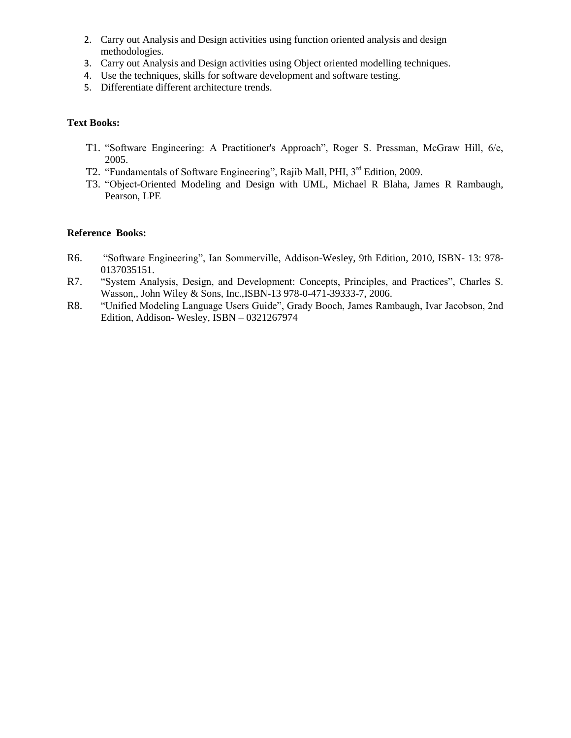- 2. Carry out Analysis and Design activities using function oriented analysis and design methodologies.
- 3. Carry out Analysis and Design activities using Object oriented modelling techniques.
- 4. Use the techniques, skills for software development and software testing.
- 5. Differentiate different architecture trends.

### **Text Books:**

- T1. "Software Engineering: A Practitioner's Approach", Roger S. Pressman, McGraw Hill, 6/e, 2005.
- T2. "Fundamentals of Software Engineering", Rajib Mall, PHI, 3<sup>rd</sup> Edition, 2009.
- T3. "Object-Oriented Modeling and Design with UML, Michael R Blaha, James R Rambaugh, Pearson, LPE

### **Reference Books:**

- R6. "Software Engineering", Ian Sommerville, Addison-Wesley, 9th Edition, 2010, ISBN- 13: 978- 0137035151.
- R7. "System Analysis, Design, and Development: Concepts, Principles, and Practices", Charles S. Wasson,, John Wiley & Sons, Inc.,ISBN-13 978-0-471-39333-7, 2006.
- R8. "Unified Modeling Language Users Guide", Grady Booch, James Rambaugh, Ivar Jacobson, 2nd Edition, Addison- Wesley, ISBN – 0321267974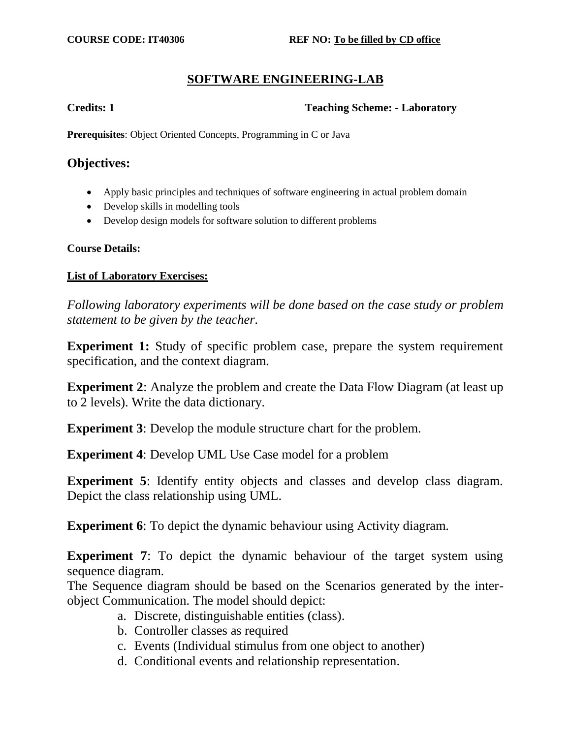## **SOFTWARE ENGINEERING-LAB**

### **Credits: 1 Teaching Scheme: - Laboratory**

**Prerequisites**: Object Oriented Concepts, Programming in C or Java

### **Objectives:**

- Apply basic principles and techniques of software engineering in actual problem domain
- Develop skills in modelling tools
- Develop design models for software solution to different problems

### **Course Details:**

### **List of Laboratory Exercises:**

*Following laboratory experiments will be done based on the case study or problem statement to be given by the teacher.*

**Experiment 1:** Study of specific problem case, prepare the system requirement specification, and the context diagram.

**Experiment 2**: Analyze the problem and create the Data Flow Diagram (at least up) to 2 levels). Write the data dictionary.

**Experiment 3**: Develop the module structure chart for the problem.

**Experiment 4**: Develop UML Use Case model for a problem

**Experiment 5**: Identify entity objects and classes and develop class diagram. Depict the class relationship using UML.

**Experiment 6**: To depict the dynamic behaviour using Activity diagram.

**Experiment 7:** To depict the dynamic behaviour of the target system using sequence diagram.

The Sequence diagram should be based on the Scenarios generated by the interobject Communication. The model should depict:

- a. Discrete, distinguishable entities (class).
- b. Controller classes as required
- c. Events (Individual stimulus from one object to another)
- d. Conditional events and relationship representation.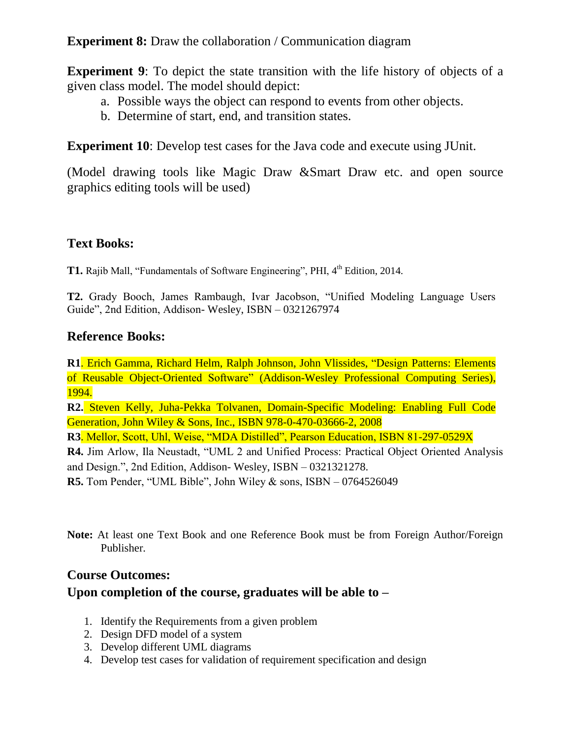**Experiment 9:** To depict the state transition with the life history of objects of a given class model. The model should depict:

- a. Possible ways the object can respond to events from other objects.
- b. Determine of start, end, and transition states.

**Experiment 10:** Develop test cases for the Java code and execute using JUnit.

(Model drawing tools like Magic Draw &Smart Draw etc. and open source graphics editing tools will be used)

## **Text Books:**

T1. Rajib Mall, "Fundamentals of Software Engineering", PHI, 4<sup>th</sup> Edition, 2014.

**T2.** Grady Booch, James Rambaugh, Ivar Jacobson, "Unified Modeling Language Users Guide", 2nd Edition, Addison- Wesley, ISBN – 0321267974

## **Reference Books:**

**R1**. Erich Gamma, Richard Helm, Ralph Johnson, John Vlissides, "Design Patterns: Elements of Reusable Object-Oriented Software" (Addison-Wesley Professional Computing Series), 1994.

**R2.** Steven Kelly, Juha-Pekka Tolvanen, Domain-Specific Modeling: Enabling Full Code Generation, John Wiley & Sons, Inc., ISBN 978-0-470-03666-2, 2008

**R3**. Mellor, Scott, Uhl, Weise, "MDA Distilled", Pearson Education, ISBN 81-297-0529X

**R4.** Jim Arlow, Ila Neustadt, "UML 2 and Unified Process: Practical Object Oriented Analysis and Design.", 2nd Edition, Addison- Wesley, ISBN – 0321321278.

**R5.** Tom Pender, "UML Bible", John Wiley & sons, ISBN – 0764526049

**Note:** At least one Text Book and one Reference Book must be from Foreign Author/Foreign Publisher.

## **Course Outcomes:**

## **Upon completion of the course, graduates will be able to –**

- 1. Identify the Requirements from a given problem
- 2. Design DFD model of a system
- 3. Develop different UML diagrams
- 4. Develop test cases for validation of requirement specification and design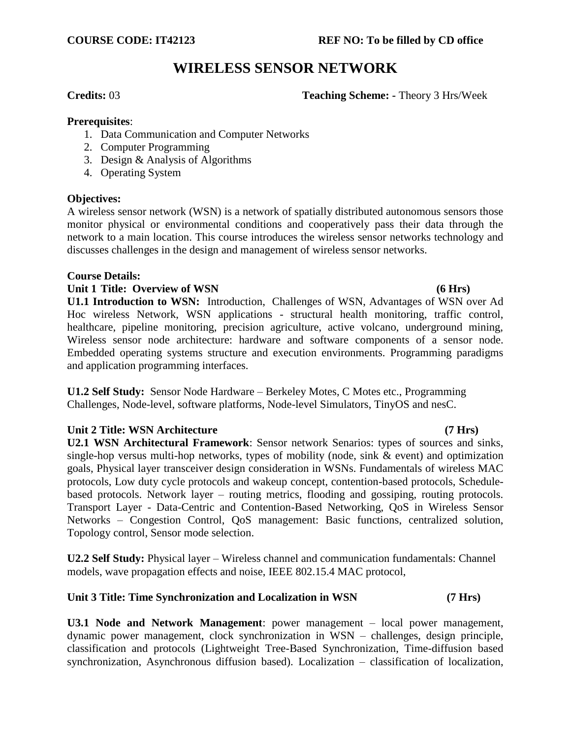## **WIRELESS SENSOR NETWORK**

**Credits:** 03 **Teaching Scheme: -** Theory 3 Hrs/Week

### **Prerequisites**:

- 1. Data Communication and Computer Networks
- 2. Computer Programming
- 3. Design & Analysis of Algorithms
- 4. Operating System

### **Objectives:**

A wireless sensor network (WSN) is a network of spatially distributed autonomous sensors those monitor physical or environmental conditions and cooperatively pass their data through the network to a main location. This course introduces the wireless sensor networks technology and discusses challenges in the design and management of wireless sensor networks.

### **Course Details:**

### **Unit 1 Title: Overview of WSN (6 Hrs)**

**U1.1 Introduction to WSN:** Introduction, Challenges of WSN, Advantages of WSN over Ad Hoc wireless Network, WSN applications - structural health monitoring, traffic control, healthcare, pipeline monitoring, precision agriculture, active volcano, underground mining, Wireless sensor node architecture: hardware and software components of a sensor node. Embedded operating systems structure and execution environments. Programming paradigms and application programming interfaces.

**U1.2 Self Study:** Sensor Node Hardware – Berkeley Motes, C Motes etc., Programming Challenges, Node-level, software platforms, Node-level Simulators, TinyOS and nesC.

### **Unit 2 Title: WSN Architecture (7 Hrs)**

**U2.1 WSN Architectural Framework**: Sensor network Senarios: types of sources and sinks, single-hop versus multi-hop networks, types of mobility (node, sink & event) and optimization goals, Physical layer transceiver design consideration in WSNs. Fundamentals of wireless MAC protocols, Low duty cycle protocols and wakeup concept, contention-based protocols, Schedulebased protocols. Network layer – routing metrics, flooding and gossiping, routing protocols. Transport Layer - Data-Centric and Contention-Based Networking, QoS in Wireless Sensor Networks – Congestion Control, QoS management: Basic functions, centralized solution, Topology control, Sensor mode selection.

**U2.2 Self Study:** Physical layer – Wireless channel and communication fundamentals: Channel models, wave propagation effects and noise, IEEE 802.15.4 MAC protocol,

### **Unit 3 Title: Time Synchronization and Localization in WSN (7 Hrs)**

**U3.1 Node and Network Management**: power management – local power management, dynamic power management, clock synchronization in WSN – challenges, design principle, classification and protocols (Lightweight Tree-Based Synchronization, Time-diffusion based synchronization, Asynchronous diffusion based). Localization – classification of localization,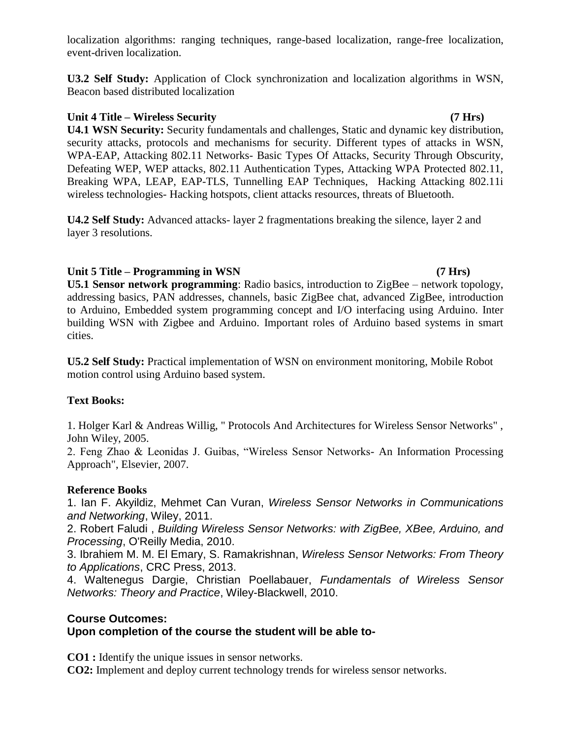localization algorithms: ranging techniques, range-based localization, range-free localization, event-driven localization.

**U3.2 Self Study:** Application of Clock synchronization and localization algorithms in WSN, Beacon based distributed localization

### **Unit 4 Title – Wireless Security (7 Hrs)**

**U4.1 WSN Security:** Security fundamentals and challenges, Static and dynamic key distribution**,**  security attacks, protocols and mechanisms for security. Different types of attacks in WSN, WPA-EAP, Attacking 802.11 Networks- Basic Types Of Attacks, Security Through Obscurity, Defeating WEP, WEP attacks, 802.11 Authentication Types, Attacking WPA Protected 802.11, Breaking WPA, LEAP, EAP-TLS, Tunnelling EAP Techniques, Hacking Attacking 802.11i wireless technologies- Hacking hotspots, client attacks resources, threats of Bluetooth.

**U4.2 Self Study:** Advanced attacks- layer 2 fragmentations breaking the silence, layer 2 and layer 3 resolutions.

### **Unit 5 Title – Programming in WSN (7 Hrs)**

**U5.1 Sensor network programming**: Radio basics, introduction to ZigBee – network topology, addressing basics, PAN addresses, channels, basic ZigBee chat, advanced ZigBee, introduction to Arduino, Embedded system programming concept and I/O interfacing using Arduino. Inter building WSN with Zigbee and Arduino. Important roles of Arduino based systems in smart cities.

**U5.2 Self Study:** Practical implementation of WSN on environment monitoring, Mobile Robot motion control using Arduino based system.

### **Text Books:**

1. Holger Karl & Andreas Willig, " Protocols And Architectures for Wireless Sensor Networks" , John Wiley, 2005.

2. Feng Zhao & Leonidas J. Guibas, "Wireless Sensor Networks- An Information Processing Approach", Elsevier, 2007.

### **Reference Books**

1. Ian F. Akyildiz, Mehmet Can Vuran, *Wireless Sensor Networks in Communications and Networking*, Wiley, 2011.

2. Robert Faludi , *Building Wireless Sensor Networks: with ZigBee, XBee, Arduino, and Processing*, O'Reilly Media, 2010.

3. Ibrahiem M. M. El Emary, S. Ramakrishnan, *Wireless Sensor Networks: From Theory to Applications*, CRC Press, 2013.

4. Waltenegus Dargie, Christian Poellabauer, *Fundamentals of Wireless Sensor Networks: Theory and Practice*, Wiley-Blackwell, 2010.

### **Course Outcomes:**

### **Upon completion of the course the student will be able to-**

**CO1 :** Identify the unique issues in sensor networks.

**CO2:** Implement and deploy current technology trends for wireless sensor networks.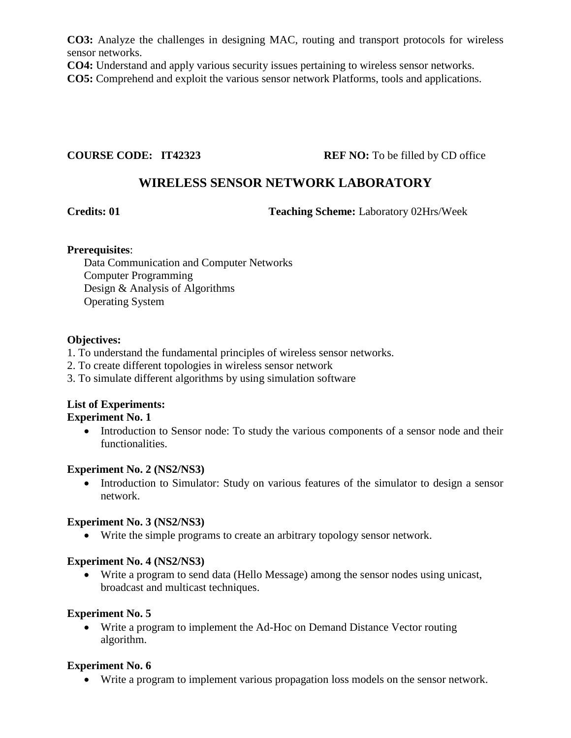**CO3:** Analyze the challenges in designing MAC, routing and transport protocols for wireless sensor networks.

**CO4:** Understand and apply various security issues pertaining to wireless sensor networks. **CO5:** Comprehend and exploit the various sensor network Platforms, tools and applications.

### **COURSE CODE: IT42323** REF NO: To be filled by CD office

## **WIRELESS SENSOR NETWORK LABORATORY**

**Credits: 01** Teaching Scheme: Laboratory 02Hrs/Week

### **Prerequisites**:

Data Communication and Computer Networks Computer Programming Design & Analysis of Algorithms Operating System

### **Objectives:**

- 1. To understand the fundamental principles of wireless sensor networks.
- 2. To create different topologies in wireless sensor network
- 3. To simulate different algorithms by using simulation software

### **List of Experiments: Experiment No. 1**

• Introduction to Sensor node: To study the various components of a sensor node and their functionalities.

### **Experiment No. 2 (NS2/NS3)**

• Introduction to Simulator: Study on various features of the simulator to design a sensor network.

### **Experiment No. 3 (NS2/NS3)**

Write the simple programs to create an arbitrary topology sensor network.

### **Experiment No. 4 (NS2/NS3)**

 Write a program to send data (Hello Message) among the sensor nodes using unicast, broadcast and multicast techniques.

### **Experiment No. 5**

 Write a program to implement the Ad-Hoc on Demand Distance Vector routing algorithm.

### **Experiment No. 6**

Write a program to implement various propagation loss models on the sensor network.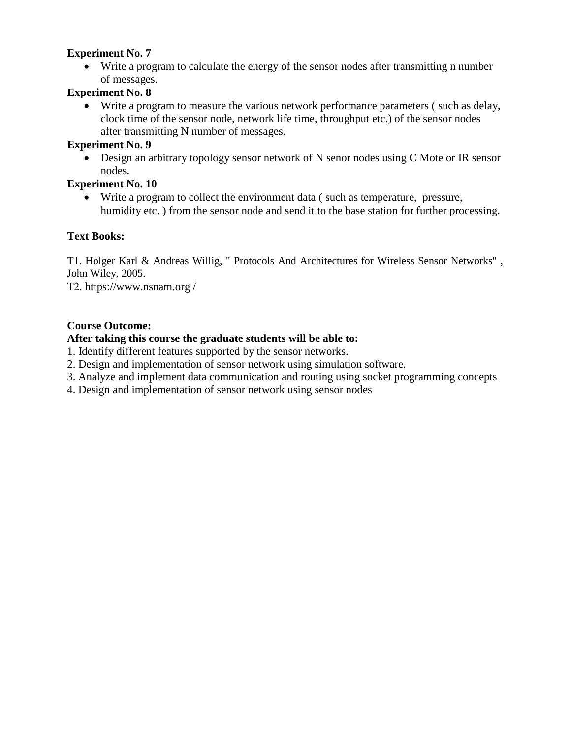### **Experiment No. 7**

 Write a program to calculate the energy of the sensor nodes after transmitting n number of messages.

### **Experiment No. 8**

 Write a program to measure the various network performance parameters ( such as delay, clock time of the sensor node, network life time, throughput etc.) of the sensor nodes after transmitting N number of messages.

### **Experiment No. 9**

• Design an arbitrary topology sensor network of N senor nodes using C Mote or IR sensor nodes.

### **Experiment No. 10**

 Write a program to collect the environment data ( such as temperature, pressure, humidity etc. ) from the sensor node and send it to the base station for further processing.

### **Text Books:**

T1. Holger Karl & Andreas Willig, " Protocols And Architectures for Wireless Sensor Networks" , John Wiley, 2005.

T2. https://www.nsnam.org /

### **Course Outcome:**

### **After taking this course the graduate students will be able to:**

- 1. Identify different features supported by the sensor networks.
- 2. Design and implementation of sensor network using simulation software.
- 3. Analyze and implement data communication and routing using socket programming concepts
- 4. Design and implementation of sensor network using sensor nodes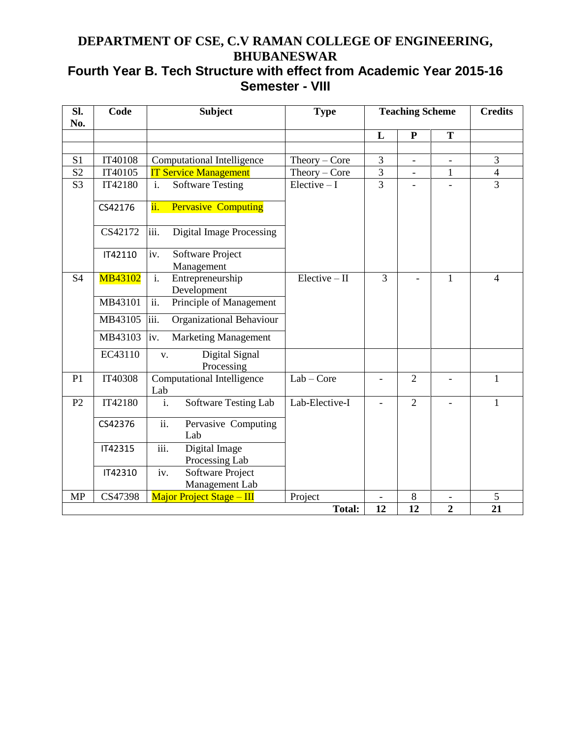# **DEPARTMENT OF CSE, C.V RAMAN COLLEGE OF ENGINEERING, BHUBANESWAR**

## **Fourth Year B. Tech Structure with effect from Academic Year 2015-16 Semester - VIII**

| SI.<br>No.     | Code           | <b>Subject</b>                               | <b>Type</b>     | <b>Teaching Scheme</b> |                |                          | <b>Credits</b> |
|----------------|----------------|----------------------------------------------|-----------------|------------------------|----------------|--------------------------|----------------|
|                |                |                                              |                 | L                      | ${\bf P}$      | T                        |                |
|                |                |                                              |                 |                        |                |                          |                |
| S1             | IT40108        | Computational Intelligence                   | $Theory - Core$ | 3                      | $\blacksquare$ | $\overline{\phantom{a}}$ | 3              |
| S <sub>2</sub> | IT40105        | <b>IT Service Management</b>                 | $Theory - Core$ | $\overline{3}$         | $\blacksquare$ | $\mathbf{1}$             | $\overline{4}$ |
| S <sub>3</sub> | IT42180        | <b>Software Testing</b><br>i.                | $Electric - I$  | $\overline{3}$         |                |                          | $\overline{3}$ |
|                | CS42176        | ii.<br><b>Pervasive Computing</b>            |                 |                        |                |                          |                |
|                | CS42172        | iii.<br><b>Digital Image Processing</b>      |                 |                        |                |                          |                |
|                | IT42110        | Software Project<br>iv.<br>Management        |                 |                        |                |                          |                |
| S <sub>4</sub> | <b>MB43102</b> | i.<br>Entrepreneurship<br>Development        | $Elective - II$ | $\overline{3}$         |                | $\mathbf{1}$             | $\overline{4}$ |
|                | MB43101        | $\overline{ii}$ .<br>Principle of Management |                 |                        |                |                          |                |
|                | MB43105        | iii.<br>Organizational Behaviour             |                 |                        |                |                          |                |
|                | MB43103        | <b>Marketing Management</b><br>iv.           |                 |                        |                |                          |                |
|                | EC43110        | Digital Signal<br>V.<br>Processing           |                 |                        |                |                          |                |
| P <sub>1</sub> | IT40308        | <b>Computational Intelligence</b><br>Lab     | $Lab - Core$    |                        | $\overline{2}$ |                          | 1              |
| P <sub>2</sub> | IT42180        | i.<br><b>Software Testing Lab</b>            | Lab-Elective-I  |                        | $\overline{2}$ |                          | $\mathbf{1}$   |
|                | CS42376        | ii.<br>Pervasive Computing<br>Lab            |                 |                        |                |                          |                |
|                | IT42315        | iii.<br>Digital Image<br>Processing Lab      |                 |                        |                |                          |                |
|                | IT42310        | iv.<br>Software Project<br>Management Lab    |                 |                        |                |                          |                |
| <b>MP</b>      | CS47398        | <b>Major Project Stage – III</b>             | Project         |                        | 8              |                          | 5              |
|                |                |                                              | Total:          | 12                     | 12             | $\overline{2}$           | 21             |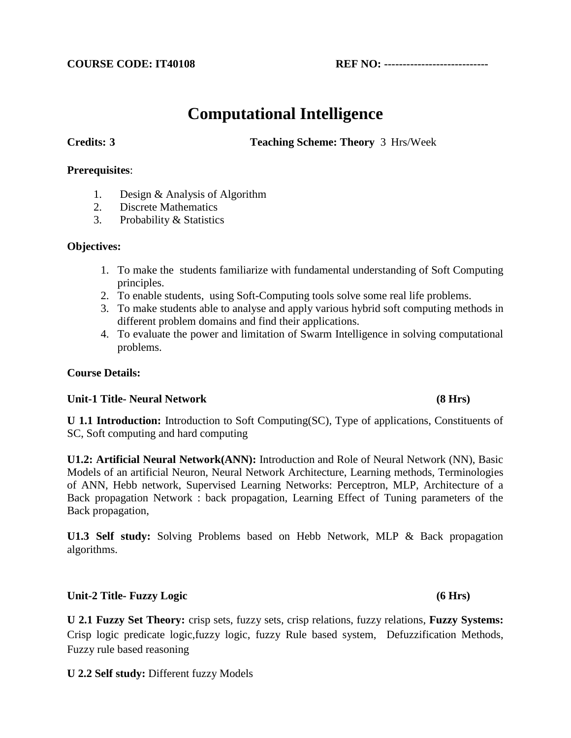# **Computational Intelligence**

**Credits: 3 Teaching Scheme: Theory** 3 Hrs/Week

### **Prerequisites**:

- 1. Design & Analysis of Algorithm
- 2. Discrete Mathematics
- 3. Probability & Statistics

### **Objectives:**

- 1. To make the students familiarize with fundamental understanding of Soft Computing principles.
- 2. To enable students, using Soft-Computing tools solve some real life problems.
- 3. To make students able to analyse and apply various hybrid soft computing methods in different problem domains and find their applications.
- 4. To evaluate the power and limitation of Swarm Intelligence in solving computational problems.

### **Course Details:**

### **Unit-1 Title- Neural Network (8 Hrs)**

**U 1.1 Introduction:** Introduction to Soft Computing(SC), Type of applications, Constituents of SC, Soft computing and hard computing

**U1.2: Artificial Neural Network(ANN):** Introduction and Role of Neural Network (NN), Basic Models of an artificial Neuron, Neural Network Architecture, Learning methods, Terminologies of ANN, Hebb network, Supervised Learning Networks: Perceptron, MLP, Architecture of a Back propagation Network : back propagation, Learning Effect of Tuning parameters of the Back propagation,

**U1.3 Self study:** Solving Problems based on Hebb Network, MLP & Back propagation algorithms.

### **Unit-2 Title- Fuzzy Logic (6 Hrs)**

**U 2.1 Fuzzy Set Theory:** crisp sets, fuzzy sets, crisp relations, fuzzy relations, **Fuzzy Systems:** Crisp logic predicate logic,fuzzy logic, fuzzy Rule based system, Defuzzification Methods, Fuzzy rule based reasoning

**U 2.2 Self study:** Different fuzzy Models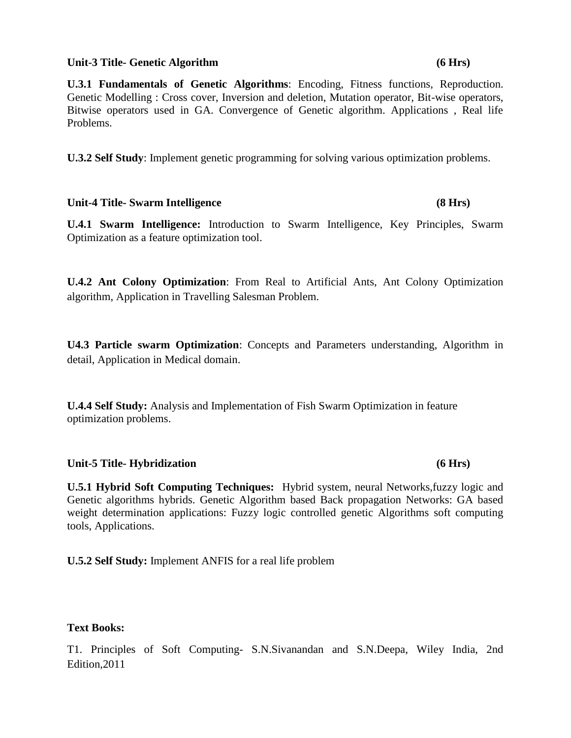### **Unit-3 Title- Genetic Algorithm (6 Hrs)**

**U.3.1 Fundamentals of Genetic Algorithms**: Encoding, Fitness functions, Reproduction. Genetic Modelling : Cross cover, Inversion and deletion, Mutation operator, Bit-wise operators, Bitwise operators used in GA. Convergence of Genetic algorithm. Applications , Real life Problems.

**U.3.2 Self Study**: Implement genetic programming for solving various optimization problems.

**Unit-4 Title- Swarm Intelligence (8 Hrs)**

**U.4.1 Swarm Intelligence:** Introduction to Swarm Intelligence, Key Principles, Swarm Optimization as a feature optimization tool.

**U.4.2 Ant Colony Optimization**: From Real to Artificial Ants, Ant Colony Optimization algorithm, Application in Travelling Salesman Problem.

**U4.3 Particle swarm Optimization**: Concepts and Parameters understanding, Algorithm in detail, Application in Medical domain.

**U.4.4 Self Study:** Analysis and Implementation of Fish Swarm Optimization in feature optimization problems.

### **Unit-5 Title- Hybridization (6 Hrs)**

**U.5.1 Hybrid Soft Computing Techniques:** Hybrid system, neural Networks,fuzzy logic and Genetic algorithms hybrids. Genetic Algorithm based Back propagation Networks: GA based weight determination applications: Fuzzy logic controlled genetic Algorithms soft computing tools, Applications.

**U.5.2 Self Study:** Implement ANFIS for a real life problem

### **Text Books:**

T1. Principles of Soft Computing- S.N.Sivanandan and S.N.Deepa, Wiley India, 2nd Edition,2011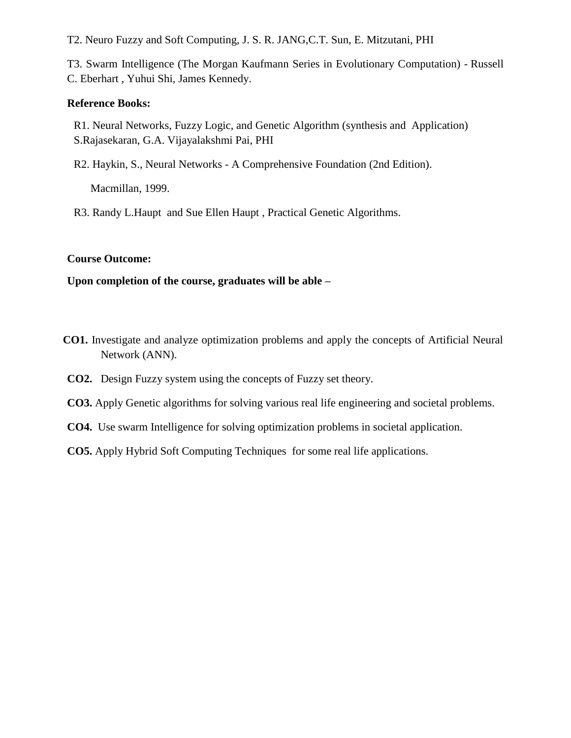T2. Neuro Fuzzy and Soft Computing, J. S. R. JANG,C.T. Sun, E. Mitzutani, PHI

T3. Swarm Intelligence (The Morgan Kaufmann Series in Evolutionary Computation) - [Russell](http://www.amazon.com/s/ref=dp_byline_sr_book_1?ie=UTF8&text=Russell+C.+Eberhart&search-alias=books&field-author=Russell+C.+Eberhart&sort=relevancerank)  [C. Eberhart](http://www.amazon.com/s/ref=dp_byline_sr_book_1?ie=UTF8&text=Russell+C.+Eberhart&search-alias=books&field-author=Russell+C.+Eberhart&sort=relevancerank) , [Yuhui Shi,](http://www.amazon.com/s/ref=dp_byline_sr_book_2?ie=UTF8&text=Yuhui+Shi&search-alias=books&field-author=Yuhui+Shi&sort=relevancerank) [James Kennedy.](http://www.amazon.com/s/ref=dp_byline_sr_book_3?ie=UTF8&text=James+Kennedy&search-alias=books&field-author=James+Kennedy&sort=relevancerank)

### **Reference Books:**

R1. Neural Networks, Fuzzy Logic, and Genetic Algorithm (synthesis and Application) S.Rajasekaran, G.A. Vijayalakshmi Pai, PHI

R2. Haykin, S., Neural Networks - A Comprehensive Foundation (2nd Edition).

Macmillan, 1999.

R3. Randy L.Haupt and Sue Ellen Haupt , Practical Genetic Algorithms.

### **Course Outcome:**

### **Upon completion of the course, graduates will be able –**

- **CO1.** Investigate and analyze optimization problems and apply the concepts of Artificial Neural Network (ANN).
- **CO2.** Design Fuzzy system using the concepts of Fuzzy set theory.
- **CO3.** Apply Genetic algorithms for solving various real life engineering and societal problems.
- **CO4.** Use swarm Intelligence for solving optimization problems in societal application.
- **CO5.** Apply Hybrid Soft Computing Techniques for some real life applications.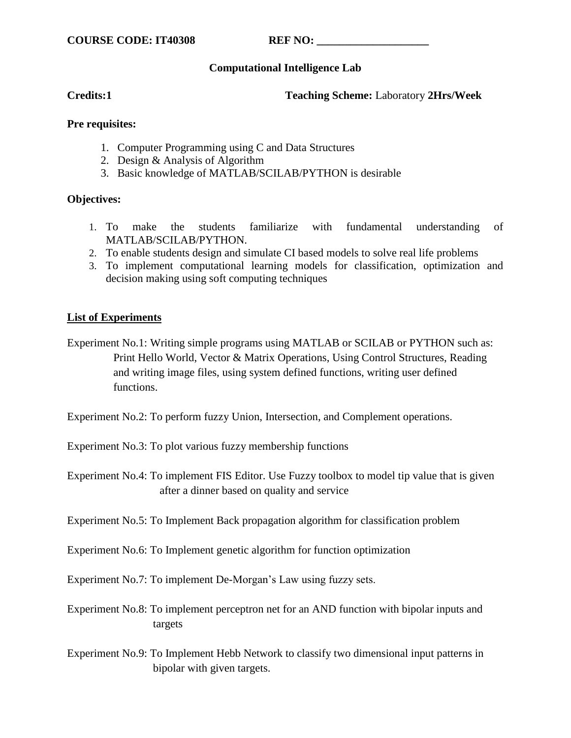### **Computational Intelligence Lab**

**Credits:1 Teaching Scheme:** Laboratory **2Hrs/Week**

### **Pre requisites:**

- 1. Computer Programming using C and Data Structures
- 2. Design & Analysis of Algorithm
- 3. Basic knowledge of MATLAB/SCILAB/PYTHON is desirable

### **Objectives:**

- 1. To make the students familiarize with fundamental understanding of MATLAB/SCILAB/PYTHON.
- 2. To enable students design and simulate CI based models to solve real life problems
- 3. To implement computational learning models for classification, optimization and decision making using soft computing techniques

### **List of Experiments**

Experiment No.1: Writing simple programs using MATLAB or SCILAB or PYTHON such as: Print Hello World, Vector & Matrix Operations, Using Control Structures, Reading and writing image files, using system defined functions, writing user defined functions.

Experiment No.2: To perform fuzzy Union, Intersection, and Complement operations.

Experiment No.3: To plot various fuzzy membership functions

Experiment No.4: To implement FIS Editor. Use Fuzzy toolbox to model tip value that is given after a dinner based on quality and service

Experiment No.5: To Implement Back propagation algorithm for classification problem

Experiment No.6: To Implement genetic algorithm for function optimization

Experiment No.7: To implement De-Morgan's Law using fuzzy sets.

Experiment No.8: To implement perceptron net for an AND function with bipolar inputs and targets

Experiment No.9: To Implement Hebb Network to classify two dimensional input patterns in bipolar with given targets.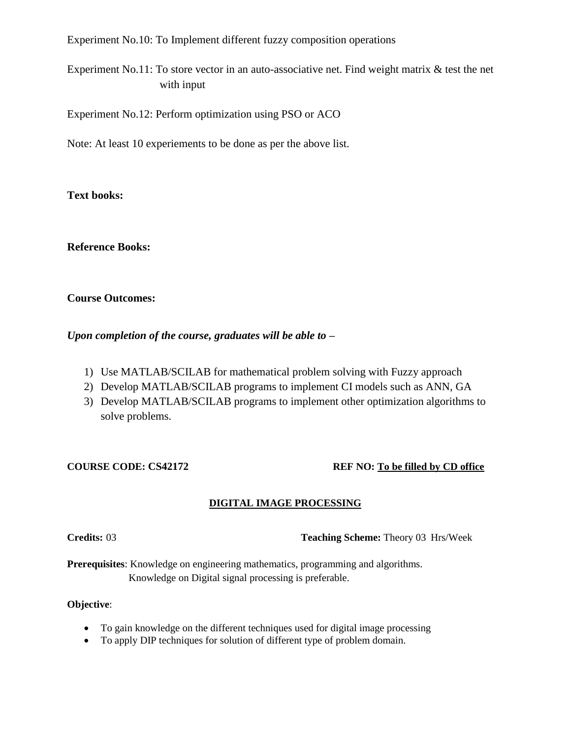Experiment No.10: To Implement different fuzzy composition operations

Experiment No.11: To store vector in an auto-associative net. Find weight matrix & test the net with input

Experiment No.12: Perform optimization using PSO or ACO

Note: At least 10 experiements to be done as per the above list.

**Text books:**

**Reference Books:**

**Course Outcomes:**

*Upon completion of the course, graduates will be able to –*

- 1) Use MATLAB/SCILAB for mathematical problem solving with Fuzzy approach
- 2) Develop MATLAB/SCILAB programs to implement CI models such as ANN, GA
- 3) Develop MATLAB/SCILAB programs to implement other optimization algorithms to solve problems.

### **COURSE CODE: CS42172 REF NO: To be filled by CD office**

### **DIGITAL IMAGE PROCESSING**

**Credits:** 03 **Teaching Scheme:** Theory 03 Hrs/Week

**Prerequisites**: Knowledge on engineering mathematics, programming and algorithms. Knowledge on Digital signal processing is preferable.

### **Objective**:

- To gain knowledge on the different techniques used for digital image processing
- To apply DIP techniques for solution of different type of problem domain.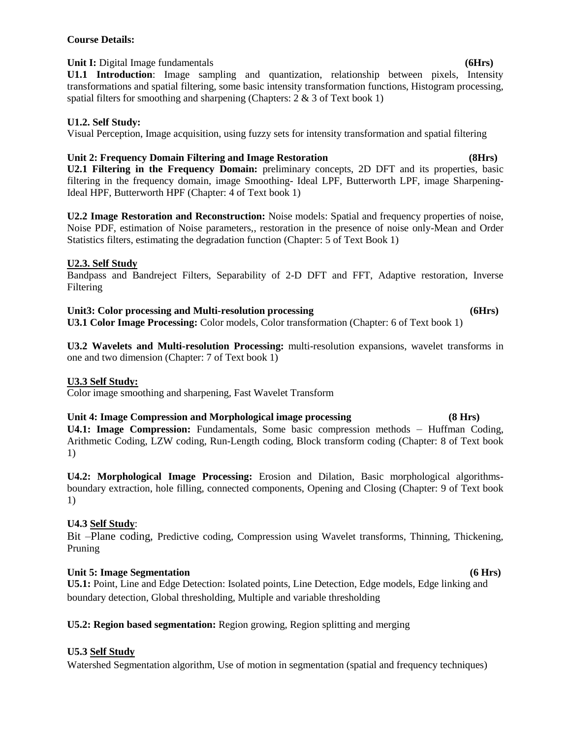### **Course Details:**

### Unit I: Digital Image fundamentals **(6Hrs) (6Hrs)**

**U1.1 Introduction**: Image sampling and quantization, relationship between pixels, Intensity transformations and spatial filtering, some basic intensity transformation functions, Histogram processing, spatial filters for smoothing and sharpening (Chapters: 2 & 3 of Text book 1)

### **U1.2. Self Study:**

Visual Perception, Image acquisition, using fuzzy sets for intensity transformation and spatial filtering

### **Unit 2: Frequency Domain Filtering and Image Restoration (8Hrs)**

**U2.1 Filtering in the Frequency Domain:** preliminary concepts, 2D DFT and its properties, basic filtering in the frequency domain, image Smoothing- Ideal LPF, Butterworth LPF, image Sharpening-Ideal HPF, Butterworth HPF (Chapter: 4 of Text book 1)

**U2.2 Image Restoration and Reconstruction:** Noise models: Spatial and frequency properties of noise, Noise PDF, estimation of Noise parameters,, restoration in the presence of noise only-Mean and Order Statistics filters, estimating the degradation function (Chapter: 5 of Text Book 1)

### **U2.3. Self Study**

Bandpass and Bandreject Filters, Separability of 2-D DFT and FFT, Adaptive restoration, Inverse Filtering

### **Unit3: Color processing and Multi-resolution processing (6Hrs)**

**U3.1 Color Image Processing:** Color models, Color transformation (Chapter: 6 of Text book 1)

**U3.2 Wavelets and Multi-resolution Processing:** multi-resolution expansions, wavelet transforms in one and two dimension (Chapter: 7 of Text book 1)

### **U3.3 Self Study:**

Color image smoothing and sharpening, Fast Wavelet Transform

### **Unit 4: Image Compression and Morphological image processing (8 Hrs) U4.1: Image Compression:** Fundamentals, Some basic compression methods – Huffman Coding, Arithmetic Coding, LZW coding, Run-Length coding, Block transform coding (Chapter: 8 of Text book 1)

**U4.2: Morphological Image Processing:** Erosion and Dilation, Basic morphological algorithmsboundary extraction, hole filling, connected components, Opening and Closing (Chapter: 9 of Text book 1)

### **U4.3 Self Study**:

Bit –Plane coding, Predictive coding, Compression using Wavelet transforms, Thinning, Thickening, Pruning

### Unit 5: Image Segmentation (6 Hrs)  $(6 \text{ Hrs})$

**U5.1:** Point, Line and Edge Detection: Isolated points, Line Detection, Edge models, Edge linking and boundary detection, Global thresholding, Multiple and variable thresholding

### **U5.2: Region based segmentation:** Region growing, Region splitting and merging

### **U5.3 Self Study**

Watershed Segmentation algorithm, Use of motion in segmentation (spatial and frequency techniques)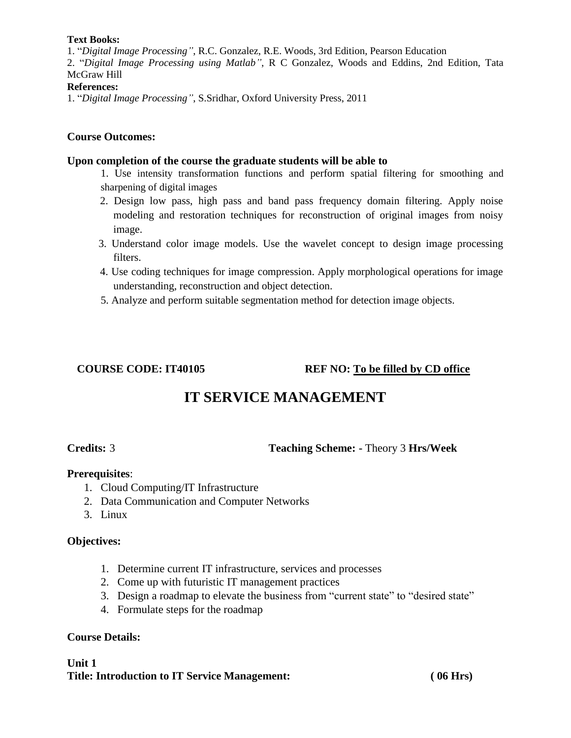### **Text Books:**

1. "*Digital Image Processing"*, R.C. Gonzalez, R.E. Woods, 3rd Edition, Pearson Education

2. "*Digital Image Processing using Matlab"*, R C Gonzalez, Woods and Eddins, 2nd Edition, Tata McGraw Hill

### **References:**

1. "*Digital Image Processing"*, S.Sridhar, Oxford University Press, 2011

### **Course Outcomes:**

### **Upon completion of the course the graduate students will be able to**

- 1. Use intensity transformation functions and perform spatial filtering for smoothing and sharpening of digital images
- 2. Design low pass, high pass and band pass frequency domain filtering. Apply noise modeling and restoration techniques for reconstruction of original images from noisy image.
- 3. Understand color image models. Use the wavelet concept to design image processing filters.
- 4. Use coding techniques for image compression. Apply morphological operations for image understanding, reconstruction and object detection.
- 5. Analyze and perform suitable segmentation method for detection image objects.

### **COURSE CODE: IT40105 REF NO: To be filled by CD office**

## **IT SERVICE MANAGEMENT**

### **Credits:** 3 **Teaching Scheme: -** Theory 3 **Hrs/Week**

### **Prerequisites**:

- 1. Cloud Computing/IT Infrastructure
- 2. Data Communication and Computer Networks
- 3. Linux

### **Objectives:**

- 1. Determine current IT infrastructure, services and processes
- 2. Come up with futuristic IT management practices
- 3. Design a roadmap to elevate the business from "current state" to "desired state"
- 4. Formulate steps for the roadmap

### **Course Details:**

### **Unit 1 Title: Introduction to IT Service Management: ( 06 Hrs)**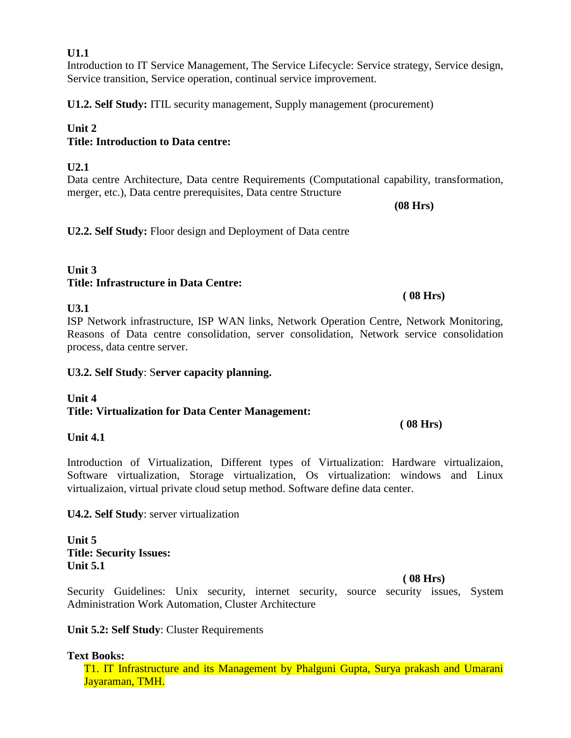### **U1.1**

Introduction to IT Service Management, The Service Lifecycle: Service strategy, Service design, Service transition, Service operation, continual service improvement.

**U1.2. Self Study:** [ITIL security management,](https://en.wikipedia.org/wiki/ITIL_security_management) [Supply management \(procurement\)](https://en.wikipedia.org/wiki/Supply_management_%28procurement%29)

### **Unit 2**

## **Title: Introduction to Data centre:**

**U2.1**

Data centre Architecture, Data centre Requirements (Computational capability, transformation, merger, etc.), Data centre prerequisites, Data centre Structure

**(08 Hrs)**

**U2.2. Self Study:** Floor design and Deployment of Data centre

### **Unit 3 Title: Infrastructure in Data Centre:**

### **U3.1**

ISP Network infrastructure, ISP WAN links, Network Operation Centre, Network Monitoring, Reasons of Data centre consolidation, server consolidation, Network service consolidation process, data centre server.

### **U3.2. Self Study**: S**erver capacity planning.**

### **Unit 4 Title: Virtualization for Data Center Management:**

### **Unit 4.1**

Introduction of Virtualization, Different types of Virtualization: Hardware virtualizaion, Software virtualization, Storage virtualization, Os virtualization: windows and Linux virtualizaion, virtual private cloud setup method. Software define data center.

### **U4.2. Self Study**: server virtualization

**Unit 5 Title: Security Issues: Unit 5.1**

 **( 08 Hrs)**

Security Guidelines: Unix security, internet security, source security issues, System Administration Work Automation, Cluster Architecture

**Unit 5.2: Self Study**: Cluster Requirements

### **Text Books:**

T1. IT Infrastructure and its Management by Phalguni Gupta, Surya prakash and Umarani Jayaraman, TMH.

# **( 08 Hrs)**

## **( 08 Hrs)**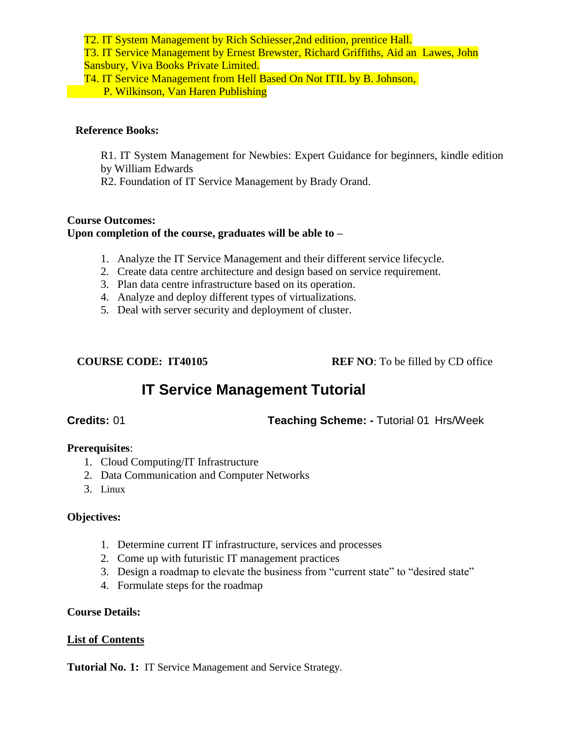T2. IT System Management by Rich Schiesser,2nd edition, prentice Hall.

T3. IT Service Management by Ernest Brewster, Richard Griffiths, Aid an Lawes, John Sansbury, Viva Books Private Limited.

T4. IT Service Management from Hell Based On Not ITIL by B. Johnson, **P. Wilkinson, Van Haren Publishing** 

### **Reference Books:**

R1. IT System Management for Newbies: Expert Guidance for beginners, kindle edition by William Edwards

R2. Foundation of IT Service Management by Brady Orand.

### **Course Outcomes:**

### **Upon completion of the course, graduates will be able to –**

- 1. Analyze the IT Service Management and their different service lifecycle.
- 2. Create data centre architecture and design based on service requirement.
- 3. Plan data centre infrastructure based on its operation.
- 4. Analyze and deploy different types of virtualizations.
- 5. Deal with server security and deployment of cluster.

**COURSE CODE: IT40105 REF NO**: To be filled by CD office

## **IT Service Management Tutorial**

**Credits:** 01 **Teaching Scheme: -** Tutorial 01 Hrs/Week

### **Prerequisites**:

- 1. Cloud Computing/IT Infrastructure
- 2. Data Communication and Computer Networks
- 3. Linux

### **Objectives:**

- 1. Determine current IT infrastructure, services and processes
- 2. Come up with futuristic IT management practices
- 3. Design a roadmap to elevate the business from "current state" to "desired state"
- 4. Formulate steps for the roadmap

### **Course Details:**

### **List of Contents**

**Tutorial No. 1:** IT Service Management and Service Strategy.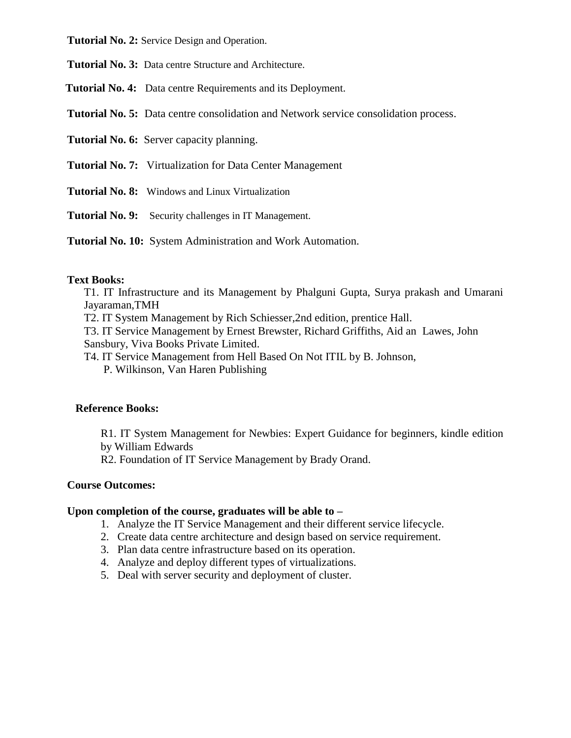**Tutorial No. 2:** Service Design and Operation.

**Tutorial No. 3:** Data centre Structure and Architecture.

**Tutorial No. 4:** Data centre Requirements and its Deployment.

**Tutorial No. 5:** Data centre consolidation and Network service consolidation process.

**Tutorial No. 6:** Server capacity planning.

**Tutorial No. 7:** Virtualization for Data Center Management

**Tutorial No. 8:** Windows and Linux Virtualization

**Tutorial No. 9:** Security challenges in IT Management.

**Tutorial No. 10:** System Administration and Work Automation.

### **Text Books:**

T1. IT Infrastructure and its Management by Phalguni Gupta, Surya prakash and Umarani Jayaraman,TMH

T2. IT System Management by Rich Schiesser,2nd edition, prentice Hall.

T3. IT Service Management by Ernest Brewster, Richard Griffiths, Aid an Lawes, John Sansbury, Viva Books Private Limited.

T4. IT Service Management from Hell Based On Not ITIL by B. Johnson,

P. Wilkinson, Van Haren Publishing

### **Reference Books:**

R1. IT System Management for Newbies: Expert Guidance for beginners, kindle edition by William Edwards

R2. Foundation of IT Service Management by Brady Orand.

### **Course Outcomes:**

### **Upon completion of the course, graduates will be able to –**

- 1. Analyze the IT Service Management and their different service lifecycle.
- 2. Create data centre architecture and design based on service requirement.
- 3. Plan data centre infrastructure based on its operation.
- 4. Analyze and deploy different types of virtualizations.
- 5. Deal with server security and deployment of cluster.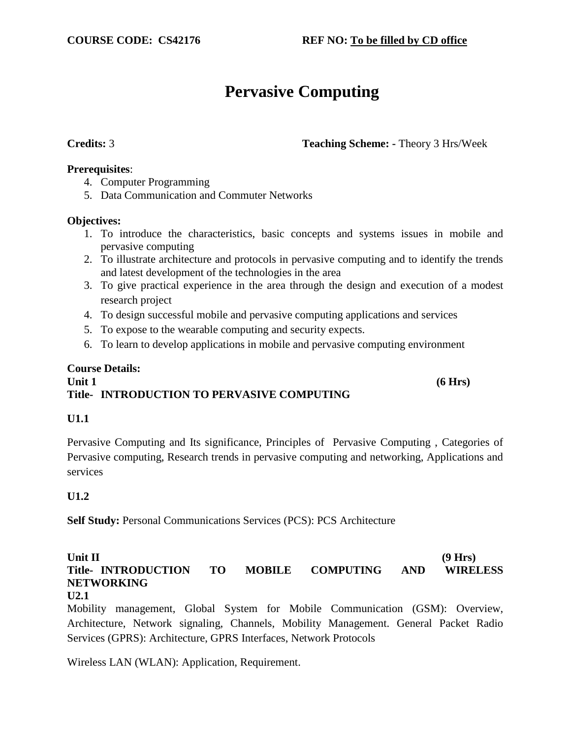# **Pervasive Computing**

### **Prerequisites**:

- 4. Computer Programming
- 5. Data Communication and Commuter Networks

### **Objectives:**

- 1. To introduce the characteristics, basic concepts and systems issues in mobile and pervasive computing
- 2. To illustrate architecture and protocols in pervasive computing and to identify the trends and latest development of the technologies in the area
- 3. To give practical experience in the area through the design and execution of a modest research project
- 4. To design successful mobile and pervasive computing applications and services
- 5. To expose to the wearable computing and security expects.
- 6. To learn to develop applications in mobile and pervasive computing environment

## **Course Details:**

### **Unit 1 (6 Hrs) Title- INTRODUCTION TO PERVASIVE COMPUTING**

### **U1.1**

Pervasive Computing and Its significance, Principles of Pervasive Computing , Categories of Pervasive computing, Research trends in pervasive computing and networking, Applications and services

### **U1.2**

**Self Study:** Personal Communications Services (PCS): PCS Architecture

Unit II (9 Hrs) **Title- INTRODUCTION TO MOBILE COMPUTING AND WIRELESS NETWORKING U2.1**

Mobility management, Global System for Mobile Communication (GSM): Overview, Architecture, Network signaling, Channels, Mobility Management. General Packet Radio Services (GPRS): Architecture, GPRS Interfaces, Network Protocols

Wireless LAN (WLAN): Application, Requirement.

### **Credits:** 3 **Teaching Scheme: -** Theory 3 Hrs/Week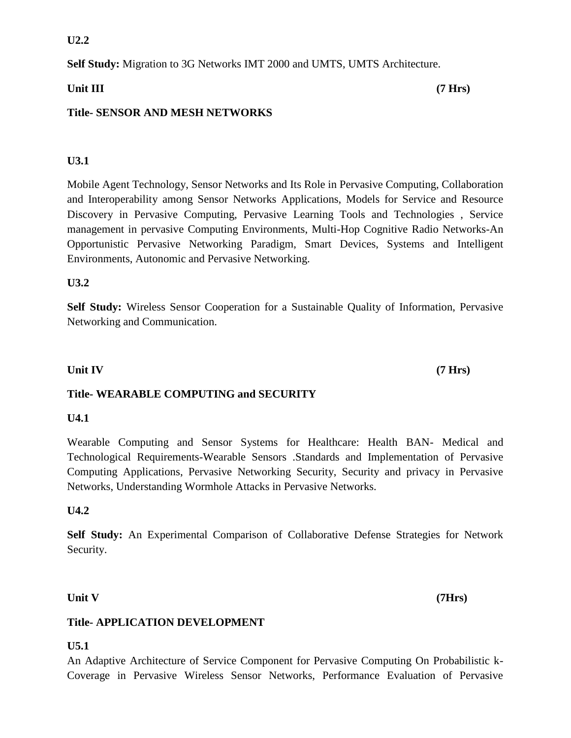### **U2.2**

**Self Study:** Migration to 3G Networks IMT 2000 and UMTS, UMTS Architecture.

### Unit III (7 Hrs)

### **Title- SENSOR AND MESH NETWORKS**

### **U3.1**

Mobile Agent Technology, Sensor Networks and Its Role in Pervasive Computing, Collaboration and Interoperability among Sensor Networks Applications, Models for Service and Resource Discovery in Pervasive Computing, Pervasive Learning Tools and Technologies , Service management in pervasive Computing Environments, Multi-Hop Cognitive Radio Networks-An Opportunistic Pervasive Networking Paradigm, Smart Devices, Systems and Intelligent Environments, Autonomic and Pervasive Networking.

### **U3.2**

**Self Study:** Wireless Sensor Cooperation for a Sustainable Quality of Information, Pervasive Networking and Communication.

### **Title- WEARABLE COMPUTING and SECURITY**

### **U4.1**

Wearable Computing and Sensor Systems for Healthcare: Health BAN- Medical and Technological Requirements-Wearable Sensors .Standards and Implementation of Pervasive Computing Applications, Pervasive Networking Security, Security and privacy in Pervasive Networks, Understanding Wormhole Attacks in Pervasive Networks.

### **U4.2**

**Self Study:** An Experimental Comparison of Collaborative Defense Strategies for Network Security.

Unit V (7Hrs)

### **Title- APPLICATION DEVELOPMENT**

### **U5.1**

An Adaptive Architecture of Service Component for Pervasive Computing On Probabilistic k-Coverage in Pervasive Wireless Sensor Networks, Performance Evaluation of Pervasive

### Unit IV (7 Hrs)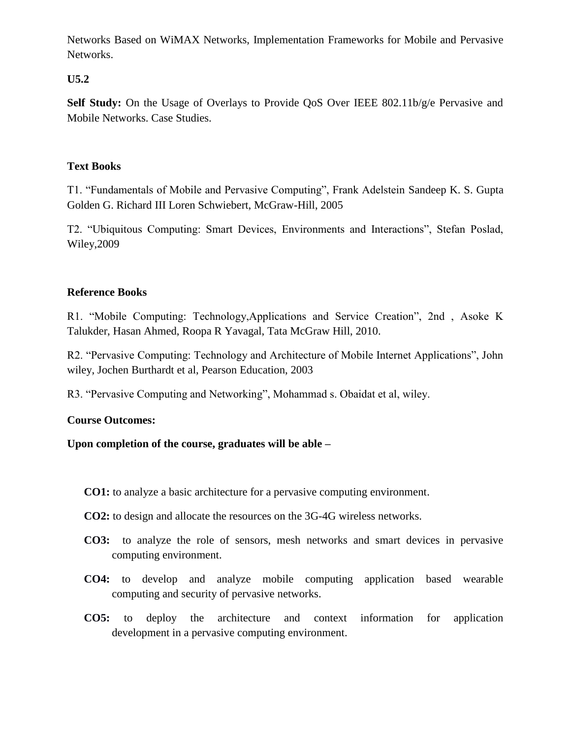Networks Based on WiMAX Networks, Implementation Frameworks for Mobile and Pervasive Networks.

**U5.2**

Self Study: On the Usage of Overlays to Provide QoS Over IEEE 802.11b/g/e Pervasive and Mobile Networks. Case Studies.

### **Text Books**

T1. "Fundamentals of Mobile and Pervasive Computing", Frank Adelstein Sandeep K. S. Gupta Golden G. Richard III Loren Schwiebert, McGraw-Hill, 2005

T2. "Ubiquitous Computing: Smart Devices, Environments and Interactions", Stefan Poslad, Wiley,2009

### **Reference Books**

R1. "Mobile Computing: Technology,Applications and Service Creation", 2nd , Asoke K Talukder, Hasan Ahmed, Roopa R Yavagal, Tata McGraw Hill, 2010.

R2. "Pervasive Computing: Technology and Architecture of Mobile Internet Applications", John wiley, Jochen Burthardt et al, Pearson Education, 2003

R3. "Pervasive Computing and Networking", Mohammad s. Obaidat et al, wiley.

### **Course Outcomes:**

**Upon completion of the course, graduates will be able –**

**CO1:** to analyze a basic architecture for a pervasive computing environment.

- **CO2:** to design and allocate the resources on the 3G-4G wireless networks.
- **CO3:** to analyze the role of sensors, mesh networks and smart devices in pervasive computing environment.
- **CO4:** to develop and analyze mobile computing application based wearable computing and security of pervasive networks.
- **CO5:** to deploy the architecture and context information for application development in a pervasive computing environment.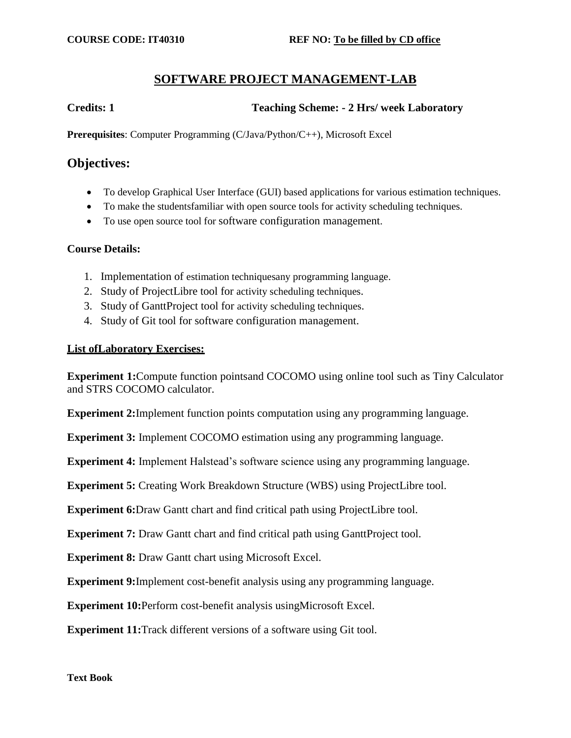### **SOFTWARE PROJECT MANAGEMENT-LAB**

**Credits: 1 Teaching Scheme: - 2 Hrs/ week Laboratory**

**Prerequisites**: Computer Programming (C/Java/Python/C++), Microsoft Excel

### **Objectives:**

- To develop Graphical User Interface (GUI) based applications for various estimation techniques.
- To make the studentsfamiliar with open source tools for activity scheduling techniques.
- To use open source tool for software configuration management.

### **Course Details:**

- 1. Implementation of estimation techniquesany programming language.
- 2. Study of ProjectLibre tool for activity scheduling techniques.
- 3. Study of GanttProject tool for activity scheduling techniques.
- 4. Study of Git tool for software configuration management.

### **List ofLaboratory Exercises:**

**Experiment 1:**Compute function pointsand COCOMO using online tool such as Tiny Calculator and STRS COCOMO calculator.

**Experiment 2:**Implement function points computation using any programming language.

**Experiment 3:** Implement COCOMO estimation using any programming language.

**Experiment 4:** Implement Halstead's software science using any programming language.

**Experiment 5:** Creating Work Breakdown Structure (WBS) using ProjectLibre tool.

**Experiment 6:**Draw Gantt chart and find critical path using ProjectLibre tool.

**Experiment 7:** Draw Gantt chart and find critical path using GanttProject tool.

**Experiment 8:** Draw Gantt chart using Microsoft Excel.

**Experiment 9:**Implement cost-benefit analysis using any programming language.

**Experiment 10:**Perform cost-benefit analysis usingMicrosoft Excel.

**Experiment 11:**Track different versions of a software using Git tool.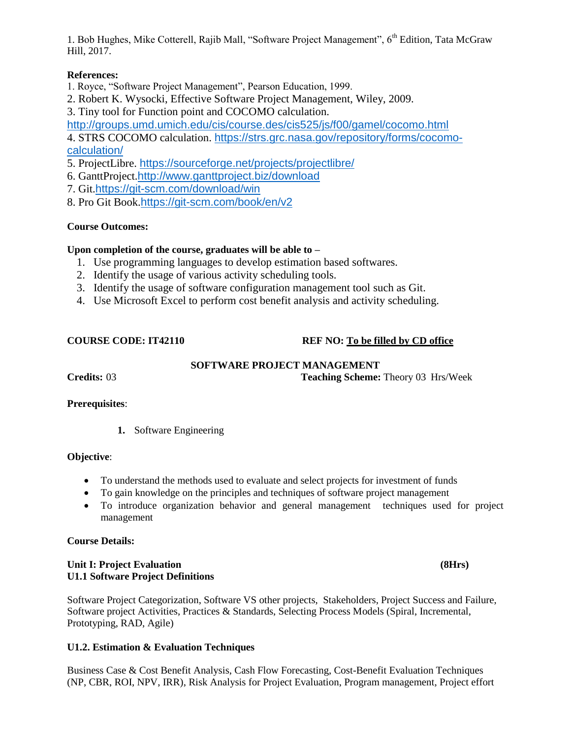1. Bob Hughes, Mike Cotterell, Rajib Mall, "Software Project Management", 6<sup>th</sup> Edition, Tata McGraw Hill, 2017.

### **References:**

1. Royce, "Software Project Management", Pearson Education, 1999.

2. Robert K. Wysocki, Effective Software Project Management, Wiley, 2009.

3. Tiny tool for Function point and COCOMO calculation.

<http://groups.umd.umich.edu/cis/course.des/cis525/js/f00/gamel/cocomo.html>

4. STRS COCOMO calculation. [https://strs.grc.nasa.gov/repository/forms/cocomo](https://strs.grc.nasa.gov/repository/forms/cocomo-calculation/)[calculation/](https://strs.grc.nasa.gov/repository/forms/cocomo-calculation/)

- 5. ProjectLibre. https://sourceforge.net/projects/projectlibre/
- 6. GanttProject.http://www.ganttproject.biz/download
- 7. Git.<https://git-scm.com/download/win>
- 8. Pro Git Book.<https://git-scm.com/book/en/v2>

### **Course Outcomes:**

### **Upon completion of the course, graduates will be able to –**

- 1. Use programming languages to develop estimation based softwares.
- 2. Identify the usage of various activity scheduling tools.
- 3. Identify the usage of software configuration management tool such as Git.
- 4. Use Microsoft Excel to perform cost benefit analysis and activity scheduling.

### **COURSE CODE: IT42110 REF NO: To be filled by CD office**

### **SOFTWARE PROJECT MANAGEMENT**

**Credits:** 03 **Teaching Scheme:** Theory 03 Hrs/Week

### **Prerequisites**:

**1.** Software Engineering

### **Objective**:

- To understand the methods used to evaluate and select projects for investment of funds
- To gain knowledge on the principles and techniques of software project management
- To introduce organization behavior and general management techniques used for project management

### **Course Details:**

### Unit I: Project Evaluation **(8Hrs) (8Hrs) (8Hrs) U1.1 Software Project Definitions**

Software Project Categorization, Software VS other projects, Stakeholders, Project Success and Failure, Software project Activities, Practices & Standards, Selecting Process Models (Spiral, Incremental, Prototyping, RAD, Agile)

### **U1.2. Estimation & Evaluation Techniques**

Business Case & Cost Benefit Analysis, Cash Flow Forecasting, Cost-Benefit Evaluation Techniques (NP, CBR, ROI, NPV, IRR), Risk Analysis for Project Evaluation, Program management, Project effort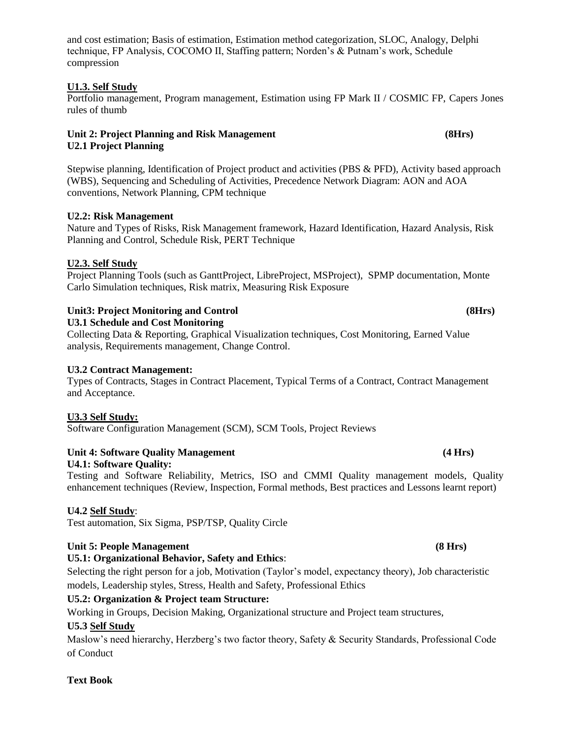and cost estimation; Basis of estimation, Estimation method categorization, SLOC, Analogy, Delphi technique, FP Analysis, COCOMO II, Staffing pattern; Norden"s & Putnam"s work, Schedule compression

### **U1.3. Self Study**

Portfolio management, Program management, Estimation using FP Mark II / COSMIC FP, Capers Jones rules of thumb

### Unit 2: Project Planning and Risk Management **1996** (8Hrs) **(8Hrs) U2.1 Project Planning**

Stepwise planning, Identification of Project product and activities (PBS & PFD), Activity based approach (WBS), Sequencing and Scheduling of Activities, Precedence Network Diagram: AON and AOA conventions, Network Planning, CPM technique

### **U2.2: Risk Management**

Nature and Types of Risks, Risk Management framework, Hazard Identification, Hazard Analysis, Risk Planning and Control, Schedule Risk, PERT Technique

### **U2.3. Self Study**

Project Planning Tools (such as GanttProject, LibreProject, MSProject), SPMP documentation, Monte Carlo Simulation techniques, Risk matrix, Measuring Risk Exposure

### Unit3: Project Monitoring and Control (8Hrs) **(8Hrs) (8Hrs)**

**U3.1 Schedule and Cost Monitoring**

Collecting Data & Reporting, Graphical Visualization techniques, Cost Monitoring, Earned Value analysis, Requirements management, Change Control.

### **U3.2 Contract Management:**

Types of Contracts, Stages in Contract Placement, Typical Terms of a Contract, Contract Management and Acceptance.

### **U3.3 Self Study:**

Software Configuration Management (SCM), SCM Tools, Project Reviews

## Unit 4: Software Quality Management **1996** (4 Hrs) **1996** (4 Hrs)

### **U4.1: Software Quality:**

Testing and Software Reliability, Metrics, ISO and CMMI Quality management models, Quality enhancement techniques (Review, Inspection, Formal methods, Best practices and Lessons learnt report)

### **U4.2 Self Study**:

Test automation, Six Sigma, PSP/TSP, Quality Circle

### Unit 5: People Management **(8 Hrs) (8 Hrs) (8 Hrs) (8 Hrs) (8 Hrs) (8 Hrs) (8 Hrs) (8 Hrs) (8 Hrs) (8 Hrs) (8 Hrs) (8 Hrs) (8 Hrs) (8 Hrs) (8 Hrs) (8 Hrs) (8 Hrs) (8 Hrs) (8 Hrs) (8 Hr**

### **U5.1: Organizational Behavior, Safety and Ethics**:

Selecting the right person for a job, Motivation (Taylor"s model, expectancy theory), Job characteristic models, Leadership styles, Stress, Health and Safety, Professional Ethics

### **U5.2: Organization & Project team Structure:**

Working in Groups, Decision Making, Organizational structure and Project team structures,

### **U5.3 Self Study**

Maslow"s need hierarchy, Herzberg"s two factor theory, Safety & Security Standards, Professional Code of Conduct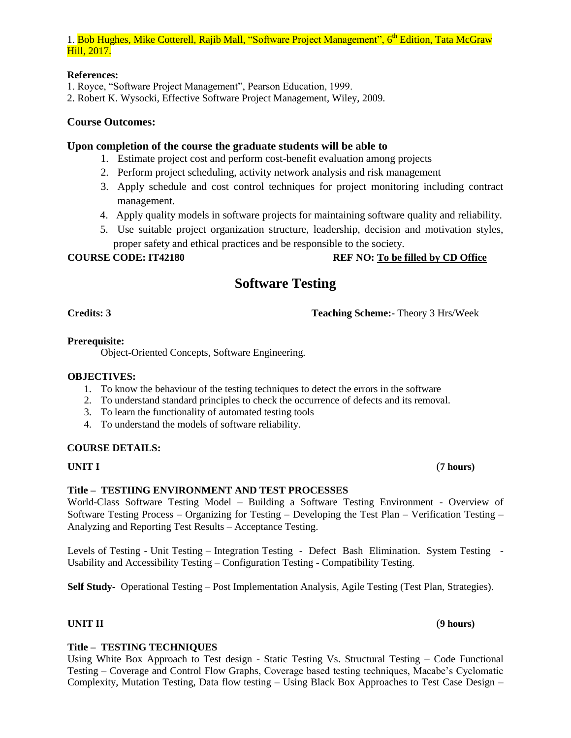### 1. Bob Hughes, Mike Cotterell, Rajib Mall, "Software Project Management", 6<sup>th</sup> Edition, Tata McGraw Hill, 2017.

### **References:**

1. Royce, "Software Project Management", Pearson Education, 1999.

2. Robert K. Wysocki, Effective Software Project Management, Wiley, 2009.

### **Course Outcomes:**

### **Upon completion of the course the graduate students will be able to**

- 1. Estimate project cost and perform cost-benefit evaluation among projects
- 2. Perform project scheduling, activity network analysis and risk management
- 3. Apply schedule and cost control techniques for project monitoring including contract management.
- 4. Apply quality models in software projects for maintaining software quality and reliability.
- 5. Use suitable project organization structure, leadership, decision and motivation styles, proper safety and ethical practices and be responsible to the society.

### **COURSE CODE: IT42180 REF NO:** To be filled by CD Office

## **Software Testing**

**Credits: 3 Teaching Scheme:-** Theory 3 Hrs/Week

### **Prerequisite:**

Object-Oriented Concepts, Software Engineering.

### **OBJECTIVES:**

- 1. To know the behaviour of the testing techniques to detect the errors in the software
- 2. To understand standard principles to check the occurrence of defects and its removal.
- 3. To learn the functionality of automated testing tools
- 4. To understand the models of software reliability.

### **COURSE DETAILS:**

### **Title – TESTIING ENVIRONMENT AND TEST PROCESSES**

World-Class Software Testing Model – Building a Software Testing Environment - Overview of Software Testing Process – Organizing for Testing – Developing the Test Plan – Verification Testing – Analyzing and Reporting Test Results – Acceptance Testing.

Levels of Testing - Unit Testing – Integration Testing - Defect Bash Elimination. System Testing - Usability and Accessibility Testing – Configuration Testing - Compatibility Testing.

**Self Study-** Operational Testing – Post Implementation Analysis, Agile Testing (Test Plan, Strategies).

### **UNIT II** (**9 hours)**

### **Title – TESTING TECHNIQUES**

Using White Box Approach to Test design - Static Testing Vs. Structural Testing – Code Functional Testing – Coverage and Control Flow Graphs, Coverage based testing techniques, Macabe"s Cyclomatic Complexity, Mutation Testing, Data flow testing – Using Black Box Approaches to Test Case Design –

### **UNIT I** (**7 hours)**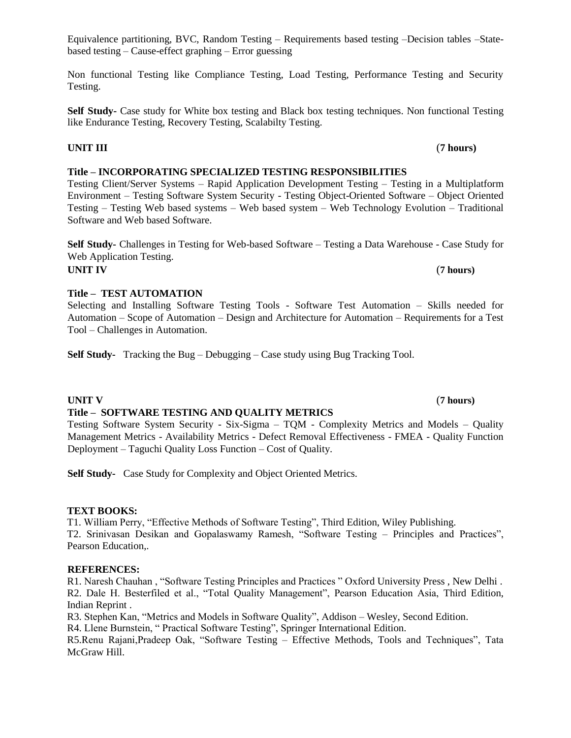**Title – INCORPORATING SPECIALIZED TESTING RESPONSIBILITIES** 

like Endurance Testing, Recovery Testing, Scalabilty Testing.

# Testing Client/Server Systems – Rapid Application Development Testing – Testing in a Multiplatform

# **UNIT IV** (**7 hours)**

Selecting and Installing Software Testing Tools - Software Test Automation – Skills needed for Automation – Scope of Automation – Design and Architecture for Automation – Requirements for a Test Tool – Challenges in Automation.

**Self Study-** Tracking the Bug – Debugging – Case study using Bug Tracking Tool.

Testing.

### **Title – SOFTWARE TESTING AND QUALITY METRICS**

Testing Software System Security - Six-Sigma – TQM - Complexity Metrics and Models – Quality Management Metrics - Availability Metrics - Defect Removal Effectiveness - FMEA - Quality Function Deployment – Taguchi Quality Loss Function – Cost of Quality.

**Self Study-** Case Study for Complexity and Object Oriented Metrics.

### **TEXT BOOKS:**

T1. William Perry, "Effective Methods of Software Testing", Third Edition, Wiley Publishing. T2. Srinivasan Desikan and Gopalaswamy Ramesh, "Software Testing – Principles and Practices", Pearson Education,.

### **REFERENCES:**

R1. Naresh Chauhan , "Software Testing Principles and Practices " Oxford University Press , New Delhi . R2. Dale H. Besterfiled et al., "Total Quality Management", Pearson Education Asia, Third Edition, Indian Reprint .

R3. Stephen Kan, "Metrics and Models in Software Quality", Addison – Wesley, Second Edition.

R4. Llene Burnstein, " Practical Software Testing", Springer International Edition.

R5.Renu Rajani,Pradeep Oak, "Software Testing – Effective Methods, Tools and Techniques", Tata McGraw Hill.

# **Self Study-** Challenges in Testing for Web-based Software – Testing a Data Warehouse - Case Study for

Web Application Testing.

Software and Web based Software.

**Title – TEST AUTOMATION**

## Equivalence partitioning, BVC, Random Testing – Requirements based testing –Decision tables –Statebased testing – Cause-effect graphing – Error guessing

Non functional Testing like Compliance Testing, Load Testing, Performance Testing and Security

**UNIT III** (**7 hours)**

Environment – Testing Software System Security - Testing Object-Oriented Software – Object Oriented Testing – Testing Web based systems – Web based system – Web Technology Evolution – Traditional

### **UNIT V** (**7 hours)**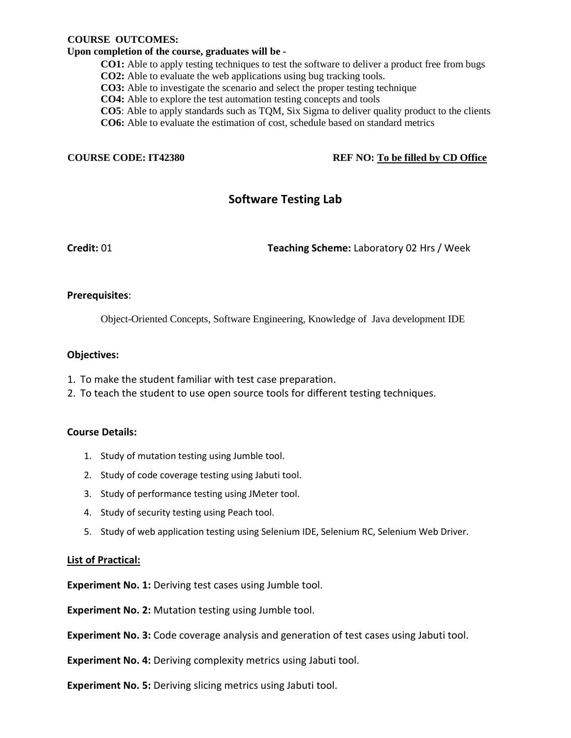### **COURSE OUTCOMES:**

### **Upon completion of the course, graduates will be -**

**CO1:** Able to apply testing techniques to test the software to deliver a product free from bugs **CO2:** Able to evaluate the web applications using bug tracking tools.

**CO3:** Able to investigate the scenario and select the proper testing technique

**CO4:** Able to explore the test automation testing concepts and tools

**CO5**: Able to apply standards such as TQM, Six Sigma to deliver quality product to the clients

**CO6:** Able to evaluate the estimation of cost, schedule based on standard metrics

### **COURSE CODE: IT42380** REF NO: To be filled by CD Office

### **Software Testing Lab**

**Credit:** 01 **Teaching Scheme:** Laboratory 02 Hrs / Week

### **Prerequisites**:

Object-Oriented Concepts, Software Engineering, Knowledge of Java development IDE

### **Objectives:**

- 1. To make the student familiar with test case preparation.
- 2. To teach the student to use open source tools for different testing techniques.

### **Course Details:**

- 1. Study of mutation testing using Jumble tool.
- 2. Study of code coverage testing using Jabuti tool.
- 3. Study of performance testing using JMeter tool.
- 4. Study of security testing using Peach tool.
- 5. Study of web application testing using Selenium IDE, Selenium RC, Selenium Web Driver.

### **List of Practical:**

**Experiment No. 1:** Deriving test cases using Jumble tool.

**Experiment No. 2:** Mutation testing using Jumble tool.

**Experiment No. 3:** Code coverage analysis and generation of test cases using Jabuti tool.

**Experiment No. 4:** Deriving complexity metrics using Jabuti tool.

**Experiment No. 5:** Deriving slicing metrics using Jabuti tool.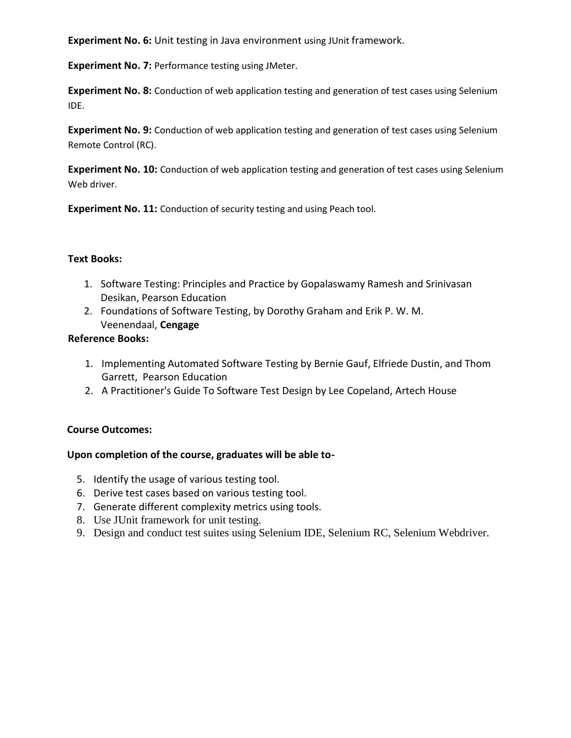**Experiment No. 6:** Unit testing in Java environment using JUnit framework.

**Experiment No. 7:** Performance testing using JMeter.

**Experiment No. 8:** Conduction of web application testing and generation of test cases using Selenium IDE.

**Experiment No. 9:** Conduction of web application testing and generation of test cases using Selenium Remote Control (RC).

**Experiment No. 10:** Conduction of web application testing and generation of test cases using Selenium Web driver.

**Experiment No. 11:** Conduction of security testing and using Peach tool.

### **Text Books:**

- 1. Software Testing: Principles and Practice by Gopalaswamy Ramesh and Srinivasan Desikan, Pearson Education
- 2. Foundations of Software Testing, by Dorothy Graham and Erik P. W. M. Veenendaal, **Cengage**

### **Reference Books:**

- 1. Implementing Automated Software Testing by Bernie Gauf, Elfriede Dustin, and Thom Garrett, Pearson Education
- 2. A Practitioner's Guide To Software Test Design by Lee Copeland, Artech House

### **Course Outcomes:**

### **Upon completion of the course, graduates will be able to-**

- 5. Identify the usage of various testing tool.
- 6. Derive test cases based on various testing tool.
- 7. Generate different complexity metrics using tools.
- 8. Use JUnit framework for unit testing.
- 9. Design and conduct test suites using Selenium IDE, Selenium RC, Selenium Webdriver.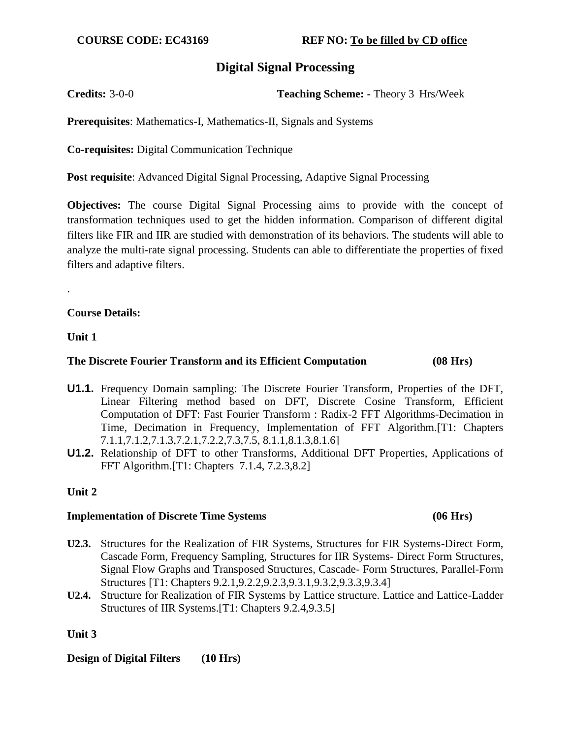## **Digital Signal Processing**

**Credits:** 3-0-0 **Teaching Scheme: -** Theory 3 Hrs/Week

**Prerequisites**: Mathematics-I, Mathematics-II, Signals and Systems

**Co-requisites:** Digital Communication Technique

**Post requisite**: Advanced Digital Signal Processing, Adaptive Signal Processing

**Objectives:** The course Digital Signal Processing aims to provide with the concept of transformation techniques used to get the hidden information. Comparison of different digital filters like FIR and IIR are studied with demonstration of its behaviors. The students will able to analyze the multi-rate signal processing. Students can able to differentiate the properties of fixed filters and adaptive filters.

### **Course Details:**

**Unit 1**

.

### **The Discrete Fourier Transform and its Efficient Computation (08 Hrs)**

- **U1.1.** Frequency Domain sampling: The Discrete Fourier Transform, Properties of the DFT, Linear Filtering method based on DFT, Discrete Cosine Transform, Efficient Computation of DFT: Fast Fourier Transform : Radix-2 FFT Algorithms-Decimation in Time, Decimation in Frequency, Implementation of FFT Algorithm.[T1: Chapters 7.1.1,7.1.2,7.1.3,7.2.1,7.2.2,7.3,7.5, 8.1.1,8.1.3,8.1.6]
- **U1.2.** Relationship of DFT to other Transforms, Additional DFT Properties, Applications of FFT Algorithm.[T1: Chapters 7.1.4, 7.2.3,8.2]

### **Unit 2**

### **Implementation of Discrete Time Systems (06 Hrs)**

- **U2.3.** Structures for the Realization of FIR Systems, Structures for FIR Systems-Direct Form, Cascade Form, Frequency Sampling, Structures for IIR Systems- Direct Form Structures, Signal Flow Graphs and Transposed Structures, Cascade- Form Structures, Parallel-Form Structures [T1: Chapters 9.2.1,9.2.2,9.2.3,9.3.1,9.3.2,9.3.3,9.3.4]
- **U2.4.** Structure for Realization of FIR Systems by Lattice structure. Lattice and Lattice-Ladder Structures of IIR Systems.[T1: Chapters 9.2.4,9.3.5]

### **Unit 3**

**Design of Digital Filters (10 Hrs)**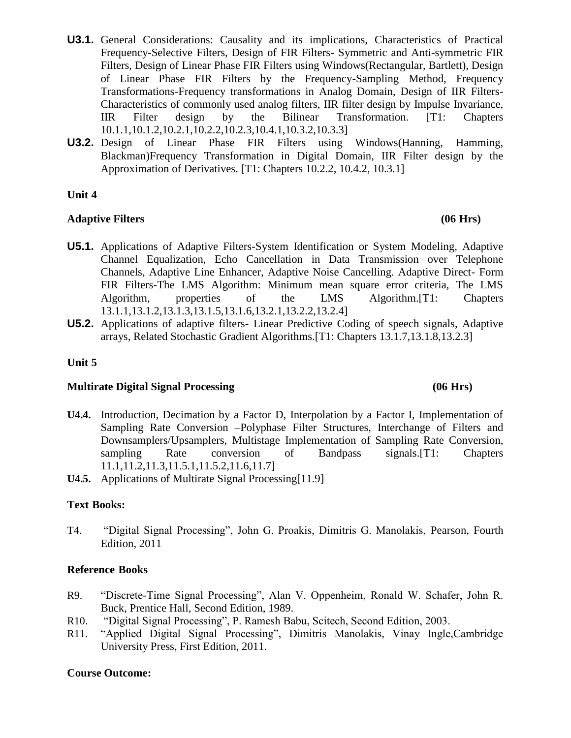- **U3.1.** General Considerations: Causality and its implications, Characteristics of Practical Frequency-Selective Filters, Design of FIR Filters- Symmetric and Anti-symmetric FIR Filters, Design of Linear Phase FIR Filters using Windows(Rectangular, Bartlett), Design of Linear Phase FIR Filters by the Frequency-Sampling Method, Frequency Transformations-Frequency transformations in Analog Domain, Design of IIR Filters-Characteristics of commonly used analog filters, IIR filter design by Impulse Invariance, IIR Filter design by the Bilinear Transformation. [T1: Chapters 10.1.1,10.1.2,10.2.1,10.2.2,10.2.3,10.4.1,10.3.2,10.3.3]
- **U3.2.** Design of Linear Phase FIR Filters using Windows(Hanning, Hamming, Blackman)Frequency Transformation in Digital Domain, IIR Filter design by the Approximation of Derivatives. [T1: Chapters 10.2.2, 10.4.2, 10.3.1]

### **Unit 4**

### **Adaptive Filters (06 Hrs)**

- **U5.1.** Applications of Adaptive Filters-System Identification or System Modeling, Adaptive Channel Equalization, Echo Cancellation in Data Transmission over Telephone Channels, Adaptive Line Enhancer, Adaptive Noise Cancelling. Adaptive Direct- Form FIR Filters-The LMS Algorithm: Minimum mean square error criteria, The LMS Algorithm, properties of the LMS Algorithm.[T1: Chapters 13.1.1,13.1.2,13.1.3,13.1.5,13.1.6,13.2.1,13.2.2,13.2.4]
- **U5.2.** Applications of adaptive filters- Linear Predictive Coding of speech signals, Adaptive arrays, Related Stochastic Gradient Algorithms.[T1: Chapters 13.1.7,13.1.8,13.2.3]

### **Unit 5**

### **Multirate Digital Signal Processing (06 Hrs)**

- **U4.4.** Introduction, Decimation by a Factor D, Interpolation by a Factor I, Implementation of Sampling Rate Conversion –Polyphase Filter Structures, Interchange of Filters and Downsamplers/Upsamplers, Multistage Implementation of Sampling Rate Conversion, sampling Rate conversion of Bandpass signals.[T1: Chapters 11.1,11.2,11.3,11.5.1,11.5.2,11.6,11.7]
- **U4.5.** Applications of Multirate Signal Processing[11.9]

### **Text Books:**

T4. "Digital Signal Processing", John G. Proakis, Dimitris G. Manolakis, Pearson, Fourth Edition, 2011

### **Reference Books**

- R9. "Discrete-Time Signal Processing", Alan V. Oppenheim, Ronald W. Schafer, John R. Buck, Prentice Hall, Second Edition, 1989.
- R10. "Digital Signal Processing", P. Ramesh Babu, Scitech, Second Edition, 2003.
- R11. "Applied Digital Signal Processing", Dimitris Manolakis, Vinay Ingle,Cambridge University Press, First Edition, 2011.

### **Course Outcome:**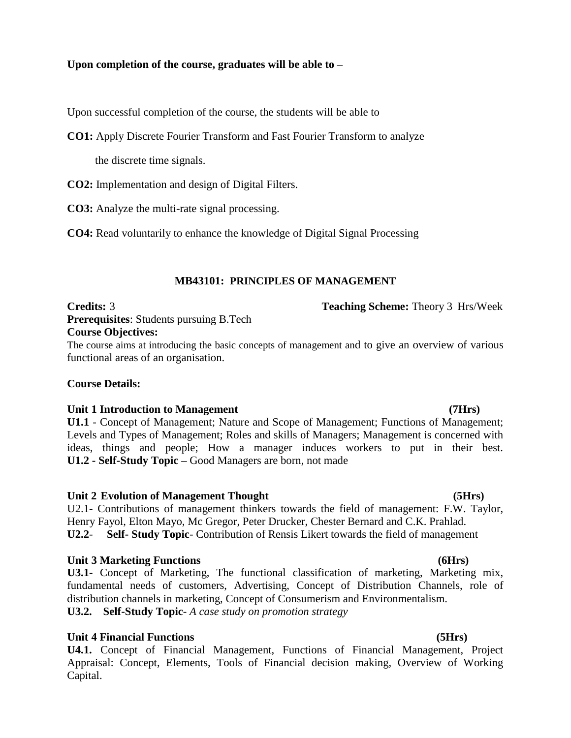### **Upon completion of the course, graduates will be able to –**

Upon successful completion of the course, the students will be able to

**CO1:** Apply Discrete Fourier Transform and Fast Fourier Transform to analyze

the discrete time signals.

**CO2:** Implementation and design of Digital Filters.

**CO3:** Analyze the multi-rate signal processing.

**CO4:** Read voluntarily to enhance the knowledge of Digital Signal Processing

### **MB43101: PRINCIPLES OF MANAGEMENT**

**Credits:** 3 **Teaching Scheme:** Theory 3 Hrs/Week **Prerequisites**: Students pursuing B.Tech **Course Objectives:**

The course aims at introducing the basic concepts of management and to give an overview of various functional areas of an organisation.

### **Course Details:**

### **Unit 1 Introduction to Management (7Hrs)**

**U1.1** - Concept of Management; Nature and Scope of Management; Functions of Management; Levels and Types of Management; Roles and skills of Managers; Management is concerned with ideas, things and people; How a manager induces workers to put in their best. **U1.2 - Self-Study Topic –** Good Managers are born, not made

### **Unit 2 Evolution of Management Thought (5Hrs)**

U2.1- Contributions of management thinkers towards the field of management: F.W. Taylor, Henry Fayol, Elton Mayo, Mc Gregor, Peter Drucker, Chester Bernard and C.K. Prahlad. **U2.2**- **Self- Study Topic**- Contribution of Rensis Likert towards the field of management

### **Unit 3 Marketing Functions (6Hrs)**

**U3.1-** Concept of Marketing, The functional classification of marketing, Marketing mix, fundamental needs of customers, Advertising, Concept of Distribution Channels, role of distribution channels in marketing, Concept of Consumerism and Environmentalism. **U3.2. Self-Study Topic**- *A case study on promotion strategy*

### **Unit 4 Financial Functions (5Hrs)**

**U4.1.** Concept of Financial Management, Functions of Financial Management, Project Appraisal: Concept, Elements, Tools of Financial decision making, Overview of Working Capital.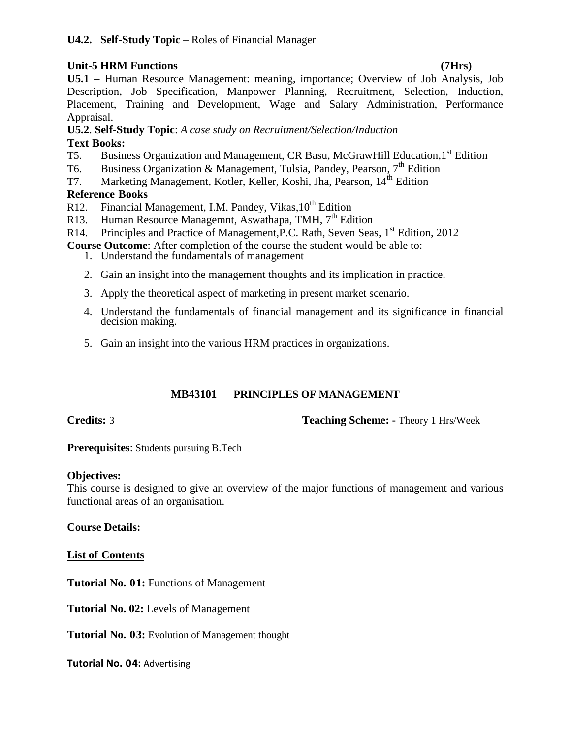### **U4.2. Self-Study Topic** – Roles of Financial Manager

### **Unit-5 HRM Functions (7Hrs)**

**U5.1 –** Human Resource Management: meaning, importance; Overview of Job Analysis, Job Description, Job Specification, Manpower Planning, Recruitment, Selection, Induction, Placement, Training and Development, Wage and Salary Administration, Performance Appraisal.

**U5.2**. **Self-Study Topic**: *A case study on Recruitment/Selection/Induction*

### **Text Books:**

- T5. Business Organization and Management, CR Basu, McGrawHill Education, 1<sup>st</sup> Edition
- T6. Business Organization & Management, Tulsia, Pandey, Pearson,  $7<sup>th</sup>$  Edition
- T7. Marketing Management, Kotler, Keller, Koshi, Jha, Pearson, 14<sup>th</sup> Edition

### **Reference Books**

- R12. Financial Management, I.M. Pandey, Vikas, 10<sup>th</sup> Edition
- R13. Human Resource Managemnt, Aswathapa, TMH, 7<sup>th</sup> Edition
- R14. Principles and Practice of Management, P.C. Rath, Seven Seas, 1<sup>st</sup> Edition, 2012
- **Course Outcome**: After completion of the course the student would be able to:
	- 1. Understand the fundamentals of management
	- 2. Gain an insight into the management thoughts and its implication in practice.
	- 3. Apply the theoretical aspect of marketing in present market scenario.
	- 4. Understand the fundamentals of financial management and its significance in financial decision making.
	- 5. Gain an insight into the various HRM practices in organizations.

### **MB43101 PRINCIPLES OF MANAGEMENT**

**Credits:** 3 **Teaching Scheme: -** Theory 1 Hrs/Week

**Prerequisites**: Students pursuing B.Tech

### **Objectives:**

This course is designed to give an overview of the major functions of management and various functional areas of an organisation.

**Course Details:**

**List of Contents**

**Tutorial No. 01: Functions of Management** 

**Tutorial No. 02:** Levels of Management

**Tutorial No. 03:** Evolution of Management thought

**Tutorial No. 04:** Advertising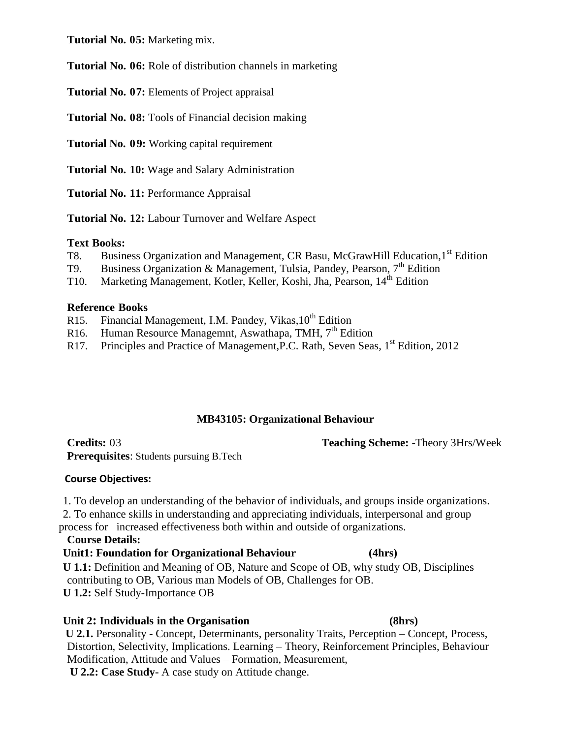**Tutorial No. 05:** Marketing mix.

**Tutorial No. 06:** Role of distribution channels in marketing

**Tutorial No. 07:** Elements of Project appraisal

**Tutorial No. 08:** Tools of Financial decision making

**Tutorial No. 09:** Working capital requirement

**Tutorial No. 10:** Wage and Salary Administration

**Tutorial No. 11:** Performance Appraisal

**Tutorial No. 12:** Labour Turnover and Welfare Aspect

### **Text Books:**

- T8. Business Organization and Management, CR Basu, McGrawHill Education, 1<sup>st</sup> Edition
- T9. Business Organization & Management, Tulsia, Pandey, Pearson,  $7<sup>th</sup>$  Edition
- T10. Marketing Management, Kotler, Keller, Koshi, Jha, Pearson, 14<sup>th</sup> Edition

### **Reference Books**

- R15. Financial Management, I.M. Pandey, Vikas,  $10^{th}$  Edition
- R16. Human Resource Managemnt, Aswathapa, TMH,  $7<sup>th</sup>$  Edition
- R17. Principles and Practice of Management, P.C. Rath, Seven Seas, 1<sup>st</sup> Edition, 2012

### **MB43105: Organizational Behaviour**

**Credits:** 03 **Teaching Scheme: -**Theory 3Hrs/Week **Prerequisites**: Students pursuing B.Tech

### **Course Objectives:**

1. To develop an understanding of the behavior of individuals, and groups inside organizations.

2. To enhance skills in understanding and appreciating individuals, interpersonal and group process for increased effectiveness both within and outside of organizations.

### **Course Details:**

### **Unit1: Foundation for Organizational Behaviour (4hrs)**

**U 1.1:** Definition and Meaning of OB, Nature and Scope of OB, why study OB, Disciplines contributing to OB, Various man Models of OB, Challenges for OB. **U 1.2:** Self Study-Importance OB

### **Unit 2: Individuals in the Organisation (8hrs)**

**U 2.1.** Personality - Concept, Determinants, personality Traits, Perception – Concept, Process, Distortion, Selectivity, Implications. Learning – Theory, Reinforcement Principles, Behaviour Modification, Attitude and Values – Formation, Measurement, **U 2.2: Case Study-** A case study on Attitude change.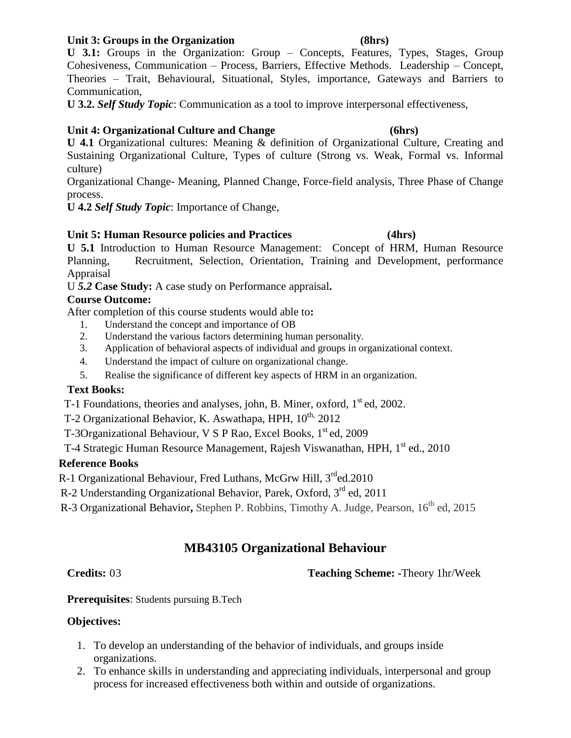### **Unit 3: Groups in the Organization (8hrs)**

**U 3.1:** Groups in the Organization: Group – Concepts, Features, Types, Stages, Group Cohesiveness, Communication – Process, Barriers, Effective Methods. Leadership – Concept, Theories – Trait, Behavioural, Situational, Styles, importance, Gateways and Barriers to Communication,

**U 3.2.** *Self Study Topic*: Communication as a tool to improve interpersonal effectiveness,

### **Unit 4: Organizational Culture and Change (6hrs)**

**U 4.1** Organizational cultures: Meaning & definition of Organizational Culture, Creating and Sustaining Organizational Culture, Types of culture (Strong vs. Weak, Formal vs. Informal culture)

Organizational Change- Meaning, Planned Change, Force-field analysis, Three Phase of Change process.

**U 4.2** *Self Study Topic*: Importance of Change,

### **Unit 5: Human Resource policies and Practices (4hrs)**

**U 5.1** Introduction to Human Resource Management: Concept of HRM, Human Resource Planning, Recruitment, Selection, Orientation, Training and Development, performance Appraisal

U *5.2* **Case Study:** A case study on Performance appraisal**.** 

### **Course Outcome:**

After completion of this course students would able to**:**

- 1. Understand the concept and importance of OB
- 2. Understand the various factors determining human personality.
- 3. Application of behavioral aspects of individual and groups in organizational context.
- 4. Understand the impact of culture on organizational change.
- 5. Realise the significance of different key aspects of HRM in an organization.

### **Text Books:**

T-1 Foundations, theories and analyses, john, B. Miner, oxford,  $1<sup>st</sup>$  ed, 2002.

T-2 Organizational Behavior, K. Aswathapa, HPH,  $10^{th}$ , 2012

T-3Organizational Behaviour, V S P Rao, Excel Books, 1<sup>st</sup> ed, 2009

T-4 Strategic Human Resource Management, Rajesh Viswanathan, HPH, 1<sup>st</sup> ed., 2010

### **Reference Books**

R-1 Organizational Behaviour, Fred Luthans, McGrw Hill, 3<sup>rd</sup>ed.2010

R-2 Understanding Organizational Behavior, Parek, Oxford, 3<sup>rd</sup> ed, 2011

R-3 Organizational Behavior, Stephen P. Robbins, Timothy A. Judge, Pearson, 16<sup>th</sup> ed, 2015

## **MB43105 Organizational Behaviour**

**Credits:** 03 **Teaching Scheme: -**Theory 1hr/Week

**Prerequisites**: Students pursuing B.Tech

### **Objectives:**

- 1. To develop an understanding of the behavior of individuals, and groups inside organizations.
- 2. To enhance skills in understanding and appreciating individuals, interpersonal and group process for increased effectiveness both within and outside of organizations.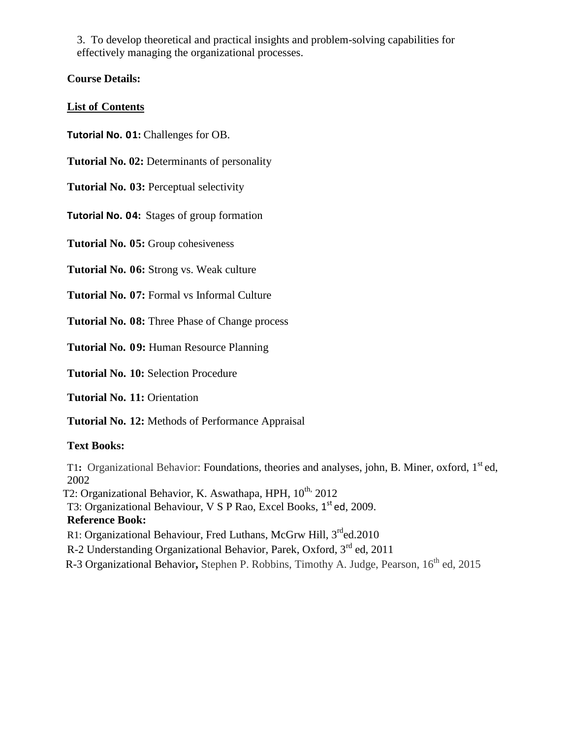3. To develop theoretical and practical insights and problem-solving capabilities for effectively managing the organizational processes.

### **Course Details:**

### **List of Contents**

**Tutorial No. 01:** Challenges for OB.

**Tutorial No. 02:** Determinants of personality

**Tutorial No. 03:** Perceptual selectivity

**Tutorial No. 04:** Stages of group formation

**Tutorial No. 05:** Group cohesiveness

**Tutorial No. 06:** Strong vs. Weak culture

**Tutorial No. 07:** Formal vs Informal Culture

**Tutorial No. 08:** Three Phase of Change process

**Tutorial No. 09:** Human Resource Planning

**Tutorial No. 10:** Selection Procedure

**Tutorial No. 11:** Orientation

**Tutorial No. 12:** Methods of Performance Appraisal

### **Text Books:**

T1: Organizational Behavior: Foundations, theories and analyses, john, B. Miner, oxford, 1<sup>st</sup> ed, 2002

T2: Organizational Behavior, K. Aswathapa, HPH, 10<sup>th,</sup> 2012

T3: Organizational Behaviour, V S P Rao, Excel Books, 1<sup>st</sup> ed, 2009.

### **Reference Book:**

R1: Organizational Behaviour, Fred Luthans, McGrw Hill,  $3<sup>rd</sup>$ ed.2010

R-2 Understanding Organizational Behavior, Parek, Oxford, 3<sup>rd</sup> ed, 2011

R-3 Organizational Behavior, Stephen P. Robbins, Timothy A. Judge, Pearson, 16<sup>th</sup> ed, 2015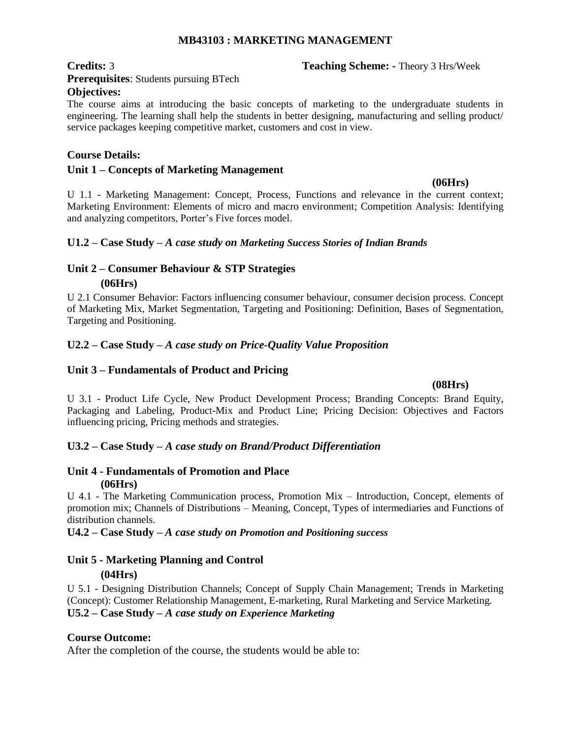### **MB43103 : MARKETING MANAGEMENT**

### **Credits:** 3 **Teaching Scheme: -** Theory 3 Hrs/Week **Prerequisites**: Students pursuing BTech **Objectives:**

The course aims at introducing the basic concepts of marketing to the undergraduate students in engineering. The learning shall help the students in better designing, manufacturing and selling product service packages keeping competitive market, customers and cost in view.

### **Course Details:**

### **Unit 1 – Concepts of Marketing Management**

### **(06Hrs)**

U 1.1 - Marketing Management: Concept, Process, Functions and relevance in the current context; Marketing Environment: Elements of micro and macro environment; Competition Analysis: Identifying and analyzing competitors, Porter"s Five forces model.

### **U1.2 – Case Study –** *A case study on Marketing Success Stories of Indian Brands*

### **Unit 2 – Consumer Behaviour & STP Strategies**

### **(06Hrs)**

U 2.1 Consumer Behavior: Factors influencing consumer behaviour, consumer decision process. Concept of Marketing Mix, Market Segmentation, Targeting and Positioning: Definition, Bases of Segmentation, Targeting and Positioning.

### **U2.2 – Case Study –** *A case study on Price-Quality Value Proposition*

### **Unit 3 – Fundamentals of Product and Pricing**

### **(08Hrs)**

U 3.1 - Product Life Cycle, New Product Development Process; Branding Concepts: Brand Equity, Packaging and Labeling, Product-Mix and Product Line; Pricing Decision: Objectives and Factors influencing pricing, Pricing methods and strategies.

### **U3.2 – Case Study –** *A case study on Brand/Product Differentiation*

### **Unit 4 - Fundamentals of Promotion and Place (06Hrs)**

U 4.1 - The Marketing Communication process, Promotion Mix – Introduction, Concept, elements of promotion mix; Channels of Distributions – Meaning, Concept, Types of intermediaries and Functions of distribution channels.

**U4.2 – Case Study –** *A case study on Promotion and Positioning success*

# **Unit 5 - Marketing Planning and Control**

### **(04Hrs)**

U 5.1 - Designing Distribution Channels; Concept of Supply Chain Management; Trends in Marketing (Concept): Customer Relationship Management, E-marketing, Rural Marketing and Service Marketing. **U5.2 – Case Study –** *A case study on Experience Marketing*

### **Course Outcome:**

After the completion of the course, the students would be able to: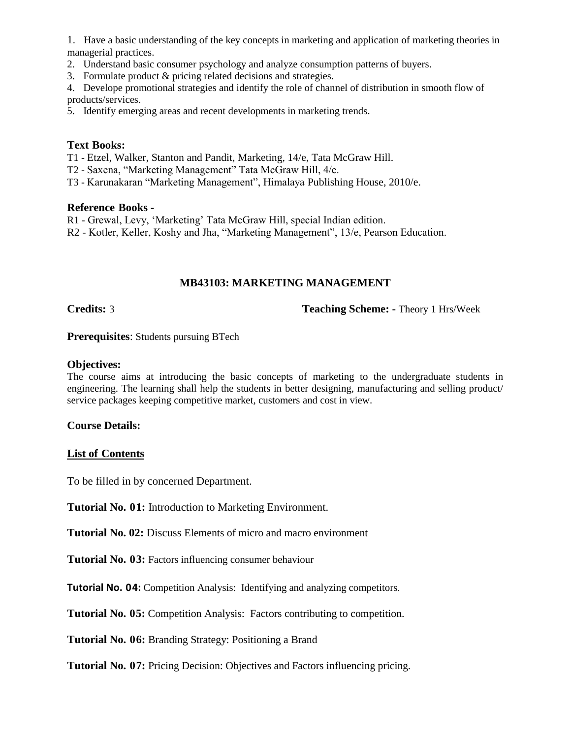1. Have a basic understanding of the key concepts in marketing and application of marketing theories in managerial practices.

2. Understand basic consumer psychology and analyze consumption patterns of buyers.

3. Formulate product & pricing related decisions and strategies.

4. Develope promotional strategies and identify the role of channel of distribution in smooth flow of products/services.

5. Identify emerging areas and recent developments in marketing trends.

### **Text Books:**

T1 - Etzel, Walker, Stanton and Pandit, Marketing, 14/e, Tata McGraw Hill.

T2 - Saxena, "Marketing Management" Tata McGraw Hill, 4/e.

T3 - Karunakaran "Marketing Management", Himalaya Publishing House, 2010/e.

### **Reference Books -**

R1 - Grewal, Levy, "Marketing" Tata McGraw Hill, special Indian edition.

R2 - Kotler, Keller, Koshy and Jha, "Marketing Management", 13/e, Pearson Education.

### **MB43103: MARKETING MANAGEMENT**

**Credits:** 3 **Teaching Scheme: -** Theory 1 Hrs/Week

**Prerequisites**: Students pursuing BTech

### **Objectives:**

The course aims at introducing the basic concepts of marketing to the undergraduate students in engineering. The learning shall help the students in better designing, manufacturing and selling product service packages keeping competitive market, customers and cost in view.

### **Course Details:**

### **List of Contents**

To be filled in by concerned Department.

**Tutorial No. 01:** Introduction to Marketing Environment.

**Tutorial No. 02:** Discuss Elements of micro and macro environment

**Tutorial No. 03:** Factors influencing consumer behaviour

**Tutorial No. 04:** Competition Analysis: Identifying and analyzing competitors.

**Tutorial No. 05:** Competition Analysis: Factors contributing to competition.

**Tutorial No. 06:** Branding Strategy: Positioning a Brand

**Tutorial No. 07:** Pricing Decision: Objectives and Factors influencing pricing.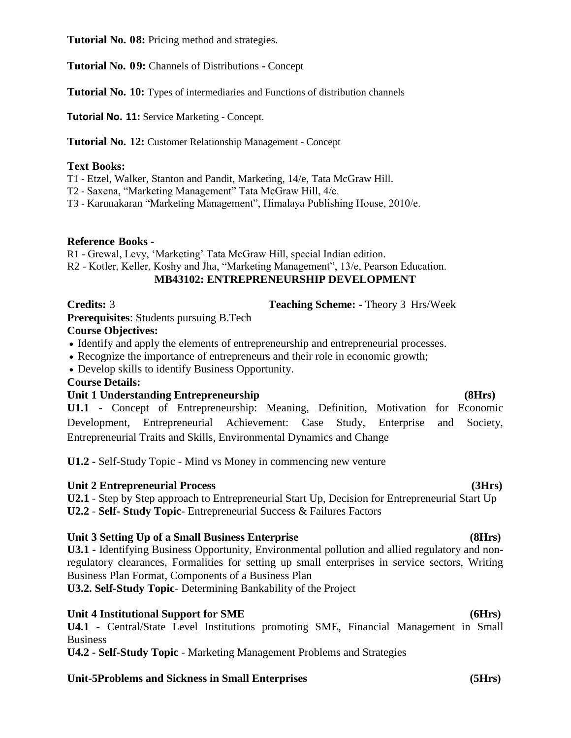**Tutorial No. 08:** Pricing method and strategies.

**Tutorial No. 09:** Channels of Distributions - Concept

**Tutorial No. 10:** Types of intermediaries and Functions of distribution channels

**Tutorial No. 11:** Service Marketing - Concept.

**Tutorial No. 12:** Customer Relationship Management - Concept

### **Text Books:**

T1 - Etzel, Walker, Stanton and Pandit, Marketing, 14/e, Tata McGraw Hill.

T2 - Saxena, "Marketing Management" Tata McGraw Hill, 4/e.

T3 - Karunakaran "Marketing Management", Himalaya Publishing House, 2010/e.

## **Reference Books -**

R1 - Grewal, Levy, "Marketing" Tata McGraw Hill, special Indian edition.

R2 - Kotler, Keller, Koshy and Jha, "Marketing Management", 13/e, Pearson Education.

## **MB43102: ENTREPRENEURSHIP DEVELOPMENT**

**Credits:** 3 **Teaching Scheme: -** Theory 3 Hrs/Week **Prerequisites**: Students pursuing B.Tech **Course Objectives:**

Identify and apply the elements of entrepreneurship and entrepreneurial processes.

Recognize the importance of entrepreneurs and their role in economic growth;

Develop skills to identify Business Opportunity.

**Course Details:**

## **Unit 1 Understanding Entrepreneurship (8Hrs)**

**U1.1 -** Concept of Entrepreneurship: Meaning, Definition, Motivation for Economic Development, Entrepreneurial Achievement: Case Study, Enterprise and Society, Entrepreneurial Traits and Skills, Environmental Dynamics and Change

**U1.2 -** Self-Study Topic - Mind vs Money in commencing new venture

## **Unit 2 Entrepreneurial Process (3Hrs)**

**U2.1** - Step by Step approach to Entrepreneurial Start Up, Decision for Entrepreneurial Start Up **U2.2** - **Self- Study Topic**- Entrepreneurial Success & Failures Factors

## **Unit 3 Setting Up of a Small Business Enterprise (8Hrs)**

**U3.1 -** Identifying Business Opportunity, Environmental pollution and allied regulatory and nonregulatory clearances, Formalities for setting up small enterprises in service sectors, Writing Business Plan Format, Components of a Business Plan

**U3.2. Self-Study Topic**- Determining Bankability of the Project

## **Unit 4 Institutional Support for SME (6Hrs)**

**U4.1 -** Central/State Level Institutions promoting SME, Financial Management in Small Business

**U4.2 - Self-Study Topic** - Marketing Management Problems and Strategies

# **Unit-5Problems and Sickness in Small Enterprises (5Hrs)**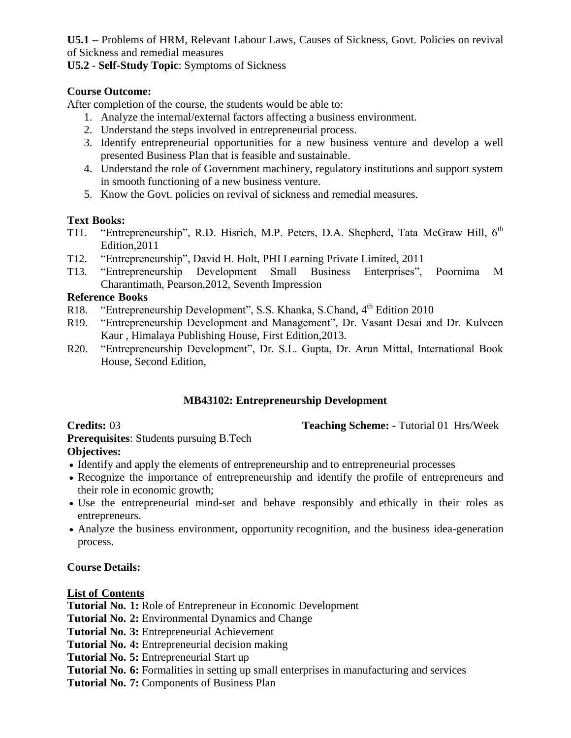**U5.1 –** Problems of HRM, Relevant Labour Laws, Causes of Sickness, Govt. Policies on revival of Sickness and remedial measures

**U5.2** - **Self-Study Topic**: Symptoms of Sickness

## **Course Outcome:**

After completion of the course, the students would be able to:

- 1. Analyze the internal/external factors affecting a business environment.
- 2. Understand the steps involved in entrepreneurial process.
- 3. Identify entrepreneurial opportunities for a new business venture and develop a well presented Business Plan that is feasible and sustainable.
- 4. Understand the role of Government machinery, regulatory institutions and support system in smooth functioning of a new business venture.
- 5. Know the Govt. policies on revival of sickness and remedial measures.

# **Text Books:**

- T11. "Entrepreneurship", R.D. Hisrich, M.P. Peters, D.A. Shepherd, Tata McGraw Hill, 6<sup>th</sup> Edition,2011
- T12. "Entrepreneurship", David H. Holt, PHI Learning Private Limited, 2011
- T13. "Entrepreneurship Development Small Business Enterprises", Poornima M Charantimath, Pearson,2012, Seventh Impression

# **Reference Books**

- R18. "Entrepreneurship Development", S.S. Khanka, S.Chand, 4<sup>th</sup> Edition 2010
- R19. "Entrepreneurship Development and Management", Dr. Vasant Desai and Dr. Kulveen Kaur , Himalaya Publishing House, First Edition,2013.
- R20. "Entrepreneurship Development", Dr. S.L. Gupta, Dr. Arun Mittal, International Book House, Second Edition,

# **MB43102: Entrepreneurship Development**

**Credits:** 03 **Teaching Scheme: -** Tutorial 01 Hrs/Week

**Prerequisites**: Students pursuing B.Tech **Objectives:**

- Identify and apply the elements of entrepreneurship and to entrepreneurial processes
- Recognize the importance of entrepreneurship and identify the profile of entrepreneurs and their role in economic growth;
- Use the entrepreneurial mind-set and behave responsibly and ethically in their roles as entrepreneurs.
- Analyze the business environment, opportunity recognition, and the business idea-generation process.

# **Course Details:**

## **List of Contents**

**Tutorial No. 1:** Role of Entrepreneur in Economic Development

**Tutorial No. 2:** Environmental Dynamics and Change

**Tutorial No. 3:** Entrepreneurial Achievement

**Tutorial No. 4:** Entrepreneurial decision making

**Tutorial No. 5:** Entrepreneurial Start up

**Tutorial No. 6:** Formalities in setting up small enterprises in manufacturing and services

**Tutorial No. 7:** Components of Business Plan